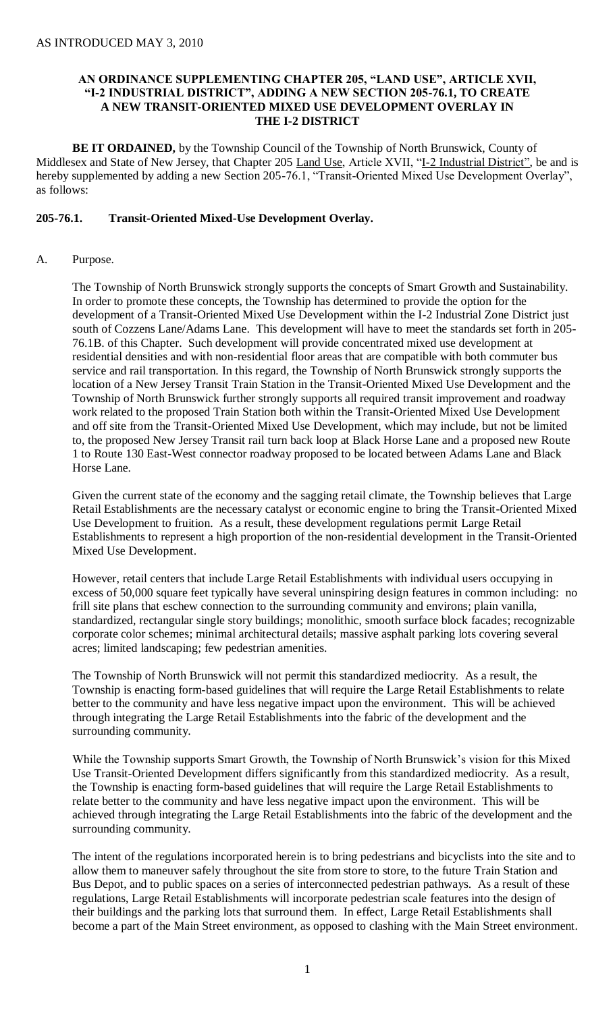### **AN ORDINANCE SUPPLEMENTING CHAPTER 205, "LAND USE", ARTICLE XVII, "I-2 INDUSTRIAL DISTRICT", ADDING A NEW SECTION 205-76.1, TO CREATE A NEW TRANSIT-ORIENTED MIXED USE DEVELOPMENT OVERLAY IN THE I-2 DISTRICT**

**BE IT ORDAINED,** by the Township Council of the Township of North Brunswick, County of Middlesex and State of New Jersey, that Chapter 205 Land Use, Article XVII, "I-2 Industrial District", be and is hereby supplemented by adding a new Section 205-76.1, "Transit-Oriented Mixed Use Development Overlay", as follows:

### **205-76.1. Transit-Oriented Mixed-Use Development Overlay.**

A. Purpose.

The Township of North Brunswick strongly supports the concepts of Smart Growth and Sustainability. In order to promote these concepts, the Township has determined to provide the option for the development of a Transit-Oriented Mixed Use Development within the I-2 Industrial Zone District just south of Cozzens Lane/Adams Lane. This development will have to meet the standards set forth in 205- 76.1B. of this Chapter. Such development will provide concentrated mixed use development at residential densities and with non-residential floor areas that are compatible with both commuter bus service and rail transportation. In this regard, the Township of North Brunswick strongly supports the location of a New Jersey Transit Train Station in the Transit-Oriented Mixed Use Development and the Township of North Brunswick further strongly supports all required transit improvement and roadway work related to the proposed Train Station both within the Transit-Oriented Mixed Use Development and off site from the Transit-Oriented Mixed Use Development, which may include, but not be limited to, the proposed New Jersey Transit rail turn back loop at Black Horse Lane and a proposed new Route 1 to Route 130 East-West connector roadway proposed to be located between Adams Lane and Black Horse Lane.

Given the current state of the economy and the sagging retail climate, the Township believes that Large Retail Establishments are the necessary catalyst or economic engine to bring the Transit-Oriented Mixed Use Development to fruition. As a result, these development regulations permit Large Retail Establishments to represent a high proportion of the non-residential development in the Transit-Oriented Mixed Use Development.

However, retail centers that include Large Retail Establishments with individual users occupying in excess of 50,000 square feet typically have several uninspiring design features in common including: no frill site plans that eschew connection to the surrounding community and environs; plain vanilla, standardized, rectangular single story buildings; monolithic, smooth surface block facades; recognizable corporate color schemes; minimal architectural details; massive asphalt parking lots covering several acres; limited landscaping; few pedestrian amenities.

The Township of North Brunswick will not permit this standardized mediocrity. As a result, the Township is enacting form-based guidelines that will require the Large Retail Establishments to relate better to the community and have less negative impact upon the environment. This will be achieved through integrating the Large Retail Establishments into the fabric of the development and the surrounding community.

While the Township supports Smart Growth, the Township of North Brunswick's vision for this Mixed Use Transit-Oriented Development differs significantly from this standardized mediocrity. As a result, the Township is enacting form-based guidelines that will require the Large Retail Establishments to relate better to the community and have less negative impact upon the environment. This will be achieved through integrating the Large Retail Establishments into the fabric of the development and the surrounding community.

The intent of the regulations incorporated herein is to bring pedestrians and bicyclists into the site and to allow them to maneuver safely throughout the site from store to store, to the future Train Station and Bus Depot, and to public spaces on a series of interconnected pedestrian pathways. As a result of these regulations, Large Retail Establishments will incorporate pedestrian scale features into the design of their buildings and the parking lots that surround them. In effect, Large Retail Establishments shall become a part of the Main Street environment, as opposed to clashing with the Main Street environment.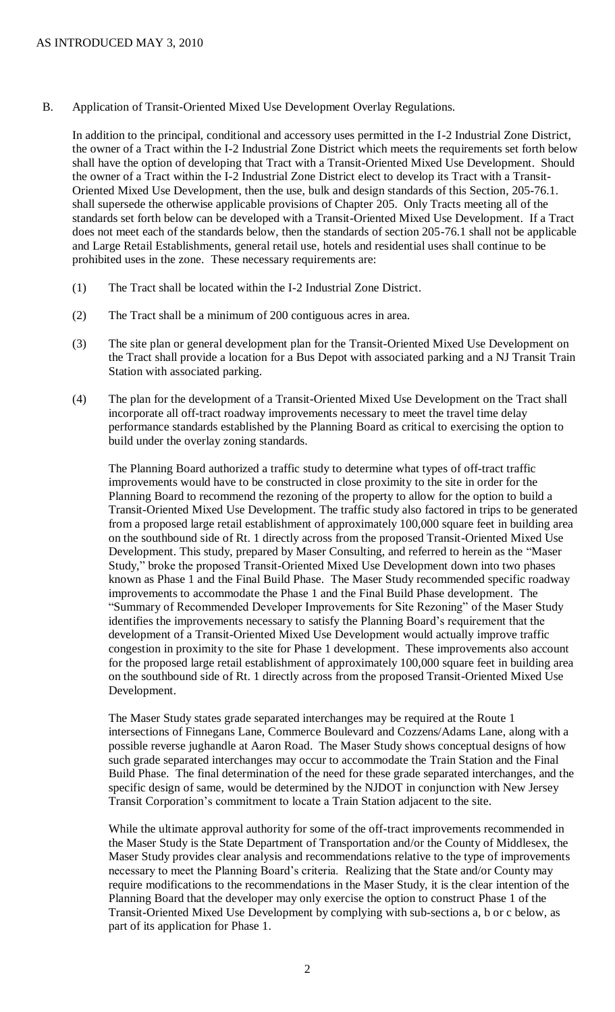B. Application of Transit-Oriented Mixed Use Development Overlay Regulations.

In addition to the principal, conditional and accessory uses permitted in the I-2 Industrial Zone District, the owner of a Tract within the I-2 Industrial Zone District which meets the requirements set forth below shall have the option of developing that Tract with a Transit-Oriented Mixed Use Development. Should the owner of a Tract within the I-2 Industrial Zone District elect to develop its Tract with a Transit-Oriented Mixed Use Development, then the use, bulk and design standards of this Section, 205-76.1. shall supersede the otherwise applicable provisions of Chapter 205. Only Tracts meeting all of the standards set forth below can be developed with a Transit-Oriented Mixed Use Development. If a Tract does not meet each of the standards below, then the standards of section 205-76.1 shall not be applicable and Large Retail Establishments, general retail use, hotels and residential uses shall continue to be prohibited uses in the zone. These necessary requirements are:

- (1) The Tract shall be located within the I-2 Industrial Zone District.
- (2) The Tract shall be a minimum of 200 contiguous acres in area.
- (3) The site plan or general development plan for the Transit-Oriented Mixed Use Development on the Tract shall provide a location for a Bus Depot with associated parking and a NJ Transit Train Station with associated parking.
- (4) The plan for the development of a Transit-Oriented Mixed Use Development on the Tract shall incorporate all off-tract roadway improvements necessary to meet the travel time delay performance standards established by the Planning Board as critical to exercising the option to build under the overlay zoning standards.

The Planning Board authorized a traffic study to determine what types of off-tract traffic improvements would have to be constructed in close proximity to the site in order for the Planning Board to recommend the rezoning of the property to allow for the option to build a Transit-Oriented Mixed Use Development. The traffic study also factored in trips to be generated from a proposed large retail establishment of approximately 100,000 square feet in building area on the southbound side of Rt. 1 directly across from the proposed Transit-Oriented Mixed Use Development. This study, prepared by Maser Consulting, and referred to herein as the "Maser Study," broke the proposed Transit-Oriented Mixed Use Development down into two phases known as Phase 1 and the Final Build Phase. The Maser Study recommended specific roadway improvements to accommodate the Phase 1 and the Final Build Phase development. The "Summary of Recommended Developer Improvements for Site Rezoning" of the Maser Study identifies the improvements necessary to satisfy the Planning Board's requirement that the development of a Transit-Oriented Mixed Use Development would actually improve traffic congestion in proximity to the site for Phase 1 development. These improvements also account for the proposed large retail establishment of approximately 100,000 square feet in building area on the southbound side of Rt. 1 directly across from the proposed Transit-Oriented Mixed Use Development.

The Maser Study states grade separated interchanges may be required at the Route 1 intersections of Finnegans Lane, Commerce Boulevard and Cozzens/Adams Lane, along with a possible reverse jughandle at Aaron Road. The Maser Study shows conceptual designs of how such grade separated interchanges may occur to accommodate the Train Station and the Final Build Phase. The final determination of the need for these grade separated interchanges, and the specific design of same, would be determined by the NJDOT in conjunction with New Jersey Transit Corporation's commitment to locate a Train Station adjacent to the site.

While the ultimate approval authority for some of the off-tract improvements recommended in the Maser Study is the State Department of Transportation and/or the County of Middlesex, the Maser Study provides clear analysis and recommendations relative to the type of improvements necessary to meet the Planning Board's criteria. Realizing that the State and/or County may require modifications to the recommendations in the Maser Study, it is the clear intention of the Planning Board that the developer may only exercise the option to construct Phase 1 of the Transit-Oriented Mixed Use Development by complying with sub-sections a, b or c below, as part of its application for Phase 1.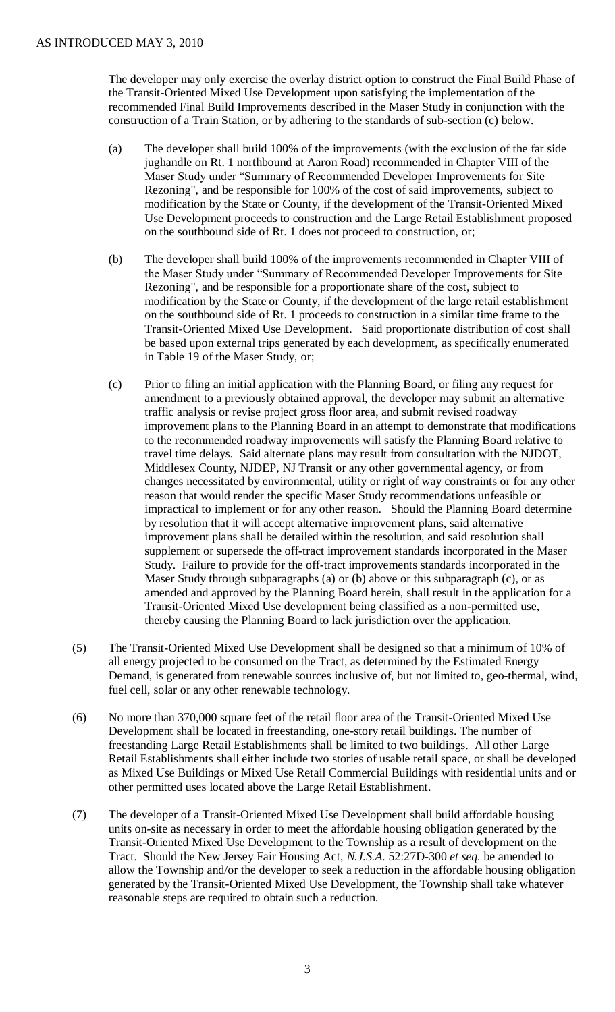The developer may only exercise the overlay district option to construct the Final Build Phase of the Transit-Oriented Mixed Use Development upon satisfying the implementation of the recommended Final Build Improvements described in the Maser Study in conjunction with the construction of a Train Station, or by adhering to the standards of sub-section (c) below.

- (a) The developer shall build 100% of the improvements (with the exclusion of the far side jughandle on Rt. 1 northbound at Aaron Road) recommended in Chapter VIII of the Maser Study under "Summary of Recommended Developer Improvements for Site Rezoning", and be responsible for 100% of the cost of said improvements, subject to modification by the State or County, if the development of the Transit-Oriented Mixed Use Development proceeds to construction and the Large Retail Establishment proposed on the southbound side of Rt. 1 does not proceed to construction, or;
- (b) The developer shall build 100% of the improvements recommended in Chapter VIII of the Maser Study under "Summary of Recommended Developer Improvements for Site Rezoning", and be responsible for a proportionate share of the cost, subject to modification by the State or County, if the development of the large retail establishment on the southbound side of Rt. 1 proceeds to construction in a similar time frame to the Transit-Oriented Mixed Use Development. Said proportionate distribution of cost shall be based upon external trips generated by each development, as specifically enumerated in Table 19 of the Maser Study, or;
- (c) Prior to filing an initial application with the Planning Board, or filing any request for amendment to a previously obtained approval, the developer may submit an alternative traffic analysis or revise project gross floor area, and submit revised roadway improvement plans to the Planning Board in an attempt to demonstrate that modifications to the recommended roadway improvements will satisfy the Planning Board relative to travel time delays. Said alternate plans may result from consultation with the NJDOT, Middlesex County, NJDEP, NJ Transit or any other governmental agency, or from changes necessitated by environmental, utility or right of way constraints or for any other reason that would render the specific Maser Study recommendations unfeasible or impractical to implement or for any other reason. Should the Planning Board determine by resolution that it will accept alternative improvement plans, said alternative improvement plans shall be detailed within the resolution, and said resolution shall supplement or supersede the off-tract improvement standards incorporated in the Maser Study. Failure to provide for the off-tract improvements standards incorporated in the Maser Study through subparagraphs (a) or (b) above or this subparagraph (c), or as amended and approved by the Planning Board herein, shall result in the application for a Transit-Oriented Mixed Use development being classified as a non-permitted use, thereby causing the Planning Board to lack jurisdiction over the application.
- (5) The Transit-Oriented Mixed Use Development shall be designed so that a minimum of 10% of all energy projected to be consumed on the Tract, as determined by the Estimated Energy Demand, is generated from renewable sources inclusive of, but not limited to, geo-thermal, wind, fuel cell, solar or any other renewable technology.
- (6) No more than 370,000 square feet of the retail floor area of the Transit-Oriented Mixed Use Development shall be located in freestanding, one-story retail buildings. The number of freestanding Large Retail Establishments shall be limited to two buildings. All other Large Retail Establishments shall either include two stories of usable retail space, or shall be developed as Mixed Use Buildings or Mixed Use Retail Commercial Buildings with residential units and or other permitted uses located above the Large Retail Establishment.
- (7) The developer of a Transit-Oriented Mixed Use Development shall build affordable housing units on-site as necessary in order to meet the affordable housing obligation generated by the Transit-Oriented Mixed Use Development to the Township as a result of development on the Tract. Should the New Jersey Fair Housing Act, *N.J.S.A.* 52:27D-300 *et seq.* be amended to allow the Township and/or the developer to seek a reduction in the affordable housing obligation generated by the Transit-Oriented Mixed Use Development, the Township shall take whatever reasonable steps are required to obtain such a reduction.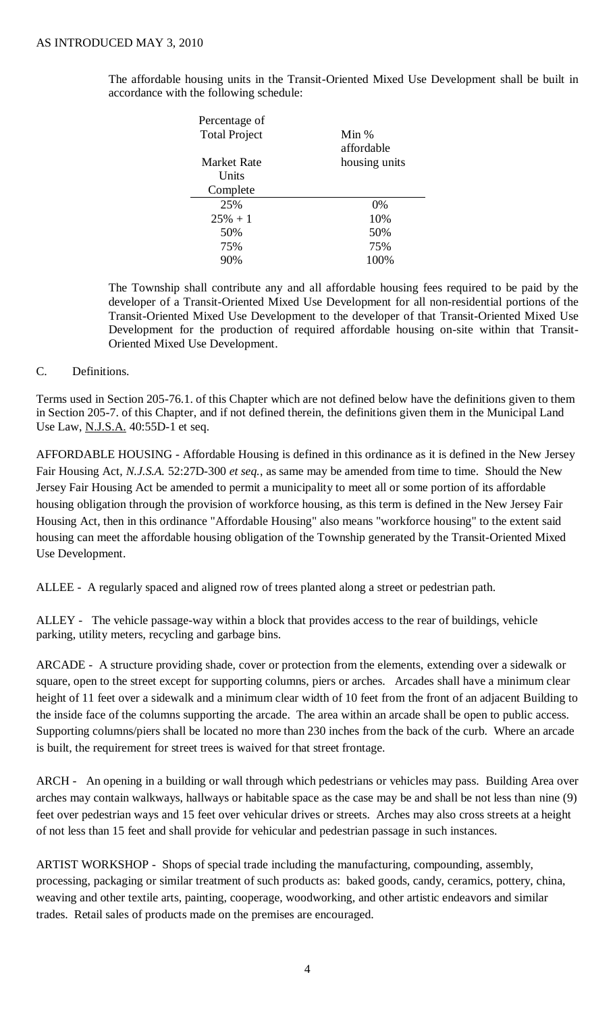The affordable housing units in the Transit-Oriented Mixed Use Development shall be built in accordance with the following schedule:

| Percentage of        |               |
|----------------------|---------------|
| <b>Total Project</b> | Min %         |
|                      | affordable    |
| <b>Market Rate</b>   | housing units |
| Units                |               |
| Complete             |               |
| 25%                  | $0\%$         |
| $25% + 1$            | 10%           |
| 50%                  | 50%           |
| 75%                  | 75%           |
| 90%                  | 100%          |

The Township shall contribute any and all affordable housing fees required to be paid by the developer of a Transit-Oriented Mixed Use Development for all non-residential portions of the Transit-Oriented Mixed Use Development to the developer of that Transit-Oriented Mixed Use Development for the production of required affordable housing on-site within that Transit-Oriented Mixed Use Development.

### C. Definitions.

Terms used in Section 205-76.1. of this Chapter which are not defined below have the definitions given to them in Section 205-7. of this Chapter, and if not defined therein, the definitions given them in the Municipal Land Use Law, N.J.S.A. 40:55D-1 et seq.

AFFORDABLE HOUSING - Affordable Housing is defined in this ordinance as it is defined in the New Jersey Fair Housing Act, *N.J.S.A.* 52:27D-300 *et seq.*, as same may be amended from time to time. Should the New Jersey Fair Housing Act be amended to permit a municipality to meet all or some portion of its affordable housing obligation through the provision of workforce housing, as this term is defined in the New Jersey Fair Housing Act, then in this ordinance "Affordable Housing" also means "workforce housing" to the extent said housing can meet the affordable housing obligation of the Township generated by the Transit-Oriented Mixed Use Development.

ALLEE - A regularly spaced and aligned row of trees planted along a street or pedestrian path.

ALLEY - The vehicle passage-way within a block that provides access to the rear of buildings, vehicle parking, utility meters, recycling and garbage bins.

ARCADE - A structure providing shade, cover or protection from the elements, extending over a sidewalk or square, open to the street except for supporting columns, piers or arches. Arcades shall have a minimum clear height of 11 feet over a sidewalk and a minimum clear width of 10 feet from the front of an adjacent Building to the inside face of the columns supporting the arcade. The area within an arcade shall be open to public access. Supporting columns/piers shall be located no more than 230 inches from the back of the curb. Where an arcade is built, the requirement for street trees is waived for that street frontage.

ARCH - An opening in a building or wall through which pedestrians or vehicles may pass. Building Area over arches may contain walkways, hallways or habitable space as the case may be and shall be not less than nine (9) feet over pedestrian ways and 15 feet over vehicular drives or streets. Arches may also cross streets at a height of not less than 15 feet and shall provide for vehicular and pedestrian passage in such instances.

ARTIST WORKSHOP - Shops of special trade including the manufacturing, compounding, assembly, processing, packaging or similar treatment of such products as: baked goods, candy, ceramics, pottery, china, weaving and other textile arts, painting, cooperage, woodworking, and other artistic endeavors and similar trades. Retail sales of products made on the premises are encouraged.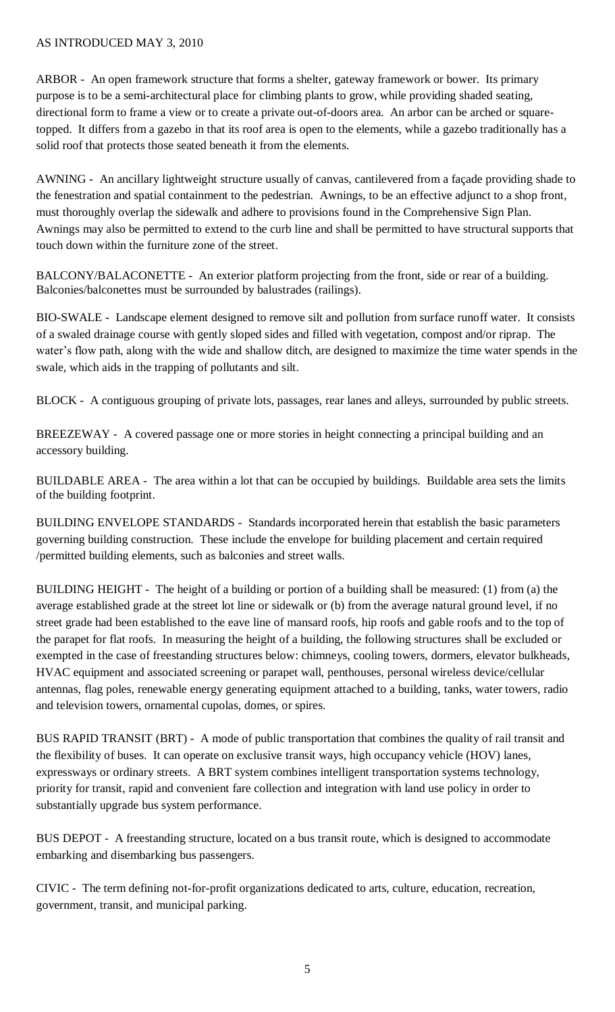ARBOR - An open framework structure that forms a shelter, gateway framework or bower. Its primary purpose is to be a semi-architectural place for climbing plants to grow, while providing shaded seating, directional form to frame a view or to create a private out-of-doors area. An arbor can be arched or squaretopped. It differs from a gazebo in that its roof area is open to the elements, while a gazebo traditionally has a solid roof that protects those seated beneath it from the elements.

AWNING - An ancillary lightweight structure usually of canvas, cantilevered from a façade providing shade to the fenestration and spatial containment to the pedestrian. Awnings, to be an effective adjunct to a shop front, must thoroughly overlap the sidewalk and adhere to provisions found in the Comprehensive Sign Plan. Awnings may also be permitted to extend to the curb line and shall be permitted to have structural supports that touch down within the furniture zone of the street.

BALCONY/BALACONETTE - An exterior platform projecting from the front, side or rear of a building. Balconies/balconettes must be surrounded by balustrades (railings).

BIO-SWALE - Landscape element designed to remove silt and pollution from surface runoff water. It consists of a swaled drainage course with gently sloped sides and filled with vegetation, compost and/or riprap. The water's flow path, along with the wide and shallow ditch, are designed to maximize the time water spends in the swale, which aids in the trapping of pollutants and silt.

BLOCK - A contiguous grouping of private lots, passages, rear lanes and alleys, surrounded by public streets.

BREEZEWAY - A covered passage one or more stories in height connecting a principal building and an accessory building.

BUILDABLE AREA - The area within a lot that can be occupied by buildings. Buildable area sets the limits of the building footprint.

BUILDING ENVELOPE STANDARDS - Standards incorporated herein that establish the basic parameters governing building construction. These include the envelope for building placement and certain required /permitted building elements, such as balconies and street walls.

BUILDING HEIGHT - The height of a building or portion of a building shall be measured: (1) from (a) the average established grade at the street lot line or sidewalk or (b) from the average natural ground level, if no street grade had been established to the eave line of mansard roofs, hip roofs and gable roofs and to the top of the parapet for flat roofs. In measuring the height of a building, the following structures shall be excluded or exempted in the case of freestanding structures below: chimneys, cooling towers, dormers, elevator bulkheads, HVAC equipment and associated screening or parapet wall, penthouses, personal wireless device/cellular antennas, flag poles, renewable energy generating equipment attached to a building, tanks, water towers, radio and television towers, ornamental cupolas, domes, or spires.

BUS RAPID TRANSIT (BRT) - A mode of public transportation that combines the quality of rail transit and the flexibility of buses. It can operate on exclusive transit ways, high occupancy vehicle (HOV) lanes, expressways or ordinary streets. A BRT system combines intelligent transportation systems technology, priority for transit, rapid and convenient fare collection and integration with land use policy in order to substantially upgrade bus system performance.

BUS DEPOT - A freestanding structure, located on a bus transit route, which is designed to accommodate embarking and disembarking bus passengers.

CIVIC - The term defining not-for-profit organizations dedicated to arts, culture, education, recreation, government, transit, and municipal parking.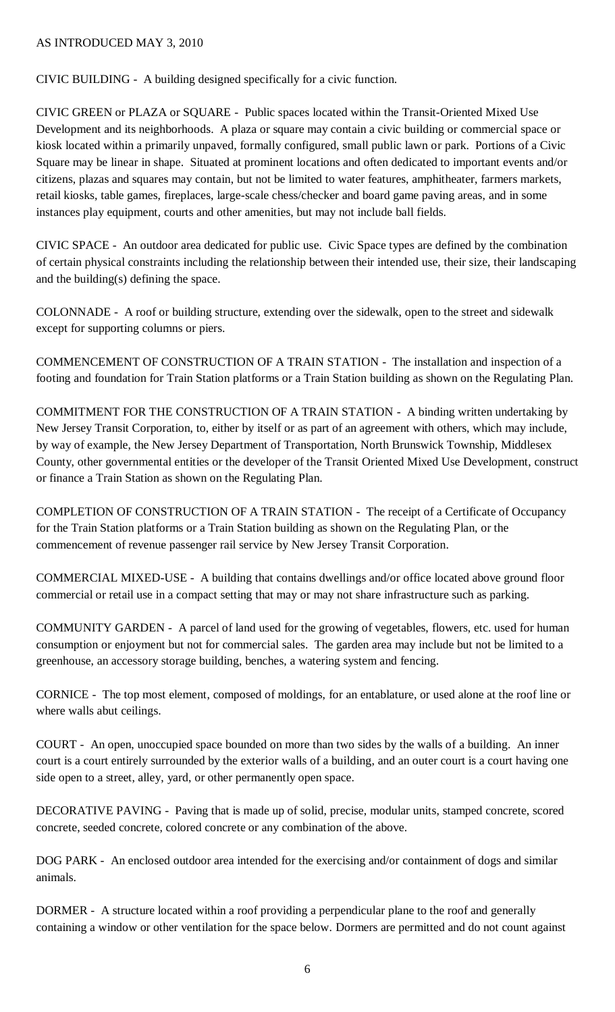CIVIC BUILDING - A building designed specifically for a civic function.

CIVIC GREEN or PLAZA or SQUARE - Public spaces located within the Transit-Oriented Mixed Use Development and its neighborhoods. A plaza or square may contain a civic building or commercial space or kiosk located within a primarily unpaved, formally configured, small public lawn or park. Portions of a Civic Square may be linear in shape. Situated at prominent locations and often dedicated to important events and/or citizens, plazas and squares may contain, but not be limited to water features, amphitheater, farmers markets, retail kiosks, table games, fireplaces, large-scale chess/checker and board game paving areas, and in some instances play equipment, courts and other amenities, but may not include ball fields.

CIVIC SPACE - An outdoor area dedicated for public use. Civic Space types are defined by the combination of certain physical constraints including the relationship between their intended use, their size, their landscaping and the building(s) defining the space.

COLONNADE - A roof or building structure, extending over the sidewalk, open to the street and sidewalk except for supporting columns or piers.

COMMENCEMENT OF CONSTRUCTION OF A TRAIN STATION - The installation and inspection of a footing and foundation for Train Station platforms or a Train Station building as shown on the Regulating Plan.

COMMITMENT FOR THE CONSTRUCTION OF A TRAIN STATION - A binding written undertaking by New Jersey Transit Corporation, to, either by itself or as part of an agreement with others, which may include, by way of example, the New Jersey Department of Transportation, North Brunswick Township, Middlesex County, other governmental entities or the developer of the Transit Oriented Mixed Use Development, construct or finance a Train Station as shown on the Regulating Plan.

COMPLETION OF CONSTRUCTION OF A TRAIN STATION - The receipt of a Certificate of Occupancy for the Train Station platforms or a Train Station building as shown on the Regulating Plan, or the commencement of revenue passenger rail service by New Jersey Transit Corporation.

COMMERCIAL MIXED-USE - A building that contains dwellings and/or office located above ground floor commercial or retail use in a compact setting that may or may not share infrastructure such as parking.

COMMUNITY GARDEN - A parcel of land used for the growing of vegetables, flowers, etc. used for human consumption or enjoyment but not for commercial sales. The garden area may include but not be limited to a greenhouse, an accessory storage building, benches, a watering system and fencing.

CORNICE - The top most element, composed of moldings, for an entablature, or used alone at the roof line or where walls abut ceilings.

COURT - An open, unoccupied space bounded on more than two sides by the walls of a building. An inner court is a court entirely surrounded by the exterior walls of a building, and an outer court is a court having one side open to a street, alley, yard, or other permanently open space.

DECORATIVE PAVING - Paving that is made up of solid, precise, modular units, stamped concrete, scored concrete, seeded concrete, colored concrete or any combination of the above.

DOG PARK - An enclosed outdoor area intended for the exercising and/or containment of dogs and similar animals.

DORMER - A structure located within a roof providing a perpendicular plane to the roof and generally containing a window or other ventilation for the space below. Dormers are permitted and do not count against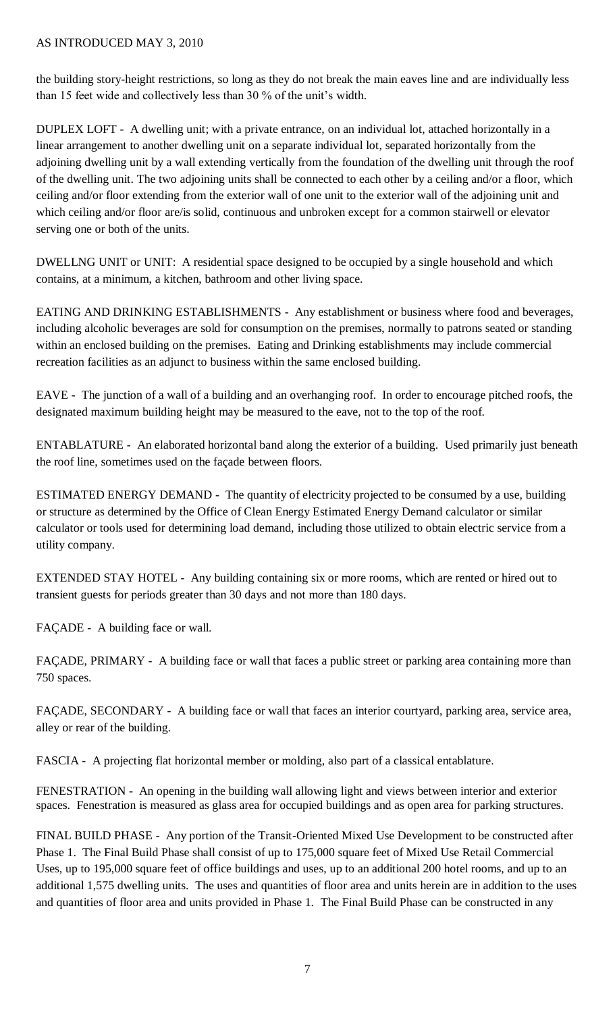the building story-height restrictions, so long as they do not break the main eaves line and are individually less than 15 feet wide and collectively less than 30 % of the unit's width.

DUPLEX LOFT - A dwelling unit; with a private entrance, on an individual lot, attached horizontally in a linear arrangement to another dwelling unit on a separate individual lot, separated horizontally from the adjoining dwelling unit by a wall extending vertically from the foundation of the dwelling unit through the roof of the dwelling unit. The two adjoining units shall be connected to each other by a ceiling and/or a floor, which ceiling and/or floor extending from the exterior wall of one unit to the exterior wall of the adjoining unit and which ceiling and/or floor are/is solid, continuous and unbroken except for a common stairwell or elevator serving one or both of the units.

DWELLNG UNIT or UNIT: A residential space designed to be occupied by a single household and which contains, at a minimum, a kitchen, bathroom and other living space.

EATING AND DRINKING ESTABLISHMENTS - Any establishment or business where food and beverages, including alcoholic beverages are sold for consumption on the premises, normally to patrons seated or standing within an enclosed building on the premises. Eating and Drinking establishments may include commercial recreation facilities as an adjunct to business within the same enclosed building.

EAVE - The junction of a wall of a building and an overhanging roof. In order to encourage pitched roofs, the designated maximum building height may be measured to the eave, not to the top of the roof.

ENTABLATURE - An elaborated horizontal band along the exterior of a building. Used primarily just beneath the roof line, sometimes used on the façade between floors.

ESTIMATED ENERGY DEMAND - The quantity of electricity projected to be consumed by a use, building or structure as determined by the Office of Clean Energy Estimated Energy Demand calculator or similar calculator or tools used for determining load demand, including those utilized to obtain electric service from a utility company.

EXTENDED STAY HOTEL - Any building containing six or more rooms, which are rented or hired out to transient guests for periods greater than 30 days and not more than 180 days.

FAÇADE - A building face or wall.

FAÇADE, PRIMARY - A building face or wall that faces a public street or parking area containing more than 750 spaces.

FAÇADE, SECONDARY - A building face or wall that faces an interior courtyard, parking area, service area, alley or rear of the building.

FASCIA - A projecting flat horizontal member or molding, also part of a classical entablature.

FENESTRATION - An opening in the building wall allowing light and views between interior and exterior spaces. Fenestration is measured as glass area for occupied buildings and as open area for parking structures.

FINAL BUILD PHASE - Any portion of the Transit-Oriented Mixed Use Development to be constructed after Phase 1. The Final Build Phase shall consist of up to 175,000 square feet of Mixed Use Retail Commercial Uses, up to 195,000 square feet of office buildings and uses, up to an additional 200 hotel rooms, and up to an additional 1,575 dwelling units. The uses and quantities of floor area and units herein are in addition to the uses and quantities of floor area and units provided in Phase 1. The Final Build Phase can be constructed in any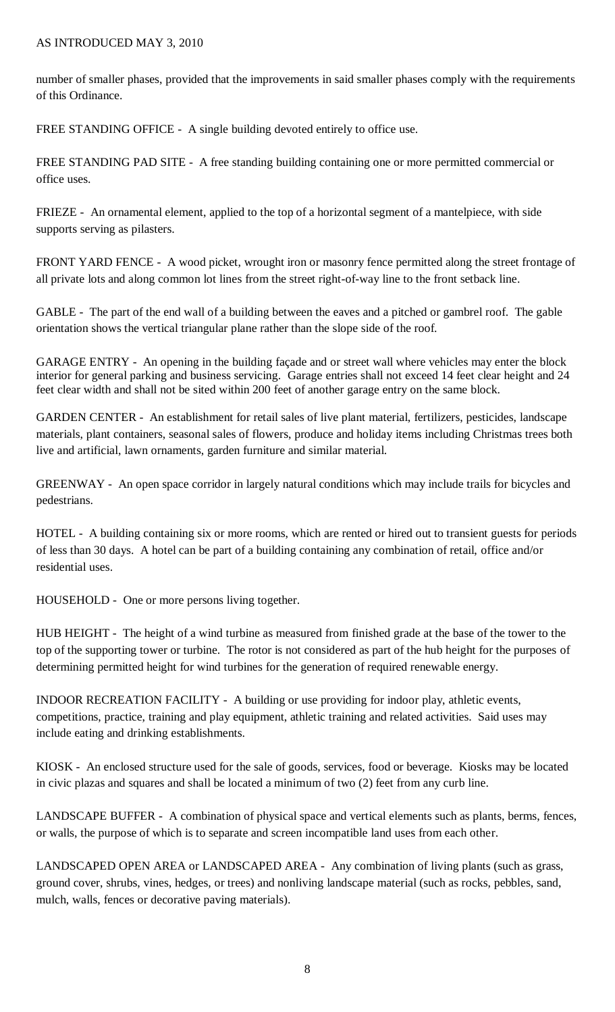number of smaller phases, provided that the improvements in said smaller phases comply with the requirements of this Ordinance.

FREE STANDING OFFICE - A single building devoted entirely to office use.

FREE STANDING PAD SITE - A free standing building containing one or more permitted commercial or office uses.

FRIEZE - An ornamental element, applied to the top of a horizontal segment of a mantelpiece, with side supports serving as pilasters.

FRONT YARD FENCE - A wood picket, wrought iron or masonry fence permitted along the street frontage of all private lots and along common lot lines from the street right-of-way line to the front setback line.

GABLE - The part of the end wall of a building between the eaves and a pitched or gambrel roof. The gable orientation shows the vertical triangular plane rather than the slope side of the roof.

GARAGE ENTRY - An opening in the building façade and or street wall where vehicles may enter the block interior for general parking and business servicing. Garage entries shall not exceed 14 feet clear height and 24 feet clear width and shall not be sited within 200 feet of another garage entry on the same block.

GARDEN CENTER - An establishment for retail sales of live plant material, fertilizers, pesticides, landscape materials, plant containers, seasonal sales of flowers, produce and holiday items including Christmas trees both live and artificial, lawn ornaments, garden furniture and similar material.

GREENWAY - An open space corridor in largely natural conditions which may include trails for bicycles and pedestrians.

HOTEL - A building containing six or more rooms, which are rented or hired out to transient guests for periods of less than 30 days. A hotel can be part of a building containing any combination of retail, office and/or residential uses.

HOUSEHOLD - One or more persons living together.

HUB HEIGHT - The height of a wind turbine as measured from finished grade at the base of the tower to the top of the supporting tower or turbine. The rotor is not considered as part of the hub height for the purposes of determining permitted height for wind turbines for the generation of required renewable energy.

INDOOR RECREATION FACILITY - A building or use providing for indoor play, athletic events, competitions, practice, training and play equipment, athletic training and related activities. Said uses may include eating and drinking establishments.

KIOSK - An enclosed structure used for the sale of goods, services, food or beverage. Kiosks may be located in civic plazas and squares and shall be located a minimum of two (2) feet from any curb line.

LANDSCAPE BUFFER - A combination of physical space and vertical elements such as plants, berms, fences, or walls, the purpose of which is to separate and screen incompatible land uses from each other.

LANDSCAPED OPEN AREA or LANDSCAPED AREA - Any combination of living plants (such as grass, ground cover, shrubs, vines, hedges, or trees) and nonliving landscape material (such as rocks, pebbles, sand, mulch, walls, fences or decorative paving materials).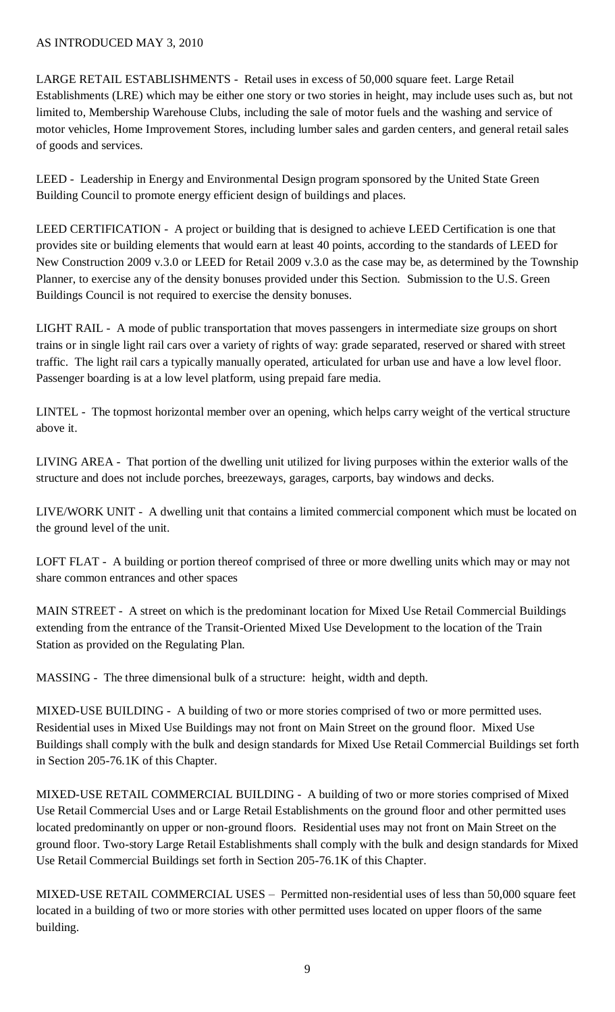LARGE RETAIL ESTABLISHMENTS - Retail uses in excess of 50,000 square feet. Large Retail Establishments (LRE) which may be either one story or two stories in height, may include uses such as, but not limited to, Membership Warehouse Clubs, including the sale of motor fuels and the washing and service of motor vehicles, Home Improvement Stores, including lumber sales and garden centers, and general retail sales of goods and services.

LEED - Leadership in Energy and Environmental Design program sponsored by the United State Green Building Council to promote energy efficient design of buildings and places.

LEED CERTIFICATION - A project or building that is designed to achieve LEED Certification is one that provides site or building elements that would earn at least 40 points, according to the standards of LEED for New Construction 2009 v.3.0 or LEED for Retail 2009 v.3.0 as the case may be, as determined by the Township Planner, to exercise any of the density bonuses provided under this Section. Submission to the U.S. Green Buildings Council is not required to exercise the density bonuses.

LIGHT RAIL - A mode of public transportation that moves passengers in intermediate size groups on short trains or in single light rail cars over a variety of rights of way: grade separated, reserved or shared with street traffic. The light rail cars a typically manually operated, articulated for urban use and have a low level floor. Passenger boarding is at a low level platform, using prepaid fare media.

LINTEL - The topmost horizontal member over an opening, which helps carry weight of the vertical structure above it.

LIVING AREA - That portion of the dwelling unit utilized for living purposes within the exterior walls of the structure and does not include porches, breezeways, garages, carports, bay windows and decks.

LIVE/WORK UNIT - A dwelling unit that contains a limited commercial component which must be located on the ground level of the unit.

LOFT FLAT - A building or portion thereof comprised of three or more dwelling units which may or may not share common entrances and other spaces

MAIN STREET - A street on which is the predominant location for Mixed Use Retail Commercial Buildings extending from the entrance of the Transit-Oriented Mixed Use Development to the location of the Train Station as provided on the Regulating Plan.

MASSING - The three dimensional bulk of a structure: height, width and depth.

MIXED-USE BUILDING - A building of two or more stories comprised of two or more permitted uses. Residential uses in Mixed Use Buildings may not front on Main Street on the ground floor. Mixed Use Buildings shall comply with the bulk and design standards for Mixed Use Retail Commercial Buildings set forth in Section 205-76.1K of this Chapter.

MIXED-USE RETAIL COMMERCIAL BUILDING - A building of two or more stories comprised of Mixed Use Retail Commercial Uses and or Large Retail Establishments on the ground floor and other permitted uses located predominantly on upper or non-ground floors. Residential uses may not front on Main Street on the ground floor. Two-story Large Retail Establishments shall comply with the bulk and design standards for Mixed Use Retail Commercial Buildings set forth in Section 205-76.1K of this Chapter.

MIXED-USE RETAIL COMMERCIAL USES – Permitted non-residential uses of less than 50,000 square feet located in a building of two or more stories with other permitted uses located on upper floors of the same building.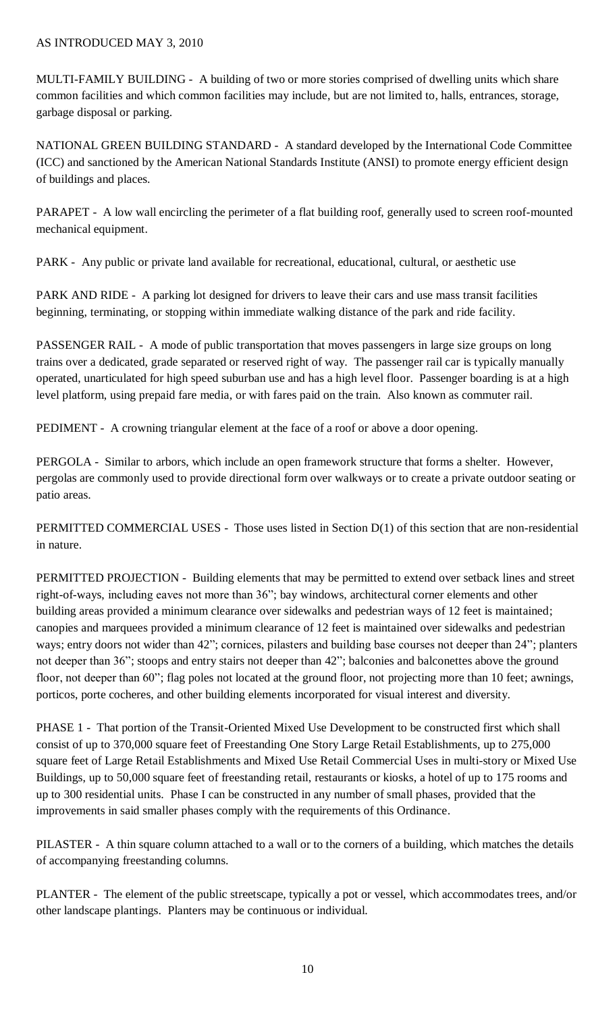MULTI-FAMILY BUILDING - A building of two or more stories comprised of dwelling units which share common facilities and which common facilities may include, but are not limited to, halls, entrances, storage, garbage disposal or parking.

NATIONAL GREEN BUILDING STANDARD - A standard developed by the International Code Committee (ICC) and sanctioned by the American National Standards Institute (ANSI) to promote energy efficient design of buildings and places.

PARAPET - A low wall encircling the perimeter of a flat building roof, generally used to screen roof-mounted mechanical equipment.

PARK - Any public or private land available for recreational, educational, cultural, or aesthetic use

PARK AND RIDE - A parking lot designed for drivers to leave their cars and use mass transit facilities beginning, terminating, or stopping within immediate walking distance of the park and ride facility.

PASSENGER RAIL - A mode of public transportation that moves passengers in large size groups on long trains over a dedicated, grade separated or reserved right of way. The passenger rail car is typically manually operated, unarticulated for high speed suburban use and has a high level floor. Passenger boarding is at a high level platform, using prepaid fare media, or with fares paid on the train. Also known as commuter rail.

PEDIMENT - A crowning triangular element at the face of a roof or above a door opening.

PERGOLA - Similar to arbors, which include an open framework structure that forms a shelter. However, pergolas are commonly used to provide directional form over walkways or to create a private outdoor seating or patio areas.

PERMITTED COMMERCIAL USES - Those uses listed in Section D(1) of this section that are non-residential in nature.

PERMITTED PROJECTION - Building elements that may be permitted to extend over setback lines and street right-of-ways, including eaves not more than 36"; bay windows, architectural corner elements and other building areas provided a minimum clearance over sidewalks and pedestrian ways of 12 feet is maintained; canopies and marquees provided a minimum clearance of 12 feet is maintained over sidewalks and pedestrian ways; entry doors not wider than 42"; cornices, pilasters and building base courses not deeper than 24"; planters not deeper than 36"; stoops and entry stairs not deeper than 42"; balconies and balconettes above the ground floor, not deeper than 60"; flag poles not located at the ground floor, not projecting more than 10 feet; awnings, porticos, porte cocheres, and other building elements incorporated for visual interest and diversity.

PHASE 1 - That portion of the Transit-Oriented Mixed Use Development to be constructed first which shall consist of up to 370,000 square feet of Freestanding One Story Large Retail Establishments, up to 275,000 square feet of Large Retail Establishments and Mixed Use Retail Commercial Uses in multi-story or Mixed Use Buildings, up to 50,000 square feet of freestanding retail, restaurants or kiosks, a hotel of up to 175 rooms and up to 300 residential units. Phase I can be constructed in any number of small phases, provided that the improvements in said smaller phases comply with the requirements of this Ordinance.

PILASTER - A thin square column attached to a wall or to the corners of a building, which matches the details of accompanying freestanding columns.

PLANTER - The element of the public streetscape, typically a pot or vessel, which accommodates trees, and/or other landscape plantings. Planters may be continuous or individual.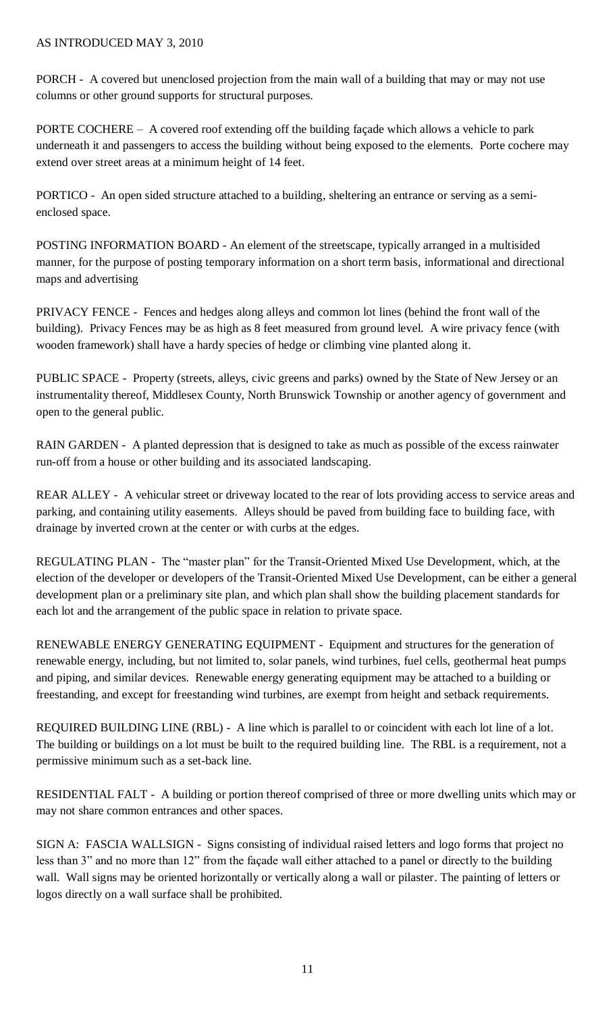PORCH - A covered but unenclosed projection from the main wall of a building that may or may not use columns or other ground supports for structural purposes.

PORTE COCHERE – A covered roof extending off the building façade which allows a vehicle to park underneath it and passengers to access the building without being exposed to the elements. Porte cochere may extend over street areas at a minimum height of 14 feet.

PORTICO - An open sided structure attached to a building, sheltering an entrance or serving as a semienclosed space.

POSTING INFORMATION BOARD - An element of the streetscape, typically arranged in a multisided manner, for the purpose of posting temporary information on a short term basis, informational and directional maps and advertising

PRIVACY FENCE - Fences and hedges along alleys and common lot lines (behind the front wall of the building). Privacy Fences may be as high as 8 feet measured from ground level. A wire privacy fence (with wooden framework) shall have a hardy species of hedge or climbing vine planted along it.

PUBLIC SPACE - Property (streets, alleys, civic greens and parks) owned by the State of New Jersey or an instrumentality thereof, Middlesex County, North Brunswick Township or another agency of government and open to the general public.

RAIN GARDEN - A planted depression that is designed to take as much as possible of the excess rainwater run-off from a house or other building and its associated landscaping.

REAR ALLEY - A vehicular street or driveway located to the rear of lots providing access to service areas and parking, and containing utility easements. Alleys should be paved from building face to building face, with drainage by inverted crown at the center or with curbs at the edges.

REGULATING PLAN - The "master plan" for the Transit-Oriented Mixed Use Development, which, at the election of the developer or developers of the Transit-Oriented Mixed Use Development, can be either a general development plan or a preliminary site plan, and which plan shall show the building placement standards for each lot and the arrangement of the public space in relation to private space.

RENEWABLE ENERGY GENERATING EQUIPMENT - Equipment and structures for the generation of renewable energy, including, but not limited to, solar panels, wind turbines, fuel cells, geothermal heat pumps and piping, and similar devices. Renewable energy generating equipment may be attached to a building or freestanding, and except for freestanding wind turbines, are exempt from height and setback requirements.

REQUIRED BUILDING LINE (RBL) - A line which is parallel to or coincident with each lot line of a lot. The building or buildings on a lot must be built to the required building line. The RBL is a requirement, not a permissive minimum such as a set-back line.

RESIDENTIAL FALT - A building or portion thereof comprised of three or more dwelling units which may or may not share common entrances and other spaces.

SIGN A: FASCIA WALLSIGN - Signs consisting of individual raised letters and logo forms that project no less than 3" and no more than 12" from the façade wall either attached to a panel or directly to the building wall. Wall signs may be oriented horizontally or vertically along a wall or pilaster. The painting of letters or logos directly on a wall surface shall be prohibited.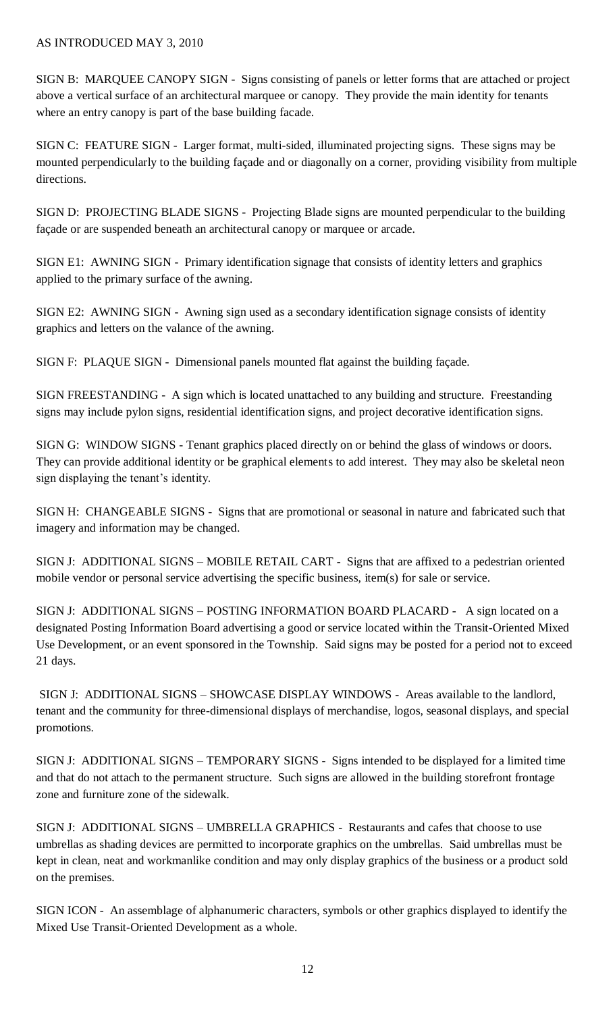SIGN B: MARQUEE CANOPY SIGN - Signs consisting of panels or letter forms that are attached or project above a vertical surface of an architectural marquee or canopy. They provide the main identity for tenants where an entry canopy is part of the base building facade.

SIGN C: FEATURE SIGN - Larger format, multi-sided, illuminated projecting signs. These signs may be mounted perpendicularly to the building façade and or diagonally on a corner, providing visibility from multiple directions.

SIGN D: PROJECTING BLADE SIGNS - Projecting Blade signs are mounted perpendicular to the building façade or are suspended beneath an architectural canopy or marquee or arcade.

SIGN E1: AWNING SIGN - Primary identification signage that consists of identity letters and graphics applied to the primary surface of the awning.

SIGN E2: AWNING SIGN - Awning sign used as a secondary identification signage consists of identity graphics and letters on the valance of the awning.

SIGN F: PLAQUE SIGN - Dimensional panels mounted flat against the building façade.

SIGN FREESTANDING - A sign which is located unattached to any building and structure. Freestanding signs may include pylon signs, residential identification signs, and project decorative identification signs.

SIGN G: WINDOW SIGNS - Tenant graphics placed directly on or behind the glass of windows or doors. They can provide additional identity or be graphical elements to add interest. They may also be skeletal neon sign displaying the tenant's identity.

SIGN H: CHANGEABLE SIGNS - Signs that are promotional or seasonal in nature and fabricated such that imagery and information may be changed.

SIGN J: ADDITIONAL SIGNS – MOBILE RETAIL CART - Signs that are affixed to a pedestrian oriented mobile vendor or personal service advertising the specific business, item(s) for sale or service.

SIGN J: ADDITIONAL SIGNS – POSTING INFORMATION BOARD PLACARD - A sign located on a designated Posting Information Board advertising a good or service located within the Transit-Oriented Mixed Use Development, or an event sponsored in the Township. Said signs may be posted for a period not to exceed 21 days.

SIGN J: ADDITIONAL SIGNS – SHOWCASE DISPLAY WINDOWS - Areas available to the landlord, tenant and the community for three-dimensional displays of merchandise, logos, seasonal displays, and special promotions.

SIGN J: ADDITIONAL SIGNS – TEMPORARY SIGNS - Signs intended to be displayed for a limited time and that do not attach to the permanent structure. Such signs are allowed in the building storefront frontage zone and furniture zone of the sidewalk.

SIGN J: ADDITIONAL SIGNS – UMBRELLA GRAPHICS - Restaurants and cafes that choose to use umbrellas as shading devices are permitted to incorporate graphics on the umbrellas. Said umbrellas must be kept in clean, neat and workmanlike condition and may only display graphics of the business or a product sold on the premises.

SIGN ICON - An assemblage of alphanumeric characters, symbols or other graphics displayed to identify the Mixed Use Transit-Oriented Development as a whole.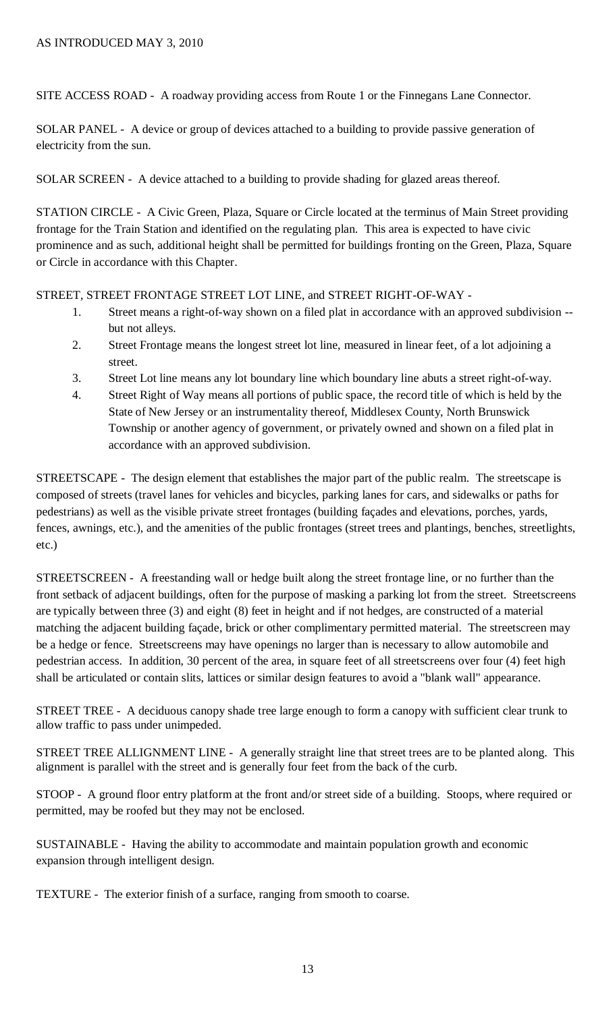SITE ACCESS ROAD - A roadway providing access from Route 1 or the Finnegans Lane Connector.

SOLAR PANEL - A device or group of devices attached to a building to provide passive generation of electricity from the sun.

SOLAR SCREEN - A device attached to a building to provide shading for glazed areas thereof.

STATION CIRCLE - A Civic Green, Plaza, Square or Circle located at the terminus of Main Street providing frontage for the Train Station and identified on the regulating plan. This area is expected to have civic prominence and as such, additional height shall be permitted for buildings fronting on the Green, Plaza, Square or Circle in accordance with this Chapter.

STREET, STREET FRONTAGE STREET LOT LINE, and STREET RIGHT-OF-WAY -

- 1. Street means a right-of-way shown on a filed plat in accordance with an approved subdivision but not alleys.
- 2. Street Frontage means the longest street lot line, measured in linear feet, of a lot adjoining a street.
- 3. Street Lot line means any lot boundary line which boundary line abuts a street right-of-way.
- 4. Street Right of Way means all portions of public space, the record title of which is held by the State of New Jersey or an instrumentality thereof, Middlesex County, North Brunswick Township or another agency of government, or privately owned and shown on a filed plat in accordance with an approved subdivision.

STREETSCAPE - The design element that establishes the major part of the public realm. The streetscape is composed of streets (travel lanes for vehicles and bicycles, parking lanes for cars, and sidewalks or paths for pedestrians) as well as the visible private street frontages (building façades and elevations, porches, yards, fences, awnings, etc.), and the amenities of the public frontages (street trees and plantings, benches, streetlights, etc.)

STREETSCREEN - A freestanding wall or hedge built along the street frontage line, or no further than the front setback of adjacent buildings, often for the purpose of masking a parking lot from the street. Streetscreens are typically between three (3) and eight (8) feet in height and if not hedges, are constructed of a material matching the adjacent building façade, brick or other complimentary permitted material. The streetscreen may be a hedge or fence. Streetscreens may have openings no larger than is necessary to allow automobile and pedestrian access. In addition, 30 percent of the area, in square feet of all streetscreens over four (4) feet high shall be articulated or contain slits, lattices or similar design features to avoid a "blank wall" appearance.

STREET TREE - A deciduous canopy shade tree large enough to form a canopy with sufficient clear trunk to allow traffic to pass under unimpeded.

STREET TREE ALLIGNMENT LINE - A generally straight line that street trees are to be planted along. This alignment is parallel with the street and is generally four feet from the back of the curb.

STOOP - A ground floor entry platform at the front and/or street side of a building. Stoops, where required or permitted, may be roofed but they may not be enclosed.

SUSTAINABLE - Having the ability to accommodate and maintain population growth and economic expansion through intelligent design.

TEXTURE - The exterior finish of a surface, ranging from smooth to coarse.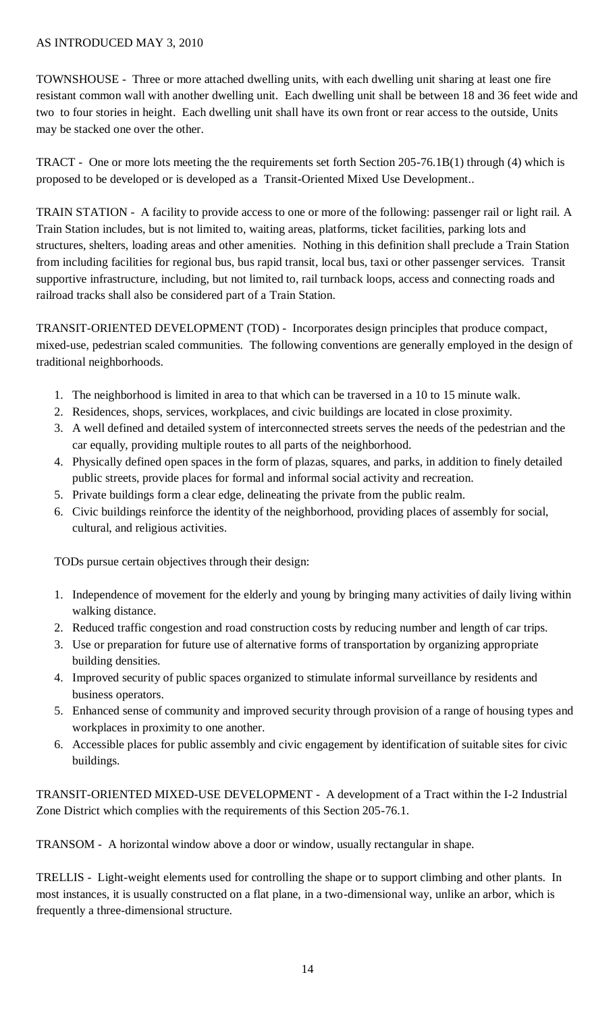TOWNSHOUSE - Three or more attached dwelling units, with each dwelling unit sharing at least one fire resistant common wall with another dwelling unit. Each dwelling unit shall be between 18 and 36 feet wide and two to four stories in height. Each dwelling unit shall have its own front or rear access to the outside, Units may be stacked one over the other.

TRACT - One or more lots meeting the the requirements set forth Section 205-76.1B(1) through (4) which is proposed to be developed or is developed as a Transit-Oriented Mixed Use Development..

TRAIN STATION - A facility to provide access to one or more of the following: passenger rail or light rail. A Train Station includes, but is not limited to, waiting areas, platforms, ticket facilities, parking lots and structures, shelters, loading areas and other amenities. Nothing in this definition shall preclude a Train Station from including facilities for regional bus, bus rapid transit, local bus, taxi or other passenger services. Transit supportive infrastructure, including, but not limited to, rail turnback loops, access and connecting roads and railroad tracks shall also be considered part of a Train Station.

TRANSIT-ORIENTED DEVELOPMENT (TOD) - Incorporates design principles that produce compact, mixed-use, pedestrian scaled communities. The following conventions are generally employed in the design of traditional neighborhoods.

- 1. The neighborhood is limited in area to that which can be traversed in a 10 to 15 minute walk.
- 2. Residences, shops, services, workplaces, and civic buildings are located in close proximity.
- 3. A well defined and detailed system of interconnected streets serves the needs of the pedestrian and the car equally, providing multiple routes to all parts of the neighborhood.
- 4. Physically defined open spaces in the form of plazas, squares, and parks, in addition to finely detailed public streets, provide places for formal and informal social activity and recreation.
- 5. Private buildings form a clear edge, delineating the private from the public realm.
- 6. Civic buildings reinforce the identity of the neighborhood, providing places of assembly for social, cultural, and religious activities.

TODs pursue certain objectives through their design:

- 1. Independence of movement for the elderly and young by bringing many activities of daily living within walking distance.
- 2. Reduced traffic congestion and road construction costs by reducing number and length of car trips.
- 3. Use or preparation for future use of alternative forms of transportation by organizing appropriate building densities.
- 4. Improved security of public spaces organized to stimulate informal surveillance by residents and business operators.
- 5. Enhanced sense of community and improved security through provision of a range of housing types and workplaces in proximity to one another.
- 6. Accessible places for public assembly and civic engagement by identification of suitable sites for civic buildings.

TRANSIT-ORIENTED MIXED-USE DEVELOPMENT - A development of a Tract within the I-2 Industrial Zone District which complies with the requirements of this Section 205-76.1.

TRANSOM - A horizontal window above a door or window, usually rectangular in shape.

TRELLIS - Light-weight elements used for controlling the shape or to support climbing and other plants. In most instances, it is usually constructed on a flat plane, in a two-dimensional way, unlike an arbor, which is frequently a three-dimensional structure.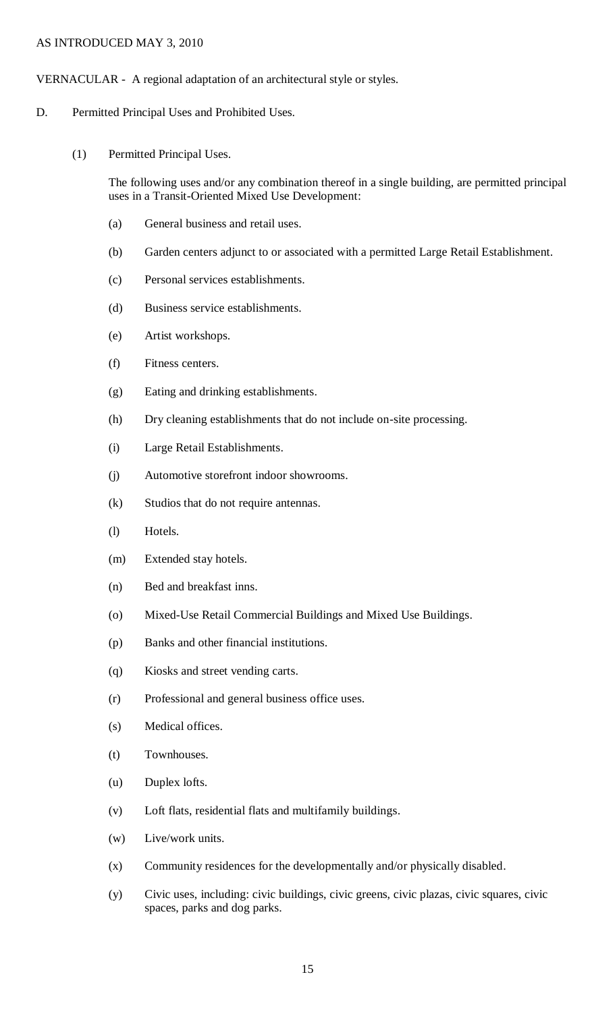### VERNACULAR - A regional adaptation of an architectural style or styles.

- D. Permitted Principal Uses and Prohibited Uses.
	- (1) Permitted Principal Uses.

The following uses and/or any combination thereof in a single building, are permitted principal uses in a Transit-Oriented Mixed Use Development:

- (a) General business and retail uses.
- (b) Garden centers adjunct to or associated with a permitted Large Retail Establishment.
- (c) Personal services establishments.
- (d) Business service establishments.
- (e) Artist workshops.
- (f) Fitness centers.
- (g) Eating and drinking establishments.
- (h) Dry cleaning establishments that do not include on-site processing.
- (i) Large Retail Establishments.
- (j) Automotive storefront indoor showrooms.
- (k) Studios that do not require antennas.
- (l) Hotels.
- (m) Extended stay hotels.
- (n) Bed and breakfast inns.
- (o) Mixed-Use Retail Commercial Buildings and Mixed Use Buildings.
- (p) Banks and other financial institutions.
- (q) Kiosks and street vending carts.
- (r) Professional and general business office uses.
- (s) Medical offices.
- (t) Townhouses.
- (u) Duplex lofts.
- (v) Loft flats, residential flats and multifamily buildings.
- (w) Live/work units.
- (x) Community residences for the developmentally and/or physically disabled.
- (y) Civic uses, including: civic buildings, civic greens, civic plazas, civic squares, civic spaces, parks and dog parks.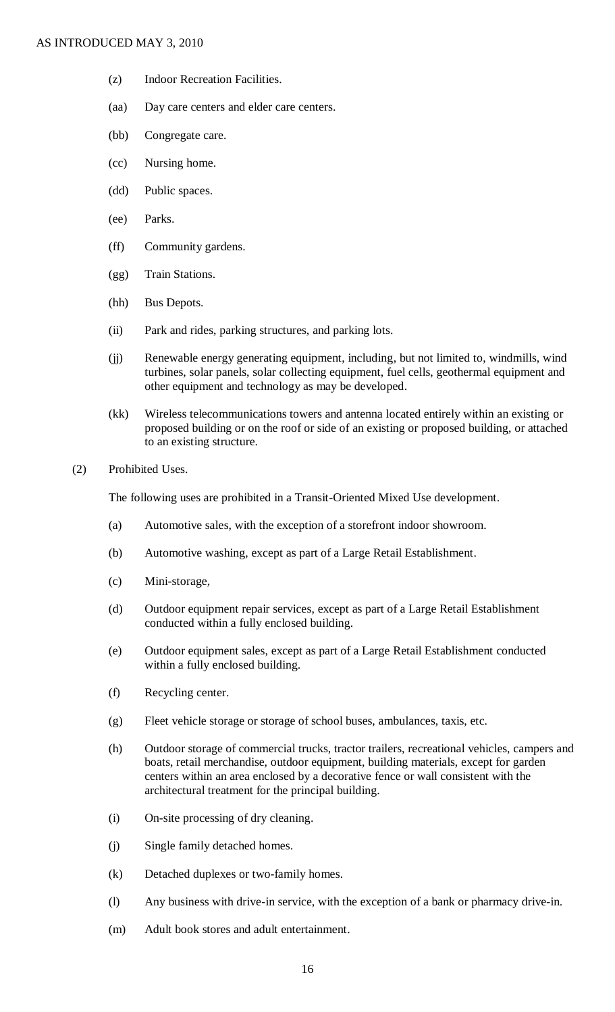- (z) Indoor Recreation Facilities.
- (aa) Day care centers and elder care centers.
- (bb) Congregate care.
- (cc) Nursing home.
- (dd) Public spaces.
- (ee) Parks.
- (ff) Community gardens.
- (gg) Train Stations.
- (hh) Bus Depots.
- (ii) Park and rides, parking structures, and parking lots.
- (jj) Renewable energy generating equipment, including, but not limited to, windmills, wind turbines, solar panels, solar collecting equipment, fuel cells, geothermal equipment and other equipment and technology as may be developed.
- (kk) Wireless telecommunications towers and antenna located entirely within an existing or proposed building or on the roof or side of an existing or proposed building, or attached to an existing structure.
- (2) Prohibited Uses.

The following uses are prohibited in a Transit-Oriented Mixed Use development.

- (a) Automotive sales, with the exception of a storefront indoor showroom.
- (b) Automotive washing, except as part of a Large Retail Establishment.
- (c) Mini-storage,
- (d) Outdoor equipment repair services, except as part of a Large Retail Establishment conducted within a fully enclosed building.
- (e) Outdoor equipment sales, except as part of a Large Retail Establishment conducted within a fully enclosed building.
- (f) Recycling center.
- (g) Fleet vehicle storage or storage of school buses, ambulances, taxis, etc.
- (h) Outdoor storage of commercial trucks, tractor trailers, recreational vehicles, campers and boats, retail merchandise, outdoor equipment, building materials, except for garden centers within an area enclosed by a decorative fence or wall consistent with the architectural treatment for the principal building.
- (i) On-site processing of dry cleaning.
- (j) Single family detached homes.
- (k) Detached duplexes or two-family homes.
- (l) Any business with drive-in service, with the exception of a bank or pharmacy drive-in.
- (m) Adult book stores and adult entertainment.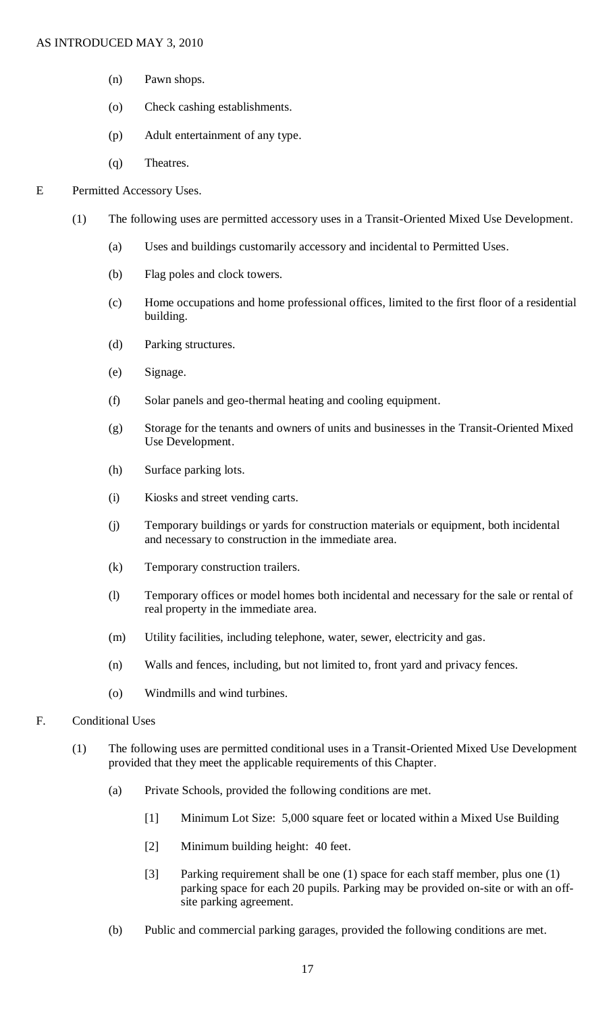- (n) Pawn shops.
- (o) Check cashing establishments.
- (p) Adult entertainment of any type.
- (q) Theatres.

#### E Permitted Accessory Uses.

- (1) The following uses are permitted accessory uses in a Transit-Oriented Mixed Use Development.
	- (a) Uses and buildings customarily accessory and incidental to Permitted Uses.
	- (b) Flag poles and clock towers.
	- (c) Home occupations and home professional offices, limited to the first floor of a residential building.
	- (d) Parking structures.
	- (e) Signage.
	- (f) Solar panels and geo-thermal heating and cooling equipment.
	- (g) Storage for the tenants and owners of units and businesses in the Transit-Oriented Mixed Use Development.
	- (h) Surface parking lots.
	- (i) Kiosks and street vending carts.
	- (j) Temporary buildings or yards for construction materials or equipment, both incidental and necessary to construction in the immediate area.
	- (k) Temporary construction trailers.
	- (l) Temporary offices or model homes both incidental and necessary for the sale or rental of real property in the immediate area.
	- (m) Utility facilities, including telephone, water, sewer, electricity and gas.
	- (n) Walls and fences, including, but not limited to, front yard and privacy fences.
	- (o) Windmills and wind turbines.
- F. Conditional Uses
	- (1) The following uses are permitted conditional uses in a Transit-Oriented Mixed Use Development provided that they meet the applicable requirements of this Chapter.
		- (a) Private Schools, provided the following conditions are met.
			- [1] Minimum Lot Size: 5,000 square feet or located within a Mixed Use Building
			- [2] Minimum building height: 40 feet.
			- [3] Parking requirement shall be one (1) space for each staff member, plus one (1) parking space for each 20 pupils. Parking may be provided on-site or with an offsite parking agreement.
		- (b) Public and commercial parking garages, provided the following conditions are met.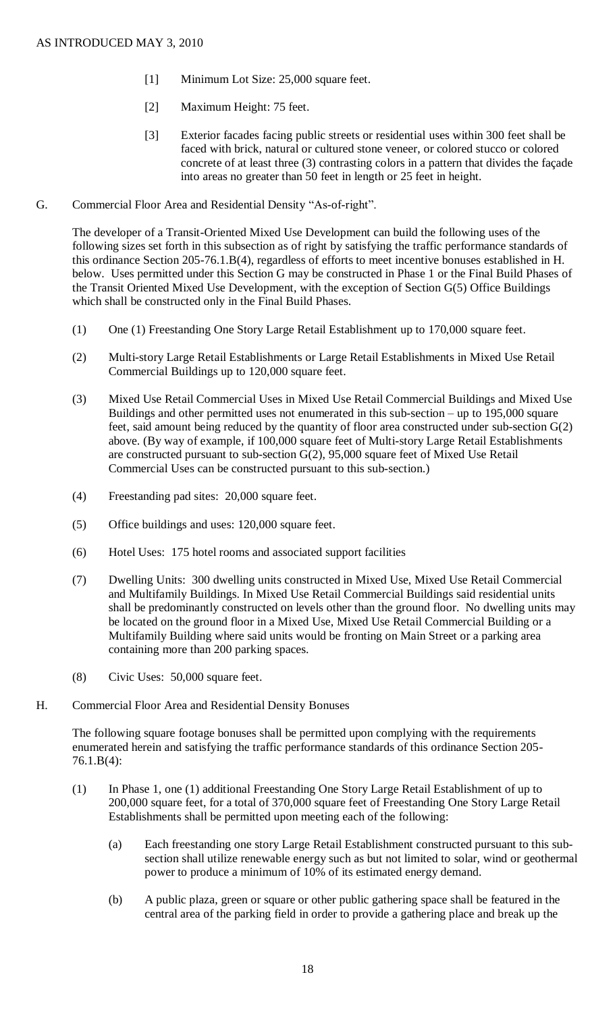- [1] Minimum Lot Size: 25,000 square feet.
- [2] Maximum Height: 75 feet.
- [3] Exterior facades facing public streets or residential uses within 300 feet shall be faced with brick, natural or cultured stone veneer, or colored stucco or colored concrete of at least three (3) contrasting colors in a pattern that divides the façade into areas no greater than 50 feet in length or 25 feet in height.
- G. Commercial Floor Area and Residential Density "As-of-right".

The developer of a Transit-Oriented Mixed Use Development can build the following uses of the following sizes set forth in this subsection as of right by satisfying the traffic performance standards of this ordinance Section 205-76.1.B(4), regardless of efforts to meet incentive bonuses established in H. below. Uses permitted under this Section G may be constructed in Phase 1 or the Final Build Phases of the Transit Oriented Mixed Use Development, with the exception of Section G(5) Office Buildings which shall be constructed only in the Final Build Phases.

- (1) One (1) Freestanding One Story Large Retail Establishment up to 170,000 square feet.
- (2) Multi-story Large Retail Establishments or Large Retail Establishments in Mixed Use Retail Commercial Buildings up to 120,000 square feet.
- (3) Mixed Use Retail Commercial Uses in Mixed Use Retail Commercial Buildings and Mixed Use Buildings and other permitted uses not enumerated in this sub-section – up to 195,000 square feet, said amount being reduced by the quantity of floor area constructed under sub-section G(2) above. (By way of example, if 100,000 square feet of Multi-story Large Retail Establishments are constructed pursuant to sub-section G(2), 95,000 square feet of Mixed Use Retail Commercial Uses can be constructed pursuant to this sub-section.)
- (4) Freestanding pad sites: 20,000 square feet.
- (5) Office buildings and uses: 120,000 square feet.
- (6) Hotel Uses: 175 hotel rooms and associated support facilities
- (7) Dwelling Units: 300 dwelling units constructed in Mixed Use, Mixed Use Retail Commercial and Multifamily Buildings. In Mixed Use Retail Commercial Buildings said residential units shall be predominantly constructed on levels other than the ground floor. No dwelling units may be located on the ground floor in a Mixed Use, Mixed Use Retail Commercial Building or a Multifamily Building where said units would be fronting on Main Street or a parking area containing more than 200 parking spaces.
- (8) Civic Uses: 50,000 square feet.
- H. Commercial Floor Area and Residential Density Bonuses

The following square footage bonuses shall be permitted upon complying with the requirements enumerated herein and satisfying the traffic performance standards of this ordinance Section 205- 76.1.B(4):

- (1) In Phase 1, one (1) additional Freestanding One Story Large Retail Establishment of up to 200,000 square feet, for a total of 370,000 square feet of Freestanding One Story Large Retail Establishments shall be permitted upon meeting each of the following:
	- (a) Each freestanding one story Large Retail Establishment constructed pursuant to this subsection shall utilize renewable energy such as but not limited to solar, wind or geothermal power to produce a minimum of 10% of its estimated energy demand.
	- (b) A public plaza, green or square or other public gathering space shall be featured in the central area of the parking field in order to provide a gathering place and break up the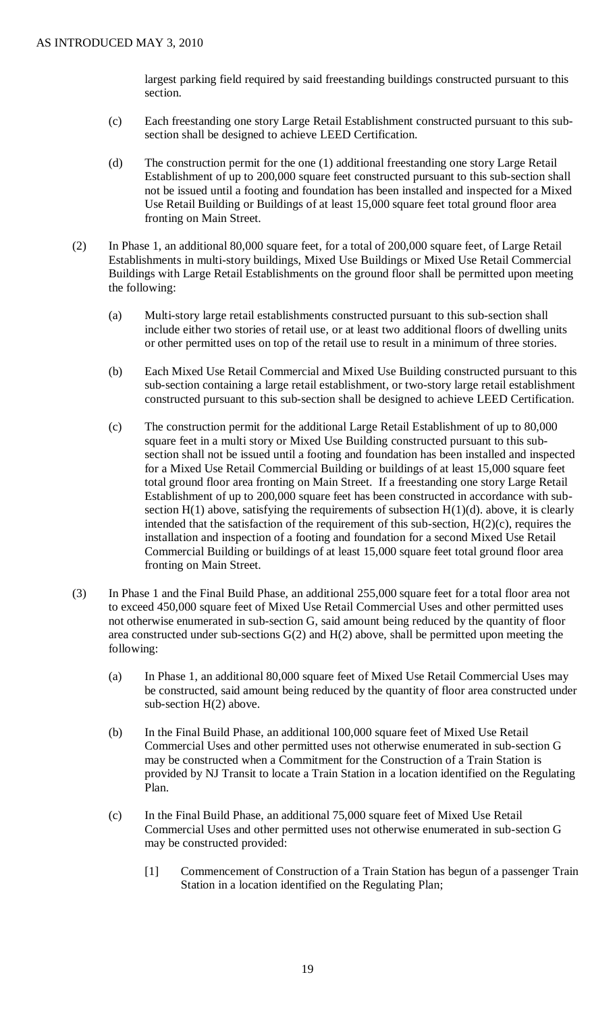largest parking field required by said freestanding buildings constructed pursuant to this section.

- (c) Each freestanding one story Large Retail Establishment constructed pursuant to this subsection shall be designed to achieve LEED Certification.
- (d) The construction permit for the one (1) additional freestanding one story Large Retail Establishment of up to 200,000 square feet constructed pursuant to this sub-section shall not be issued until a footing and foundation has been installed and inspected for a Mixed Use Retail Building or Buildings of at least 15,000 square feet total ground floor area fronting on Main Street.
- (2) In Phase 1, an additional 80,000 square feet, for a total of 200,000 square feet, of Large Retail Establishments in multi-story buildings, Mixed Use Buildings or Mixed Use Retail Commercial Buildings with Large Retail Establishments on the ground floor shall be permitted upon meeting the following:
	- (a) Multi-story large retail establishments constructed pursuant to this sub-section shall include either two stories of retail use, or at least two additional floors of dwelling units or other permitted uses on top of the retail use to result in a minimum of three stories.
	- (b) Each Mixed Use Retail Commercial and Mixed Use Building constructed pursuant to this sub-section containing a large retail establishment, or two-story large retail establishment constructed pursuant to this sub-section shall be designed to achieve LEED Certification.
	- (c) The construction permit for the additional Large Retail Establishment of up to 80,000 square feet in a multi story or Mixed Use Building constructed pursuant to this subsection shall not be issued until a footing and foundation has been installed and inspected for a Mixed Use Retail Commercial Building or buildings of at least 15,000 square feet total ground floor area fronting on Main Street. If a freestanding one story Large Retail Establishment of up to 200,000 square feet has been constructed in accordance with subsection  $H(1)$  above, satisfying the requirements of subsection  $H(1)(d)$ . above, it is clearly intended that the satisfaction of the requirement of this sub-section, H(2)(c), requires the installation and inspection of a footing and foundation for a second Mixed Use Retail Commercial Building or buildings of at least 15,000 square feet total ground floor area fronting on Main Street.
- (3) In Phase 1 and the Final Build Phase, an additional 255,000 square feet for a total floor area not to exceed 450,000 square feet of Mixed Use Retail Commercial Uses and other permitted uses not otherwise enumerated in sub-section G, said amount being reduced by the quantity of floor area constructed under sub-sections G(2) and H(2) above, shall be permitted upon meeting the following:
	- (a) In Phase 1, an additional 80,000 square feet of Mixed Use Retail Commercial Uses may be constructed, said amount being reduced by the quantity of floor area constructed under sub-section H(2) above.
	- (b) In the Final Build Phase, an additional 100,000 square feet of Mixed Use Retail Commercial Uses and other permitted uses not otherwise enumerated in sub-section G may be constructed when a Commitment for the Construction of a Train Station is provided by NJ Transit to locate a Train Station in a location identified on the Regulating Plan.
	- (c) In the Final Build Phase, an additional 75,000 square feet of Mixed Use Retail Commercial Uses and other permitted uses not otherwise enumerated in sub-section G may be constructed provided:
		- [1] Commencement of Construction of a Train Station has begun of a passenger Train Station in a location identified on the Regulating Plan;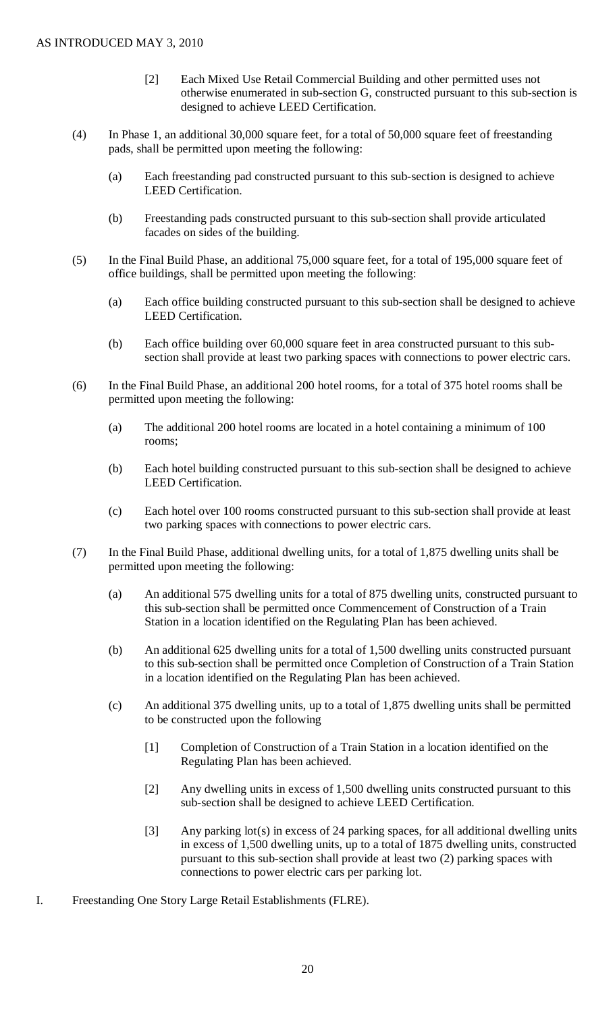- [2] Each Mixed Use Retail Commercial Building and other permitted uses not otherwise enumerated in sub-section G, constructed pursuant to this sub-section is designed to achieve LEED Certification.
- (4) In Phase 1, an additional 30,000 square feet, for a total of 50,000 square feet of freestanding pads, shall be permitted upon meeting the following:
	- (a) Each freestanding pad constructed pursuant to this sub-section is designed to achieve LEED Certification.
	- (b) Freestanding pads constructed pursuant to this sub-section shall provide articulated facades on sides of the building.
- (5) In the Final Build Phase, an additional 75,000 square feet, for a total of 195,000 square feet of office buildings, shall be permitted upon meeting the following:
	- (a) Each office building constructed pursuant to this sub-section shall be designed to achieve LEED Certification.
	- (b) Each office building over 60,000 square feet in area constructed pursuant to this subsection shall provide at least two parking spaces with connections to power electric cars.
- (6) In the Final Build Phase, an additional 200 hotel rooms, for a total of 375 hotel rooms shall be permitted upon meeting the following:
	- (a) The additional 200 hotel rooms are located in a hotel containing a minimum of 100 rooms;
	- (b) Each hotel building constructed pursuant to this sub-section shall be designed to achieve LEED Certification.
	- (c) Each hotel over 100 rooms constructed pursuant to this sub-section shall provide at least two parking spaces with connections to power electric cars.
- (7) In the Final Build Phase, additional dwelling units, for a total of 1,875 dwelling units shall be permitted upon meeting the following:
	- (a) An additional 575 dwelling units for a total of 875 dwelling units, constructed pursuant to this sub-section shall be permitted once Commencement of Construction of a Train Station in a location identified on the Regulating Plan has been achieved.
	- (b) An additional 625 dwelling units for a total of 1,500 dwelling units constructed pursuant to this sub-section shall be permitted once Completion of Construction of a Train Station in a location identified on the Regulating Plan has been achieved.
	- (c) An additional 375 dwelling units, up to a total of 1,875 dwelling units shall be permitted to be constructed upon the following
		- [1] Completion of Construction of a Train Station in a location identified on the Regulating Plan has been achieved.
		- [2] Any dwelling units in excess of 1,500 dwelling units constructed pursuant to this sub-section shall be designed to achieve LEED Certification.
		- [3] Any parking lot(s) in excess of 24 parking spaces, for all additional dwelling units in excess of 1,500 dwelling units, up to a total of 1875 dwelling units, constructed pursuant to this sub-section shall provide at least two (2) parking spaces with connections to power electric cars per parking lot.
- I. Freestanding One Story Large Retail Establishments (FLRE).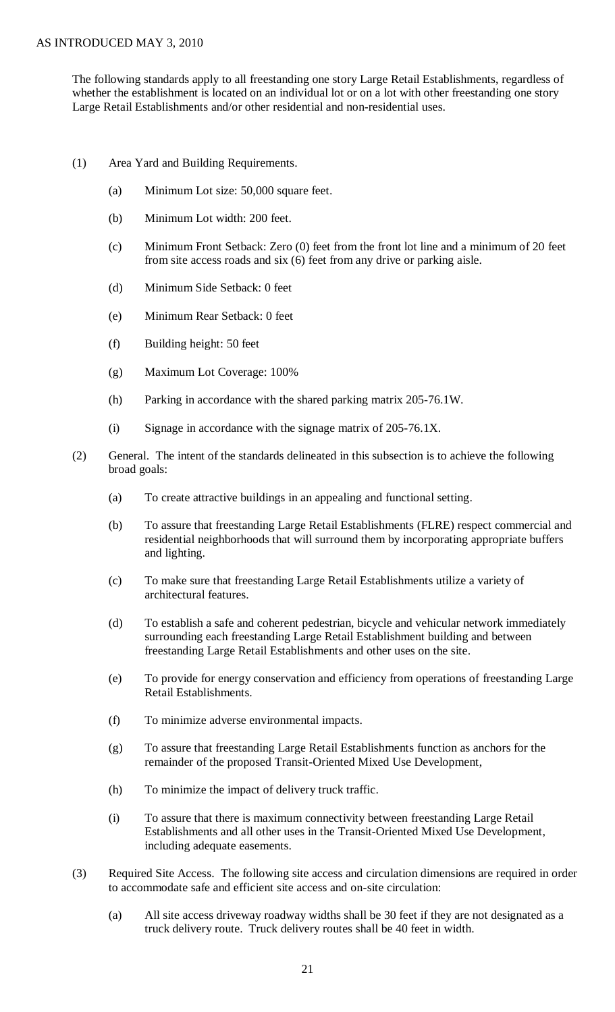The following standards apply to all freestanding one story Large Retail Establishments, regardless of whether the establishment is located on an individual lot or on a lot with other freestanding one story Large Retail Establishments and/or other residential and non-residential uses.

- (1) Area Yard and Building Requirements.
	- (a) Minimum Lot size: 50,000 square feet.
	- (b) Minimum Lot width: 200 feet.
	- (c) Minimum Front Setback: Zero (0) feet from the front lot line and a minimum of 20 feet from site access roads and six (6) feet from any drive or parking aisle.
	- (d) Minimum Side Setback: 0 feet
	- (e) Minimum Rear Setback: 0 feet
	- (f) Building height: 50 feet
	- (g) Maximum Lot Coverage: 100%
	- (h) Parking in accordance with the shared parking matrix 205-76.1W.
	- (i) Signage in accordance with the signage matrix of 205-76.1X.
- (2) General. The intent of the standards delineated in this subsection is to achieve the following broad goals:
	- (a) To create attractive buildings in an appealing and functional setting.
	- (b) To assure that freestanding Large Retail Establishments (FLRE) respect commercial and residential neighborhoods that will surround them by incorporating appropriate buffers and lighting.
	- (c) To make sure that freestanding Large Retail Establishments utilize a variety of architectural features.
	- (d) To establish a safe and coherent pedestrian, bicycle and vehicular network immediately surrounding each freestanding Large Retail Establishment building and between freestanding Large Retail Establishments and other uses on the site.
	- (e) To provide for energy conservation and efficiency from operations of freestanding Large Retail Establishments.
	- (f) To minimize adverse environmental impacts.
	- (g) To assure that freestanding Large Retail Establishments function as anchors for the remainder of the proposed Transit-Oriented Mixed Use Development,
	- (h) To minimize the impact of delivery truck traffic.
	- (i) To assure that there is maximum connectivity between freestanding Large Retail Establishments and all other uses in the Transit-Oriented Mixed Use Development, including adequate easements.
- (3) Required Site Access. The following site access and circulation dimensions are required in order to accommodate safe and efficient site access and on-site circulation:
	- (a) All site access driveway roadway widths shall be 30 feet if they are not designated as a truck delivery route. Truck delivery routes shall be 40 feet in width.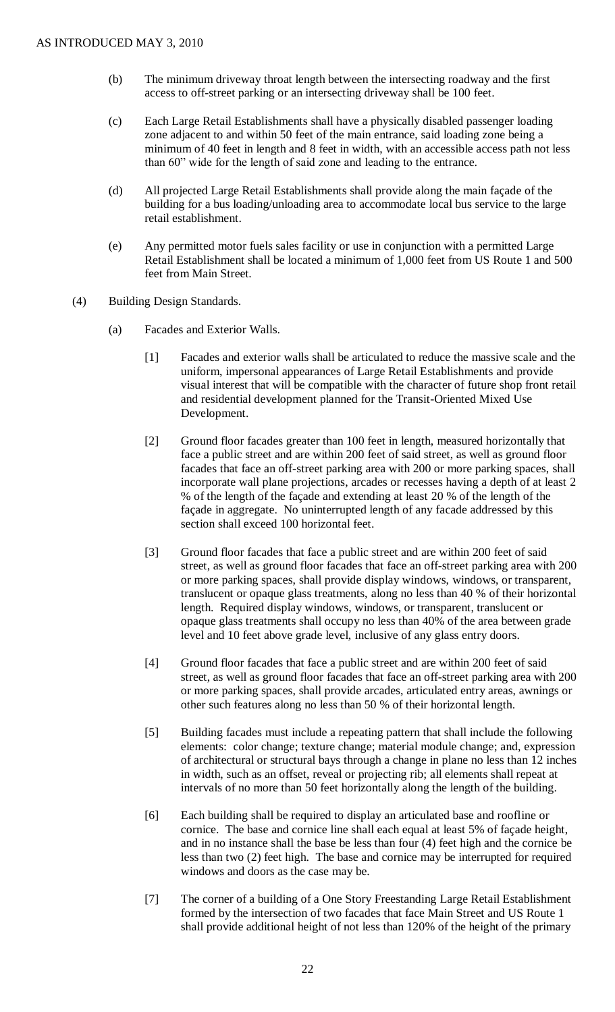- (b) The minimum driveway throat length between the intersecting roadway and the first access to off-street parking or an intersecting driveway shall be 100 feet.
- (c) Each Large Retail Establishments shall have a physically disabled passenger loading zone adjacent to and within 50 feet of the main entrance, said loading zone being a minimum of 40 feet in length and 8 feet in width, with an accessible access path not less than 60" wide for the length of said zone and leading to the entrance.
- (d) All projected Large Retail Establishments shall provide along the main façade of the building for a bus loading/unloading area to accommodate local bus service to the large retail establishment.
- (e) Any permitted motor fuels sales facility or use in conjunction with a permitted Large Retail Establishment shall be located a minimum of 1,000 feet from US Route 1 and 500 feet from Main Street.
- (4) Building Design Standards.
	- (a) Facades and Exterior Walls.
		- [1] Facades and exterior walls shall be articulated to reduce the massive scale and the uniform, impersonal appearances of Large Retail Establishments and provide visual interest that will be compatible with the character of future shop front retail and residential development planned for the Transit-Oriented Mixed Use Development.
		- [2] Ground floor facades greater than 100 feet in length, measured horizontally that face a public street and are within 200 feet of said street, as well as ground floor facades that face an off-street parking area with 200 or more parking spaces, shall incorporate wall plane projections, arcades or recesses having a depth of at least 2 % of the length of the façade and extending at least 20 % of the length of the façade in aggregate. No uninterrupted length of any facade addressed by this section shall exceed 100 horizontal feet.
		- [3] Ground floor facades that face a public street and are within 200 feet of said street, as well as ground floor facades that face an off-street parking area with 200 or more parking spaces, shall provide display windows, windows, or transparent, translucent or opaque glass treatments, along no less than 40 % of their horizontal length. Required display windows, windows, or transparent, translucent or opaque glass treatments shall occupy no less than 40% of the area between grade level and 10 feet above grade level, inclusive of any glass entry doors.
		- [4] Ground floor facades that face a public street and are within 200 feet of said street, as well as ground floor facades that face an off-street parking area with 200 or more parking spaces, shall provide arcades, articulated entry areas, awnings or other such features along no less than 50 % of their horizontal length.
		- [5] Building facades must include a repeating pattern that shall include the following elements: color change; texture change; material module change; and, expression of architectural or structural bays through a change in plane no less than 12 inches in width, such as an offset, reveal or projecting rib; all elements shall repeat at intervals of no more than 50 feet horizontally along the length of the building.
		- [6] Each building shall be required to display an articulated base and roofline or cornice. The base and cornice line shall each equal at least 5% of façade height, and in no instance shall the base be less than four (4) feet high and the cornice be less than two (2) feet high. The base and cornice may be interrupted for required windows and doors as the case may be.
		- [7] The corner of a building of a One Story Freestanding Large Retail Establishment formed by the intersection of two facades that face Main Street and US Route 1 shall provide additional height of not less than 120% of the height of the primary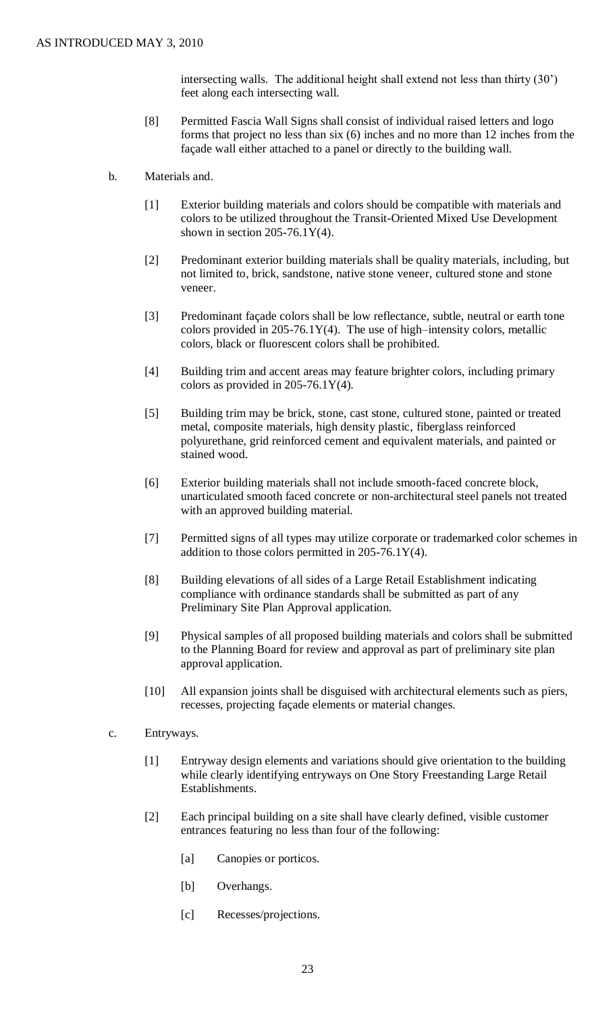intersecting walls. The additional height shall extend not less than thirty (30') feet along each intersecting wall.

- [8] Permitted Fascia Wall Signs shall consist of individual raised letters and logo forms that project no less than six (6) inches and no more than 12 inches from the façade wall either attached to a panel or directly to the building wall.
- b. Materials and.
	- [1] Exterior building materials and colors should be compatible with materials and colors to be utilized throughout the Transit-Oriented Mixed Use Development shown in section  $205-76.1Y(4)$ .
	- [2] Predominant exterior building materials shall be quality materials, including, but not limited to, brick, sandstone, native stone veneer, cultured stone and stone veneer.
	- [3] Predominant façade colors shall be low reflectance, subtle, neutral or earth tone colors provided in  $205-76.1Y(4)$ . The use of high-intensity colors, metallic colors, black or fluorescent colors shall be prohibited.
	- [4] Building trim and accent areas may feature brighter colors, including primary colors as provided in  $205-76.1Y(4)$ .
	- [5] Building trim may be brick, stone, cast stone, cultured stone, painted or treated metal, composite materials, high density plastic, fiberglass reinforced polyurethane, grid reinforced cement and equivalent materials, and painted or stained wood.
	- [6] Exterior building materials shall not include smooth-faced concrete block, unarticulated smooth faced concrete or non-architectural steel panels not treated with an approved building material.
	- [7] Permitted signs of all types may utilize corporate or trademarked color schemes in addition to those colors permitted in  $205-76.1Y(4)$ .
	- [8] Building elevations of all sides of a Large Retail Establishment indicating compliance with ordinance standards shall be submitted as part of any Preliminary Site Plan Approval application.
	- [9] Physical samples of all proposed building materials and colors shall be submitted to the Planning Board for review and approval as part of preliminary site plan approval application.
	- [10] All expansion joints shall be disguised with architectural elements such as piers, recesses, projecting façade elements or material changes.
- c. Entryways.
	- [1] Entryway design elements and variations should give orientation to the building while clearly identifying entryways on One Story Freestanding Large Retail Establishments.
	- [2] Each principal building on a site shall have clearly defined, visible customer entrances featuring no less than four of the following:
		- [a] Canopies or porticos.
		- [b] Overhangs.
		- [c] Recesses/projections.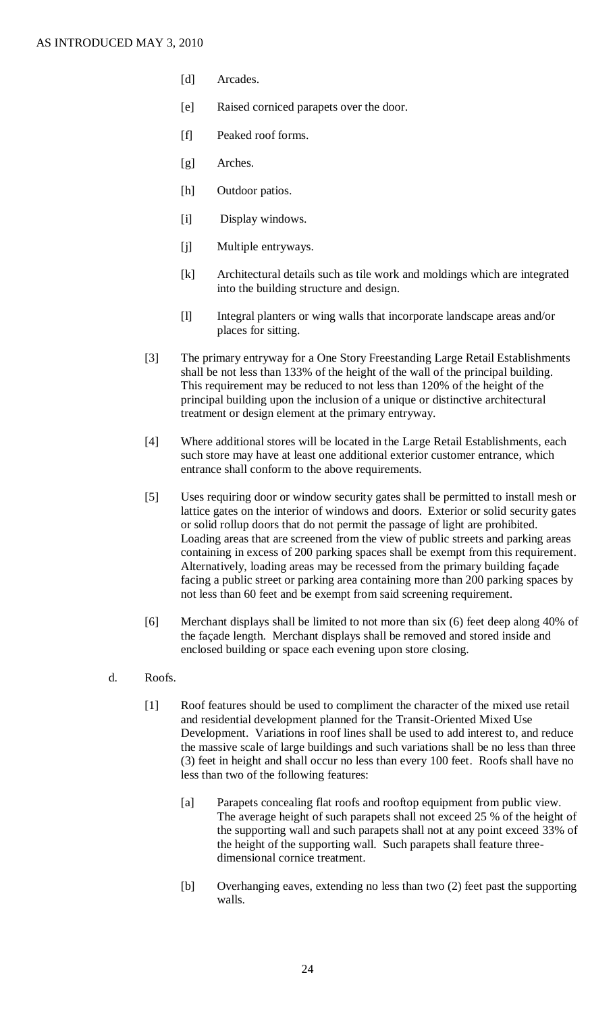- [d] Arcades.
- [e] Raised corniced parapets over the door.
- [f] Peaked roof forms.
- [g] Arches.
- [h] Outdoor patios.
- [i] Display windows.
- [j] Multiple entryways.
- [k] Architectural details such as tile work and moldings which are integrated into the building structure and design.
- [l] Integral planters or wing walls that incorporate landscape areas and/or places for sitting.
- [3] The primary entryway for a One Story Freestanding Large Retail Establishments shall be not less than 133% of the height of the wall of the principal building. This requirement may be reduced to not less than 120% of the height of the principal building upon the inclusion of a unique or distinctive architectural treatment or design element at the primary entryway.
- [4] Where additional stores will be located in the Large Retail Establishments, each such store may have at least one additional exterior customer entrance, which entrance shall conform to the above requirements.
- [5] Uses requiring door or window security gates shall be permitted to install mesh or lattice gates on the interior of windows and doors. Exterior or solid security gates or solid rollup doors that do not permit the passage of light are prohibited. Loading areas that are screened from the view of public streets and parking areas containing in excess of 200 parking spaces shall be exempt from this requirement. Alternatively, loading areas may be recessed from the primary building façade facing a public street or parking area containing more than 200 parking spaces by not less than 60 feet and be exempt from said screening requirement.
- [6] Merchant displays shall be limited to not more than six (6) feet deep along 40% of the façade length. Merchant displays shall be removed and stored inside and enclosed building or space each evening upon store closing.
- d. Roofs.
	- [1] Roof features should be used to compliment the character of the mixed use retail and residential development planned for the Transit-Oriented Mixed Use Development. Variations in roof lines shall be used to add interest to, and reduce the massive scale of large buildings and such variations shall be no less than three (3) feet in height and shall occur no less than every 100 feet. Roofs shall have no less than two of the following features:
		- [a] Parapets concealing flat roofs and rooftop equipment from public view. The average height of such parapets shall not exceed 25 % of the height of the supporting wall and such parapets shall not at any point exceed 33% of the height of the supporting wall. Such parapets shall feature threedimensional cornice treatment.
		- [b] Overhanging eaves, extending no less than two (2) feet past the supporting walls.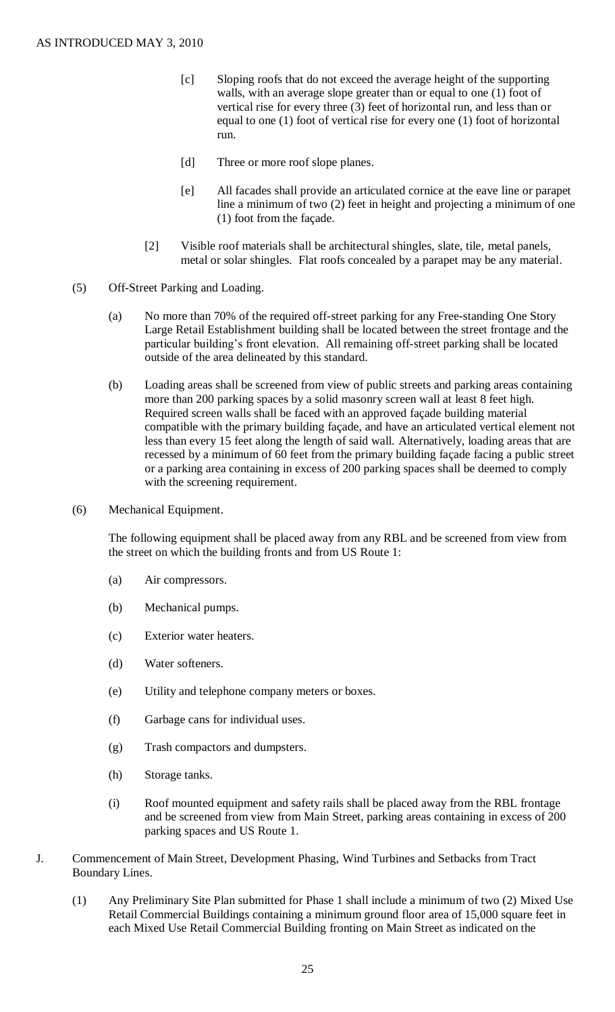- [c] Sloping roofs that do not exceed the average height of the supporting walls, with an average slope greater than or equal to one (1) foot of vertical rise for every three (3) feet of horizontal run, and less than or equal to one (1) foot of vertical rise for every one (1) foot of horizontal run.
- [d] Three or more roof slope planes.
- [e] All facades shall provide an articulated cornice at the eave line or parapet line a minimum of two (2) feet in height and projecting a minimum of one (1) foot from the façade.
- [2] Visible roof materials shall be architectural shingles, slate, tile, metal panels, metal or solar shingles. Flat roofs concealed by a parapet may be any material.
- (5) Off-Street Parking and Loading.
	- (a) No more than 70% of the required off-street parking for any Free-standing One Story Large Retail Establishment building shall be located between the street frontage and the particular building's front elevation. All remaining off-street parking shall be located outside of the area delineated by this standard.
	- (b) Loading areas shall be screened from view of public streets and parking areas containing more than 200 parking spaces by a solid masonry screen wall at least 8 feet high. Required screen walls shall be faced with an approved façade building material compatible with the primary building façade, and have an articulated vertical element not less than every 15 feet along the length of said wall. Alternatively, loading areas that are recessed by a minimum of 60 feet from the primary building façade facing a public street or a parking area containing in excess of 200 parking spaces shall be deemed to comply with the screening requirement.
- (6) Mechanical Equipment.

The following equipment shall be placed away from any RBL and be screened from view from the street on which the building fronts and from US Route 1:

- (a) Air compressors.
- (b) Mechanical pumps.
- (c) Exterior water heaters.
- (d) Water softeners.
- (e) Utility and telephone company meters or boxes.
- (f) Garbage cans for individual uses.
- (g) Trash compactors and dumpsters.
- (h) Storage tanks.
- (i) Roof mounted equipment and safety rails shall be placed away from the RBL frontage and be screened from view from Main Street, parking areas containing in excess of 200 parking spaces and US Route 1.
- J. Commencement of Main Street, Development Phasing, Wind Turbines and Setbacks from Tract Boundary Lines.
	- (1) Any Preliminary Site Plan submitted for Phase 1 shall include a minimum of two (2) Mixed Use Retail Commercial Buildings containing a minimum ground floor area of 15,000 square feet in each Mixed Use Retail Commercial Building fronting on Main Street as indicated on the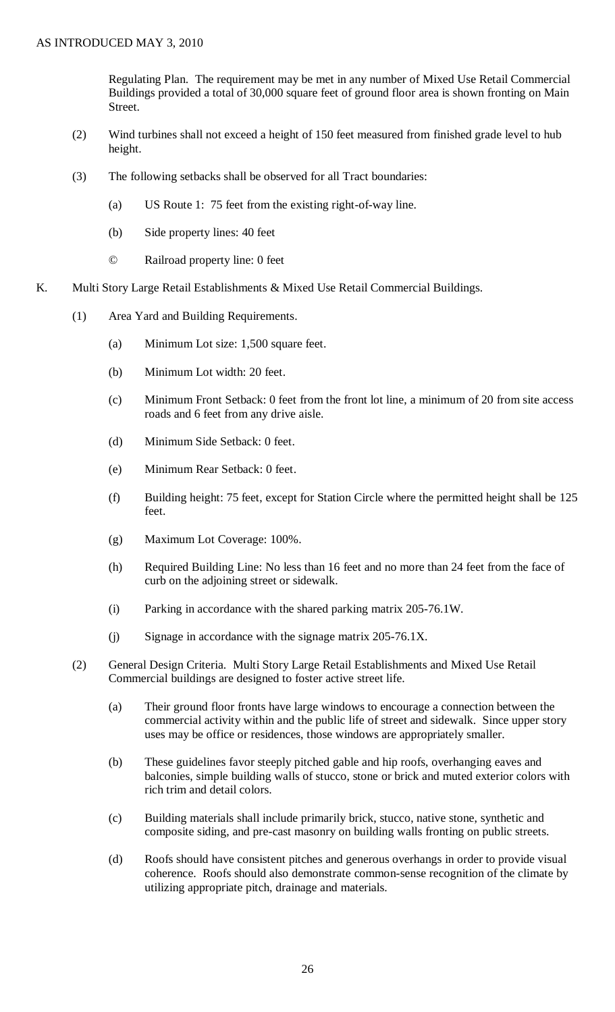Regulating Plan. The requirement may be met in any number of Mixed Use Retail Commercial Buildings provided a total of 30,000 square feet of ground floor area is shown fronting on Main Street.

- (2) Wind turbines shall not exceed a height of 150 feet measured from finished grade level to hub height.
- (3) The following setbacks shall be observed for all Tract boundaries:
	- (a) US Route 1: 75 feet from the existing right-of-way line.
	- (b) Side property lines: 40 feet
	- © Railroad property line: 0 feet
- K. Multi Story Large Retail Establishments & Mixed Use Retail Commercial Buildings.
	- (1) Area Yard and Building Requirements.
		- (a) Minimum Lot size: 1,500 square feet.
		- (b) Minimum Lot width: 20 feet.
		- (c) Minimum Front Setback: 0 feet from the front lot line, a minimum of 20 from site access roads and 6 feet from any drive aisle.
		- (d) Minimum Side Setback: 0 feet.
		- (e) Minimum Rear Setback: 0 feet.
		- (f) Building height: 75 feet, except for Station Circle where the permitted height shall be 125 feet.
		- (g) Maximum Lot Coverage: 100%.
		- (h) Required Building Line: No less than 16 feet and no more than 24 feet from the face of curb on the adjoining street or sidewalk.
		- (i) Parking in accordance with the shared parking matrix 205-76.1W.
		- (j) Signage in accordance with the signage matrix 205-76.1X.
	- (2) General Design Criteria. Multi Story Large Retail Establishments and Mixed Use Retail Commercial buildings are designed to foster active street life.
		- (a) Their ground floor fronts have large windows to encourage a connection between the commercial activity within and the public life of street and sidewalk. Since upper story uses may be office or residences, those windows are appropriately smaller.
		- (b) These guidelines favor steeply pitched gable and hip roofs, overhanging eaves and balconies, simple building walls of stucco, stone or brick and muted exterior colors with rich trim and detail colors.
		- (c) Building materials shall include primarily brick, stucco, native stone, synthetic and composite siding, and pre-cast masonry on building walls fronting on public streets.
		- (d) Roofs should have consistent pitches and generous overhangs in order to provide visual coherence. Roofs should also demonstrate common-sense recognition of the climate by utilizing appropriate pitch, drainage and materials.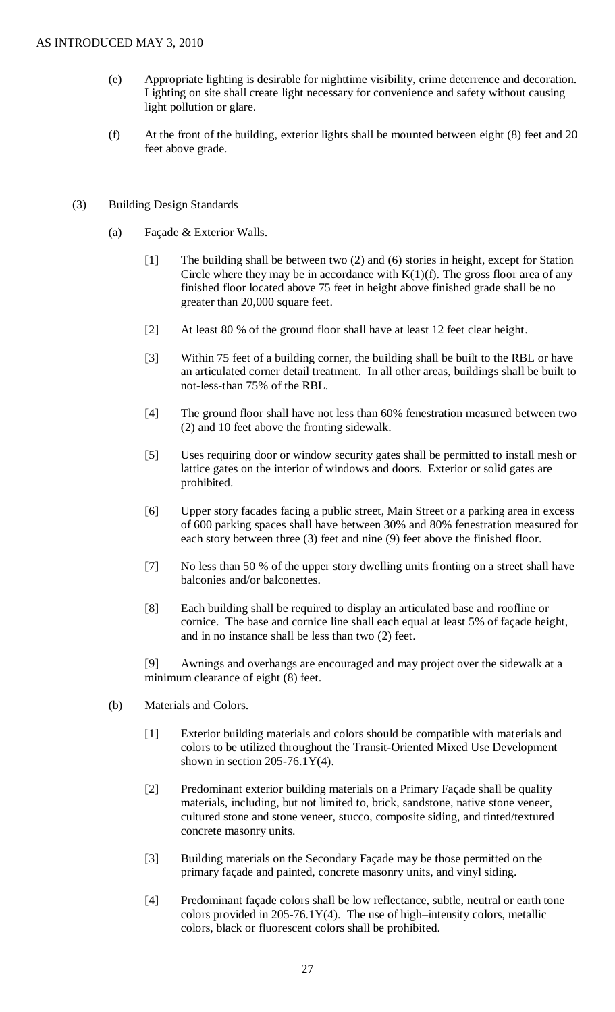- (e) Appropriate lighting is desirable for nighttime visibility, crime deterrence and decoration. Lighting on site shall create light necessary for convenience and safety without causing light pollution or glare.
- (f) At the front of the building, exterior lights shall be mounted between eight (8) feet and 20 feet above grade.
- (3) Building Design Standards
	- (a) Façade & Exterior Walls.
		- [1] The building shall be between two (2) and (6) stories in height, except for Station Circle where they may be in accordance with  $K(1)(f)$ . The gross floor area of any finished floor located above 75 feet in height above finished grade shall be no greater than 20,000 square feet.
		- [2] At least 80 % of the ground floor shall have at least 12 feet clear height.
		- [3] Within 75 feet of a building corner, the building shall be built to the RBL or have an articulated corner detail treatment. In all other areas, buildings shall be built to not-less-than 75% of the RBL.
		- [4] The ground floor shall have not less than 60% fenestration measured between two (2) and 10 feet above the fronting sidewalk.
		- [5] Uses requiring door or window security gates shall be permitted to install mesh or lattice gates on the interior of windows and doors. Exterior or solid gates are prohibited.
		- [6] Upper story facades facing a public street, Main Street or a parking area in excess of 600 parking spaces shall have between 30% and 80% fenestration measured for each story between three (3) feet and nine (9) feet above the finished floor.
		- [7] No less than 50 % of the upper story dwelling units fronting on a street shall have balconies and/or balconettes.
		- [8] Each building shall be required to display an articulated base and roofline or cornice. The base and cornice line shall each equal at least 5% of façade height, and in no instance shall be less than two (2) feet.

[9] Awnings and overhangs are encouraged and may project over the sidewalk at a minimum clearance of eight (8) feet.

- (b) Materials and Colors.
	- [1] Exterior building materials and colors should be compatible with materials and colors to be utilized throughout the Transit-Oriented Mixed Use Development shown in section  $205-76.1Y(4)$ .
	- [2] Predominant exterior building materials on a Primary Façade shall be quality materials, including, but not limited to, brick, sandstone, native stone veneer, cultured stone and stone veneer, stucco, composite siding, and tinted/textured concrete masonry units.
	- [3] Building materials on the Secondary Façade may be those permitted on the primary façade and painted, concrete masonry units, and vinyl siding.
	- [4] Predominant façade colors shall be low reflectance, subtle, neutral or earth tone colors provided in 205-76.1Y(4). The use of high–intensity colors, metallic colors, black or fluorescent colors shall be prohibited.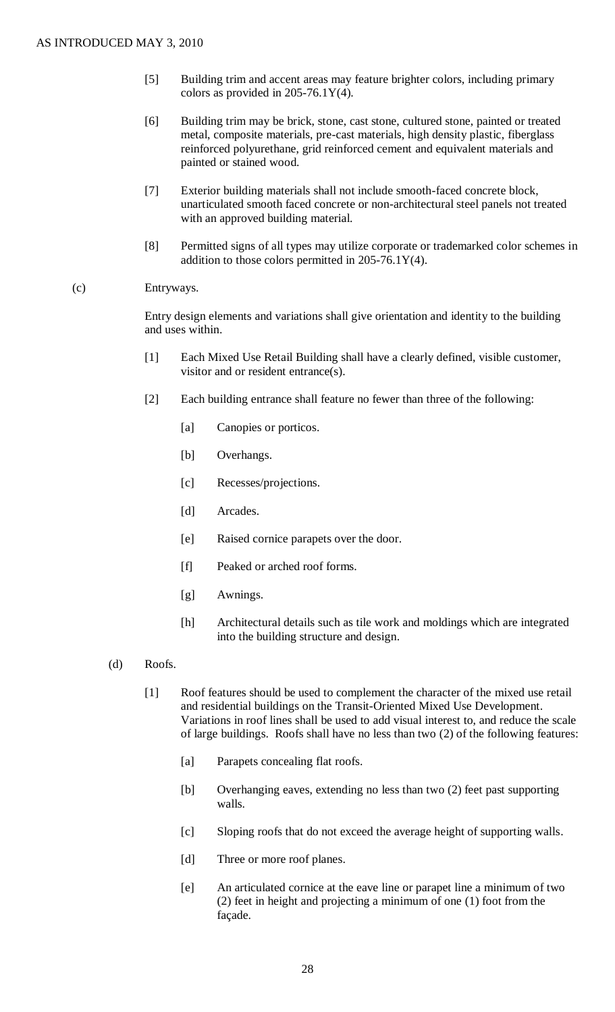- [5] Building trim and accent areas may feature brighter colors, including primary colors as provided in 205-76.1Y(4).
- [6] Building trim may be brick, stone, cast stone, cultured stone, painted or treated metal, composite materials, pre-cast materials, high density plastic, fiberglass reinforced polyurethane, grid reinforced cement and equivalent materials and painted or stained wood.
- [7] Exterior building materials shall not include smooth-faced concrete block, unarticulated smooth faced concrete or non-architectural steel panels not treated with an approved building material.
- [8] Permitted signs of all types may utilize corporate or trademarked color schemes in addition to those colors permitted in 205-76.1Y(4).

### (c) Entryways.

Entry design elements and variations shall give orientation and identity to the building and uses within.

- [1] Each Mixed Use Retail Building shall have a clearly defined, visible customer, visitor and or resident entrance(s).
- [2] Each building entrance shall feature no fewer than three of the following:
	- [a] Canopies or porticos.
	- [b] Overhangs.
	- [c] Recesses/projections.
	- [d] Arcades.
	- [e] Raised cornice parapets over the door.
	- [f] Peaked or arched roof forms.
	- [g] Awnings.
	- [h] Architectural details such as tile work and moldings which are integrated into the building structure and design.
- (d) Roofs.
	- [1] Roof features should be used to complement the character of the mixed use retail and residential buildings on the Transit-Oriented Mixed Use Development. Variations in roof lines shall be used to add visual interest to, and reduce the scale of large buildings. Roofs shall have no less than two (2) of the following features:
		- [a] Parapets concealing flat roofs.
		- [b] Overhanging eaves, extending no less than two (2) feet past supporting walls.
		- [c] Sloping roofs that do not exceed the average height of supporting walls.
		- [d] Three or more roof planes.
		- [e] An articulated cornice at the eave line or parapet line a minimum of two (2) feet in height and projecting a minimum of one (1) foot from the façade.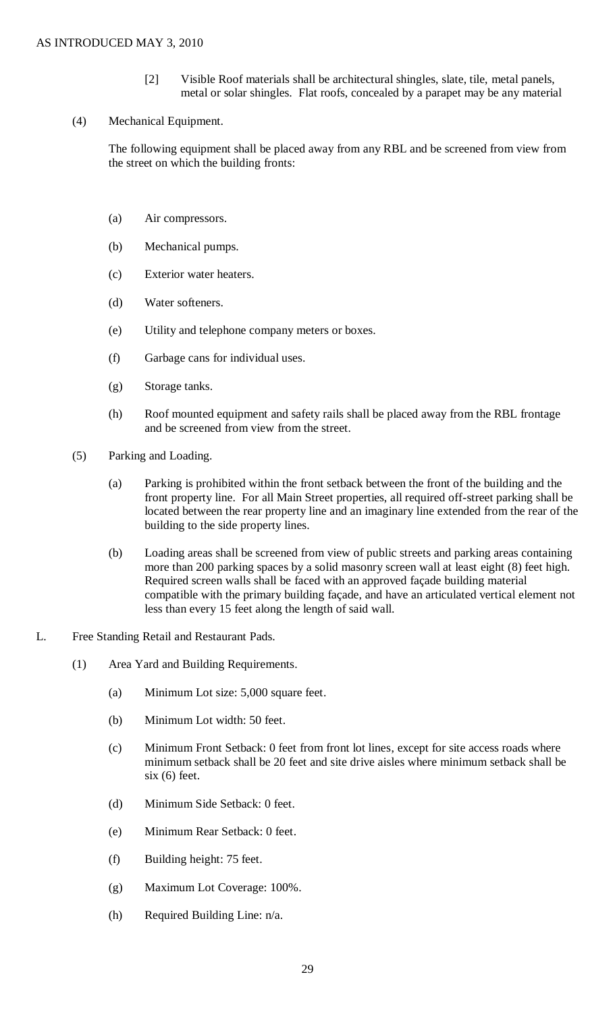- [2] Visible Roof materials shall be architectural shingles, slate, tile, metal panels, metal or solar shingles. Flat roofs, concealed by a parapet may be any material
- (4) Mechanical Equipment.

The following equipment shall be placed away from any RBL and be screened from view from the street on which the building fronts:

- (a) Air compressors.
- (b) Mechanical pumps.
- (c) Exterior water heaters.
- (d) Water softeners.
- (e) Utility and telephone company meters or boxes.
- (f) Garbage cans for individual uses.
- (g) Storage tanks.
- (h) Roof mounted equipment and safety rails shall be placed away from the RBL frontage and be screened from view from the street.
- (5) Parking and Loading.
	- (a) Parking is prohibited within the front setback between the front of the building and the front property line. For all Main Street properties, all required off-street parking shall be located between the rear property line and an imaginary line extended from the rear of the building to the side property lines.
	- (b) Loading areas shall be screened from view of public streets and parking areas containing more than 200 parking spaces by a solid masonry screen wall at least eight (8) feet high. Required screen walls shall be faced with an approved façade building material compatible with the primary building façade, and have an articulated vertical element not less than every 15 feet along the length of said wall.
- L. Free Standing Retail and Restaurant Pads.
	- (1) Area Yard and Building Requirements.
		- (a) Minimum Lot size: 5,000 square feet.
		- (b) Minimum Lot width: 50 feet.
		- (c) Minimum Front Setback: 0 feet from front lot lines, except for site access roads where minimum setback shall be 20 feet and site drive aisles where minimum setback shall be six (6) feet.
		- (d) Minimum Side Setback: 0 feet.
		- (e) Minimum Rear Setback: 0 feet.
		- (f) Building height: 75 feet.
		- (g) Maximum Lot Coverage: 100%.
		- (h) Required Building Line: n/a.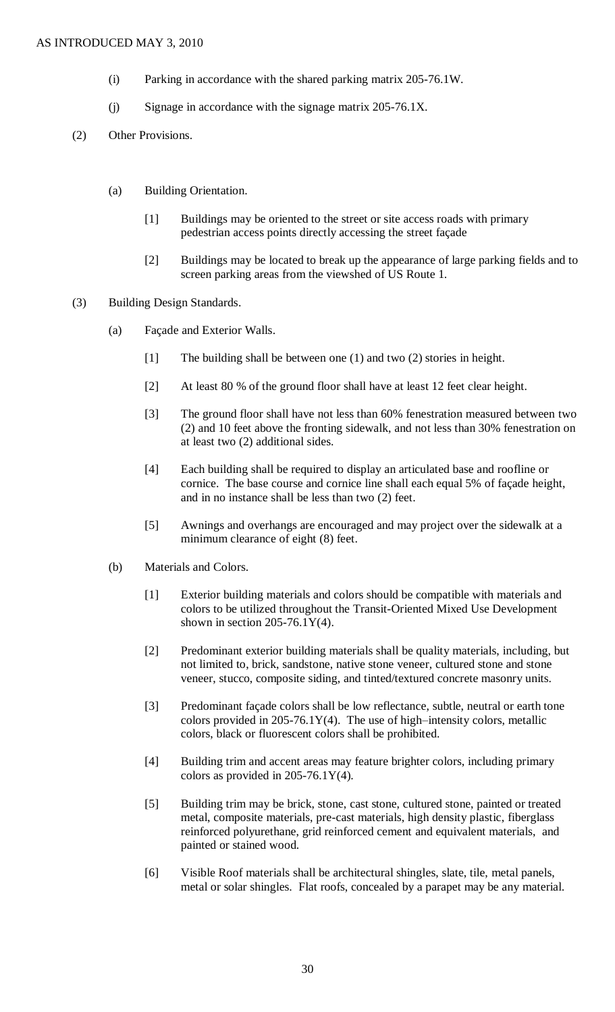- (i) Parking in accordance with the shared parking matrix 205-76.1W.
- (j) Signage in accordance with the signage matrix 205-76.1X.
- (2) Other Provisions.
	- (a) Building Orientation.
		- [1] Buildings may be oriented to the street or site access roads with primary pedestrian access points directly accessing the street façade
		- [2] Buildings may be located to break up the appearance of large parking fields and to screen parking areas from the viewshed of US Route 1.
- (3) Building Design Standards.
	- (a) Façade and Exterior Walls.
		- [1] The building shall be between one (1) and two (2) stories in height.
		- [2] At least 80 % of the ground floor shall have at least 12 feet clear height.
		- [3] The ground floor shall have not less than 60% fenestration measured between two (2) and 10 feet above the fronting sidewalk, and not less than 30% fenestration on at least two (2) additional sides.
		- [4] Each building shall be required to display an articulated base and roofline or cornice. The base course and cornice line shall each equal 5% of façade height, and in no instance shall be less than two (2) feet.
		- [5] Awnings and overhangs are encouraged and may project over the sidewalk at a minimum clearance of eight (8) feet.
	- (b) Materials and Colors.
		- [1] Exterior building materials and colors should be compatible with materials and colors to be utilized throughout the Transit-Oriented Mixed Use Development shown in section  $205-76.1Y(4)$ .
		- [2] Predominant exterior building materials shall be quality materials, including, but not limited to, brick, sandstone, native stone veneer, cultured stone and stone veneer, stucco, composite siding, and tinted/textured concrete masonry units.
		- [3] Predominant façade colors shall be low reflectance, subtle, neutral or earth tone colors provided in 205-76.1Y(4). The use of high–intensity colors, metallic colors, black or fluorescent colors shall be prohibited.
		- [4] Building trim and accent areas may feature brighter colors, including primary colors as provided in  $205-76.1Y(4)$ .
		- [5] Building trim may be brick, stone, cast stone, cultured stone, painted or treated metal, composite materials, pre-cast materials, high density plastic, fiberglass reinforced polyurethane, grid reinforced cement and equivalent materials, and painted or stained wood.
		- [6] Visible Roof materials shall be architectural shingles, slate, tile, metal panels, metal or solar shingles. Flat roofs, concealed by a parapet may be any material.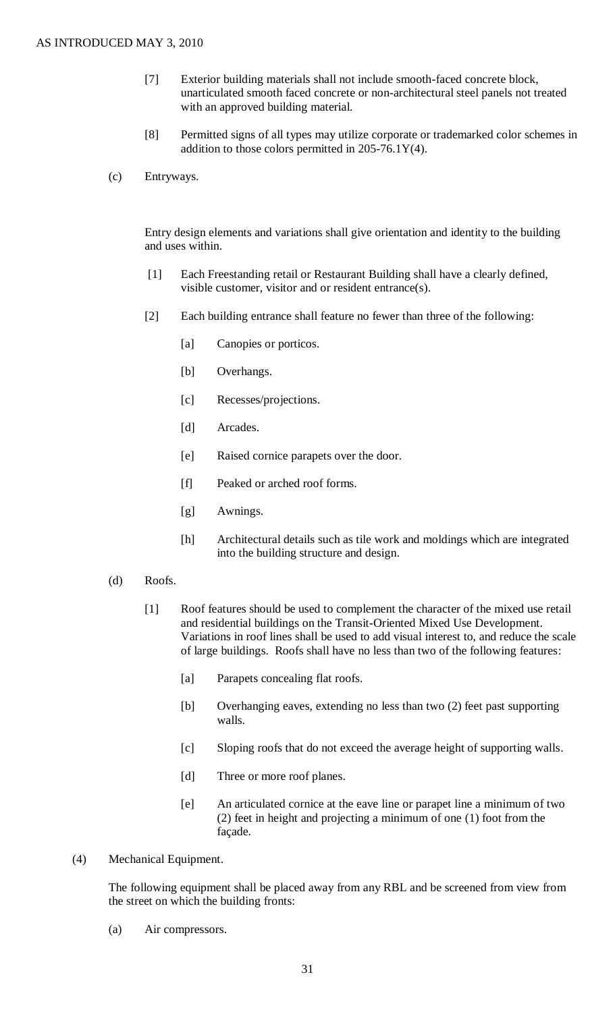- [7] Exterior building materials shall not include smooth-faced concrete block, unarticulated smooth faced concrete or non-architectural steel panels not treated with an approved building material.
- [8] Permitted signs of all types may utilize corporate or trademarked color schemes in addition to those colors permitted in 205-76.1Y(4).
- (c) Entryways.

Entry design elements and variations shall give orientation and identity to the building and uses within.

- [1] Each Freestanding retail or Restaurant Building shall have a clearly defined, visible customer, visitor and or resident entrance(s).
- [2] Each building entrance shall feature no fewer than three of the following:
	- [a] Canopies or porticos.
	- [b] Overhangs.
	- [c] Recesses/projections.
	- [d] Arcades.
	- [e] Raised cornice parapets over the door.
	- [f] Peaked or arched roof forms.
	- [g] Awnings.
	- [h] Architectural details such as tile work and moldings which are integrated into the building structure and design.
- (d) Roofs.
	- [1] Roof features should be used to complement the character of the mixed use retail and residential buildings on the Transit-Oriented Mixed Use Development. Variations in roof lines shall be used to add visual interest to, and reduce the scale of large buildings. Roofs shall have no less than two of the following features:
		- [a] Parapets concealing flat roofs.
		- [b] Overhanging eaves, extending no less than two (2) feet past supporting walls.
		- [c] Sloping roofs that do not exceed the average height of supporting walls.
		- [d] Three or more roof planes.
		- [e] An articulated cornice at the eave line or parapet line a minimum of two (2) feet in height and projecting a minimum of one (1) foot from the façade.
- (4) Mechanical Equipment.

The following equipment shall be placed away from any RBL and be screened from view from the street on which the building fronts:

(a) Air compressors.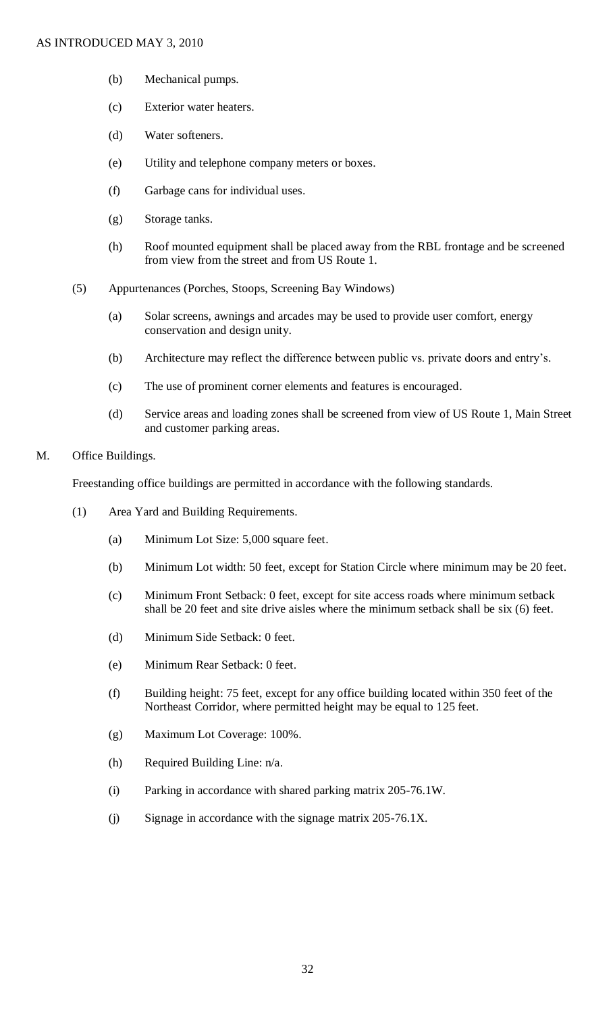- (b) Mechanical pumps.
- (c) Exterior water heaters.
- (d) Water softeners.
- (e) Utility and telephone company meters or boxes.
- (f) Garbage cans for individual uses.
- (g) Storage tanks.
- (h) Roof mounted equipment shall be placed away from the RBL frontage and be screened from view from the street and from US Route 1.
- (5) Appurtenances (Porches, Stoops, Screening Bay Windows)
	- (a) Solar screens, awnings and arcades may be used to provide user comfort, energy conservation and design unity.
	- (b) Architecture may reflect the difference between public vs. private doors and entry's.
	- (c) The use of prominent corner elements and features is encouraged.
	- (d) Service areas and loading zones shall be screened from view of US Route 1, Main Street and customer parking areas.

#### M. Office Buildings.

Freestanding office buildings are permitted in accordance with the following standards.

- (1) Area Yard and Building Requirements.
	- (a) Minimum Lot Size: 5,000 square feet.
	- (b) Minimum Lot width: 50 feet, except for Station Circle where minimum may be 20 feet.
	- (c) Minimum Front Setback: 0 feet, except for site access roads where minimum setback shall be 20 feet and site drive aisles where the minimum setback shall be six (6) feet.
	- (d) Minimum Side Setback: 0 feet.
	- (e) Minimum Rear Setback: 0 feet.
	- (f) Building height: 75 feet, except for any office building located within 350 feet of the Northeast Corridor, where permitted height may be equal to 125 feet.
	- (g) Maximum Lot Coverage: 100%.
	- (h) Required Building Line: n/a.
	- (i) Parking in accordance with shared parking matrix 205-76.1W.
	- (j) Signage in accordance with the signage matrix 205-76.1X.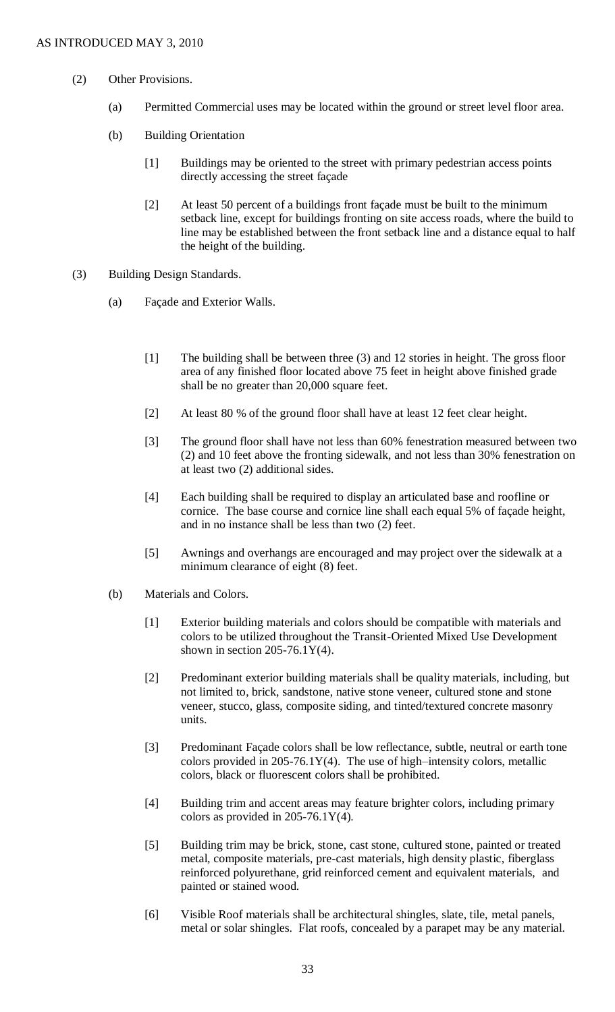- (2) Other Provisions.
	- (a) Permitted Commercial uses may be located within the ground or street level floor area.
	- (b) Building Orientation
		- [1] Buildings may be oriented to the street with primary pedestrian access points directly accessing the street façade
		- [2] At least 50 percent of a buildings front façade must be built to the minimum setback line, except for buildings fronting on site access roads, where the build to line may be established between the front setback line and a distance equal to half the height of the building.
- (3) Building Design Standards.
	- (a) Façade and Exterior Walls.
		- [1] The building shall be between three (3) and 12 stories in height. The gross floor area of any finished floor located above 75 feet in height above finished grade shall be no greater than 20,000 square feet.
		- [2] At least 80 % of the ground floor shall have at least 12 feet clear height.
		- [3] The ground floor shall have not less than 60% fenestration measured between two (2) and 10 feet above the fronting sidewalk, and not less than 30% fenestration on at least two (2) additional sides.
		- [4] Each building shall be required to display an articulated base and roofline or cornice. The base course and cornice line shall each equal 5% of façade height, and in no instance shall be less than two (2) feet.
		- [5] Awnings and overhangs are encouraged and may project over the sidewalk at a minimum clearance of eight (8) feet.
	- (b) Materials and Colors.
		- [1] Exterior building materials and colors should be compatible with materials and colors to be utilized throughout the Transit-Oriented Mixed Use Development shown in section  $205-76.1Y(4)$ .
		- [2] Predominant exterior building materials shall be quality materials, including, but not limited to, brick, sandstone, native stone veneer, cultured stone and stone veneer, stucco, glass, composite siding, and tinted/textured concrete masonry units.
		- [3] Predominant Façade colors shall be low reflectance, subtle, neutral or earth tone colors provided in  $205-76.1Y(4)$ . The use of high–intensity colors, metallic colors, black or fluorescent colors shall be prohibited.
		- [4] Building trim and accent areas may feature brighter colors, including primary colors as provided in 205-76.1Y(4).
		- [5] Building trim may be brick, stone, cast stone, cultured stone, painted or treated metal, composite materials, pre-cast materials, high density plastic, fiberglass reinforced polyurethane, grid reinforced cement and equivalent materials, and painted or stained wood.
		- [6] Visible Roof materials shall be architectural shingles, slate, tile, metal panels, metal or solar shingles. Flat roofs, concealed by a parapet may be any material.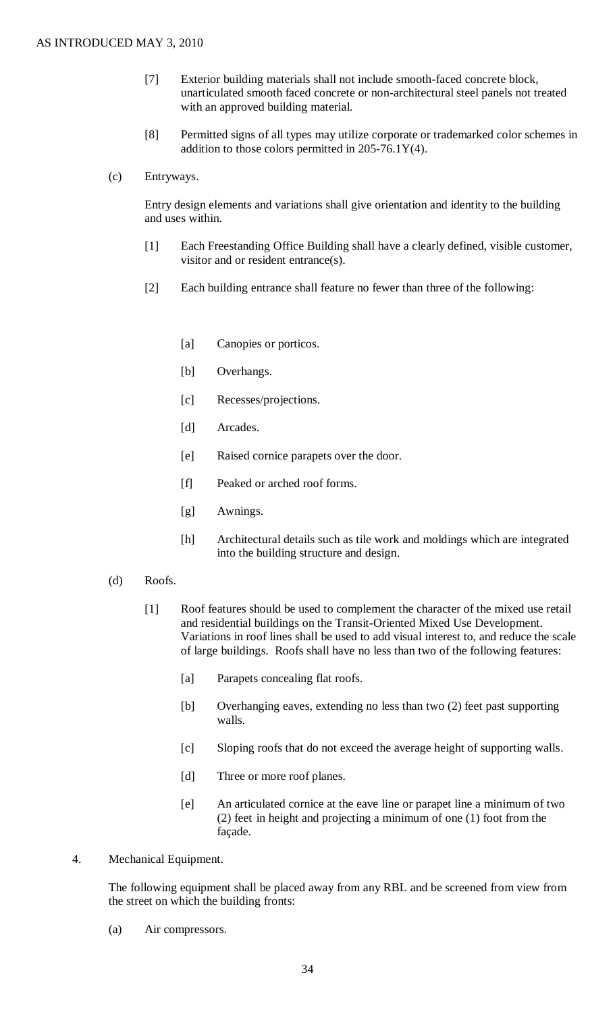- [7] Exterior building materials shall not include smooth-faced concrete block, unarticulated smooth faced concrete or non-architectural steel panels not treated with an approved building material.
- [8] Permitted signs of all types may utilize corporate or trademarked color schemes in addition to those colors permitted in  $205-76.1Y(4)$ .
- (c) Entryways.

Entry design elements and variations shall give orientation and identity to the building and uses within.

- [1] Each Freestanding Office Building shall have a clearly defined, visible customer, visitor and or resident entrance(s).
- [2] Each building entrance shall feature no fewer than three of the following:
	- [a] Canopies or porticos.
	- [b] Overhangs.
	- [c] Recesses/projections.
	- [d] Arcades.
	- [e] Raised cornice parapets over the door.
	- [f] Peaked or arched roof forms.
	- [g] Awnings.
	- [h] Architectural details such as tile work and moldings which are integrated into the building structure and design.
- (d) Roofs.
	- [1] Roof features should be used to complement the character of the mixed use retail and residential buildings on the Transit-Oriented Mixed Use Development. Variations in roof lines shall be used to add visual interest to, and reduce the scale of large buildings. Roofs shall have no less than two of the following features:
		- [a] Parapets concealing flat roofs.
		- [b] Overhanging eaves, extending no less than two (2) feet past supporting walls.
		- [c] Sloping roofs that do not exceed the average height of supporting walls.
		- [d] Three or more roof planes.
		- [e] An articulated cornice at the eave line or parapet line a minimum of two (2) feet in height and projecting a minimum of one (1) foot from the façade.
- 4. Mechanical Equipment.

The following equipment shall be placed away from any RBL and be screened from view from the street on which the building fronts:

(a) Air compressors.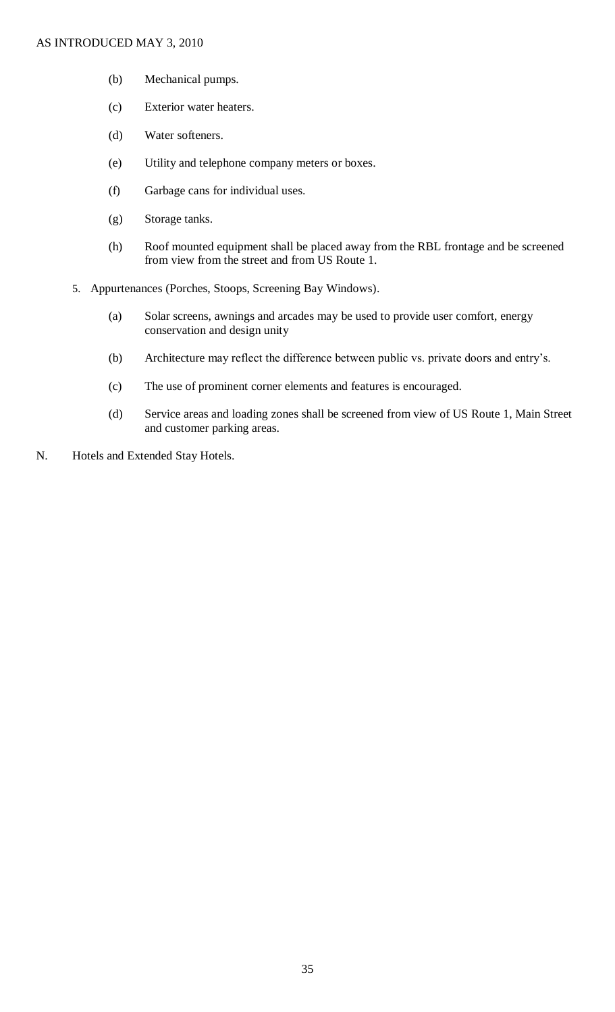- (b) Mechanical pumps.
- (c) Exterior water heaters.
- (d) Water softeners.
- (e) Utility and telephone company meters or boxes.
- (f) Garbage cans for individual uses.
- (g) Storage tanks.
- (h) Roof mounted equipment shall be placed away from the RBL frontage and be screened from view from the street and from US Route 1.
- 5. Appurtenances (Porches, Stoops, Screening Bay Windows).
	- (a) Solar screens, awnings and arcades may be used to provide user comfort, energy conservation and design unity
	- (b) Architecture may reflect the difference between public vs. private doors and entry's.
	- (c) The use of prominent corner elements and features is encouraged.
	- (d) Service areas and loading zones shall be screened from view of US Route 1, Main Street and customer parking areas.
- N. Hotels and Extended Stay Hotels.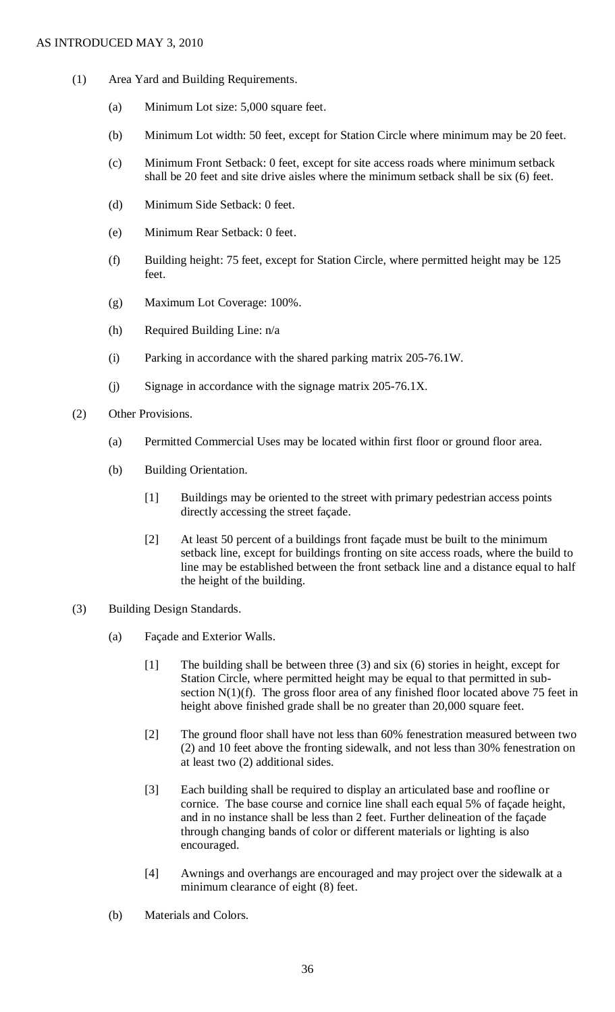- (1) Area Yard and Building Requirements.
	- (a) Minimum Lot size: 5,000 square feet.
	- (b) Minimum Lot width: 50 feet, except for Station Circle where minimum may be 20 feet.
	- (c) Minimum Front Setback: 0 feet, except for site access roads where minimum setback shall be 20 feet and site drive aisles where the minimum setback shall be six (6) feet.
	- (d) Minimum Side Setback: 0 feet.
	- (e) Minimum Rear Setback: 0 feet.
	- (f) Building height: 75 feet, except for Station Circle, where permitted height may be 125 feet.
	- (g) Maximum Lot Coverage: 100%.
	- (h) Required Building Line: n/a
	- (i) Parking in accordance with the shared parking matrix 205-76.1W.
	- (j) Signage in accordance with the signage matrix 205-76.1X.
- (2) Other Provisions.
	- (a) Permitted Commercial Uses may be located within first floor or ground floor area.
	- (b) Building Orientation.
		- [1] Buildings may be oriented to the street with primary pedestrian access points directly accessing the street façade.
		- [2] At least 50 percent of a buildings front façade must be built to the minimum setback line, except for buildings fronting on site access roads, where the build to line may be established between the front setback line and a distance equal to half the height of the building.
- (3) Building Design Standards.
	- (a) Façade and Exterior Walls.
		- [1] The building shall be between three (3) and six (6) stories in height, except for Station Circle, where permitted height may be equal to that permitted in subsection  $N(1)(f)$ . The gross floor area of any finished floor located above 75 feet in height above finished grade shall be no greater than 20,000 square feet.
		- [2] The ground floor shall have not less than 60% fenestration measured between two (2) and 10 feet above the fronting sidewalk, and not less than 30% fenestration on at least two (2) additional sides.
		- [3] Each building shall be required to display an articulated base and roofline or cornice. The base course and cornice line shall each equal 5% of façade height, and in no instance shall be less than 2 feet. Further delineation of the façade through changing bands of color or different materials or lighting is also encouraged.
		- [4] Awnings and overhangs are encouraged and may project over the sidewalk at a minimum clearance of eight (8) feet.
	- (b) Materials and Colors.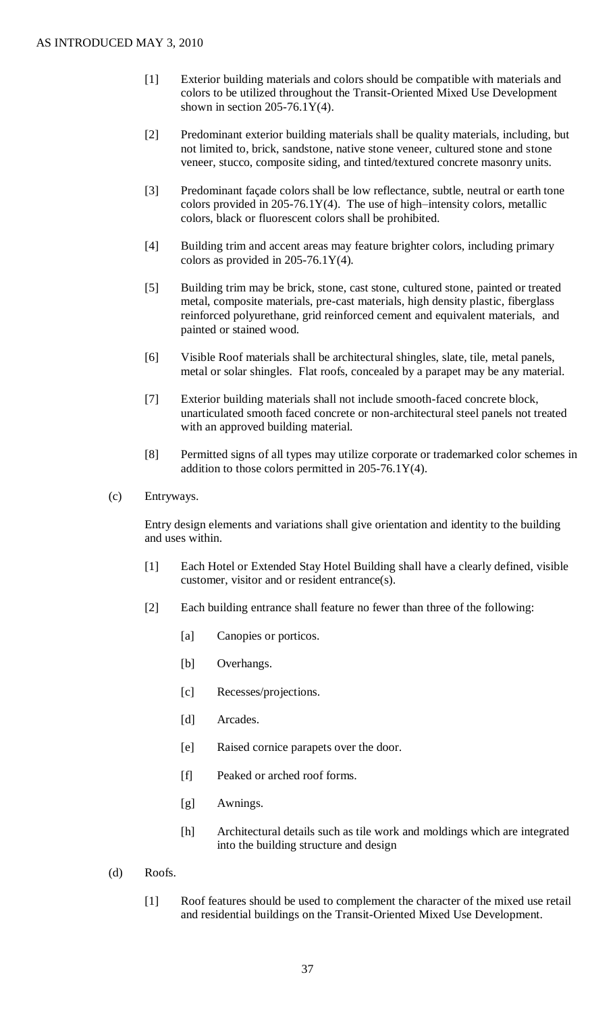- [1] Exterior building materials and colors should be compatible with materials and colors to be utilized throughout the Transit-Oriented Mixed Use Development shown in section  $205-76.1Y(4)$ .
- [2] Predominant exterior building materials shall be quality materials, including, but not limited to, brick, sandstone, native stone veneer, cultured stone and stone veneer, stucco, composite siding, and tinted/textured concrete masonry units.
- [3] Predominant façade colors shall be low reflectance, subtle, neutral or earth tone colors provided in 205-76.1Y(4). The use of high–intensity colors, metallic colors, black or fluorescent colors shall be prohibited.
- [4] Building trim and accent areas may feature brighter colors, including primary colors as provided in  $205-76.1Y(4)$ .
- [5] Building trim may be brick, stone, cast stone, cultured stone, painted or treated metal, composite materials, pre-cast materials, high density plastic, fiberglass reinforced polyurethane, grid reinforced cement and equivalent materials, and painted or stained wood.
- [6] Visible Roof materials shall be architectural shingles, slate, tile, metal panels, metal or solar shingles. Flat roofs, concealed by a parapet may be any material.
- [7] Exterior building materials shall not include smooth-faced concrete block, unarticulated smooth faced concrete or non-architectural steel panels not treated with an approved building material.
- [8] Permitted signs of all types may utilize corporate or trademarked color schemes in addition to those colors permitted in  $205-76.1Y(4)$ .
- (c) Entryways.

Entry design elements and variations shall give orientation and identity to the building and uses within.

- [1] Each Hotel or Extended Stay Hotel Building shall have a clearly defined, visible customer, visitor and or resident entrance(s).
- [2] Each building entrance shall feature no fewer than three of the following:
	- [a] Canopies or porticos.
	- [b] Overhangs.
	- [c] Recesses/projections.
	- [d] Arcades.
	- [e] Raised cornice parapets over the door.
	- [f] Peaked or arched roof forms.
	- [g] Awnings.
	- [h] Architectural details such as tile work and moldings which are integrated into the building structure and design
- (d) Roofs.
	- [1] Roof features should be used to complement the character of the mixed use retail and residential buildings on the Transit-Oriented Mixed Use Development.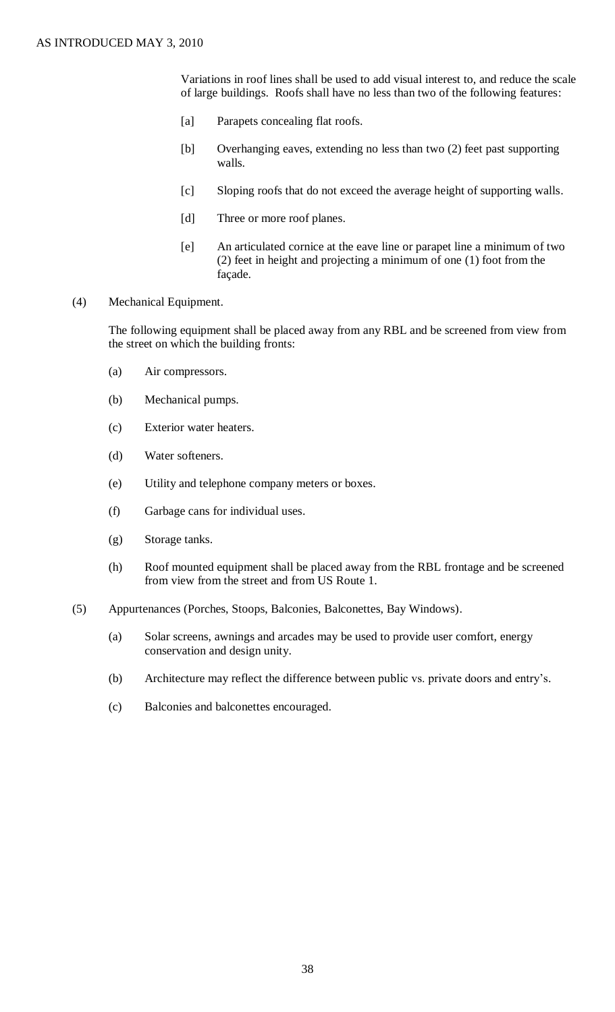Variations in roof lines shall be used to add visual interest to, and reduce the scale of large buildings. Roofs shall have no less than two of the following features:

- [a] Parapets concealing flat roofs.
- [b] Overhanging eaves, extending no less than two (2) feet past supporting walls.
- [c] Sloping roofs that do not exceed the average height of supporting walls.
- [d] Three or more roof planes.
- [e] An articulated cornice at the eave line or parapet line a minimum of two (2) feet in height and projecting a minimum of one (1) foot from the façade.
- (4) Mechanical Equipment.

The following equipment shall be placed away from any RBL and be screened from view from the street on which the building fronts:

- (a) Air compressors.
- (b) Mechanical pumps.
- (c) Exterior water heaters.
- (d) Water softeners.
- (e) Utility and telephone company meters or boxes.
- (f) Garbage cans for individual uses.
- (g) Storage tanks.
- (h) Roof mounted equipment shall be placed away from the RBL frontage and be screened from view from the street and from US Route 1.
- (5) Appurtenances (Porches, Stoops, Balconies, Balconettes, Bay Windows).
	- (a) Solar screens, awnings and arcades may be used to provide user comfort, energy conservation and design unity.
	- (b) Architecture may reflect the difference between public vs. private doors and entry's.
	- (c) Balconies and balconettes encouraged.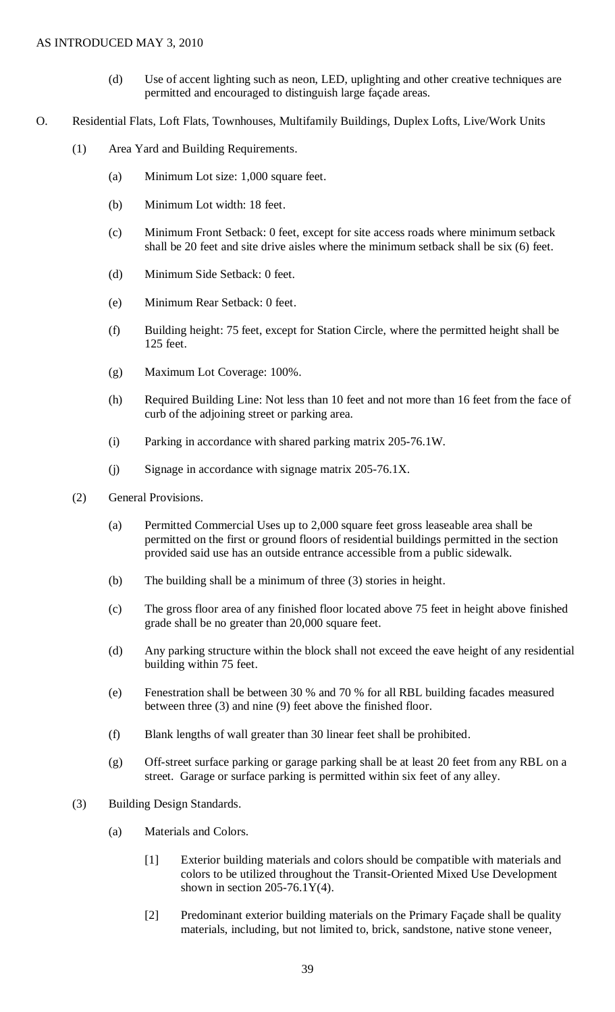- (d) Use of accent lighting such as neon, LED, uplighting and other creative techniques are permitted and encouraged to distinguish large façade areas.
- O. Residential Flats, Loft Flats, Townhouses, Multifamily Buildings, Duplex Lofts, Live/Work Units
	- (1) Area Yard and Building Requirements.
		- (a) Minimum Lot size: 1,000 square feet.
		- (b) Minimum Lot width: 18 feet.
		- (c) Minimum Front Setback: 0 feet, except for site access roads where minimum setback shall be 20 feet and site drive aisles where the minimum setback shall be six (6) feet.
		- (d) Minimum Side Setback: 0 feet.
		- (e) Minimum Rear Setback: 0 feet.
		- (f) Building height: 75 feet, except for Station Circle, where the permitted height shall be 125 feet.
		- (g) Maximum Lot Coverage: 100%.
		- (h) Required Building Line: Not less than 10 feet and not more than 16 feet from the face of curb of the adjoining street or parking area.
		- (i) Parking in accordance with shared parking matrix 205-76.1W.
		- (j) Signage in accordance with signage matrix 205-76.1X.
	- (2) General Provisions.
		- (a) Permitted Commercial Uses up to 2,000 square feet gross leaseable area shall be permitted on the first or ground floors of residential buildings permitted in the section provided said use has an outside entrance accessible from a public sidewalk.
		- (b) The building shall be a minimum of three (3) stories in height.
		- (c) The gross floor area of any finished floor located above 75 feet in height above finished grade shall be no greater than 20,000 square feet.
		- (d) Any parking structure within the block shall not exceed the eave height of any residential building within 75 feet.
		- (e) Fenestration shall be between 30 % and 70 % for all RBL building facades measured between three (3) and nine (9) feet above the finished floor.
		- (f) Blank lengths of wall greater than 30 linear feet shall be prohibited.
		- (g) Off-street surface parking or garage parking shall be at least 20 feet from any RBL on a street. Garage or surface parking is permitted within six feet of any alley.
	- (3) Building Design Standards.
		- (a) Materials and Colors.
			- [1] Exterior building materials and colors should be compatible with materials and colors to be utilized throughout the Transit-Oriented Mixed Use Development shown in section  $205-76.1Y(4)$ .
			- [2] Predominant exterior building materials on the Primary Façade shall be quality materials, including, but not limited to, brick, sandstone, native stone veneer,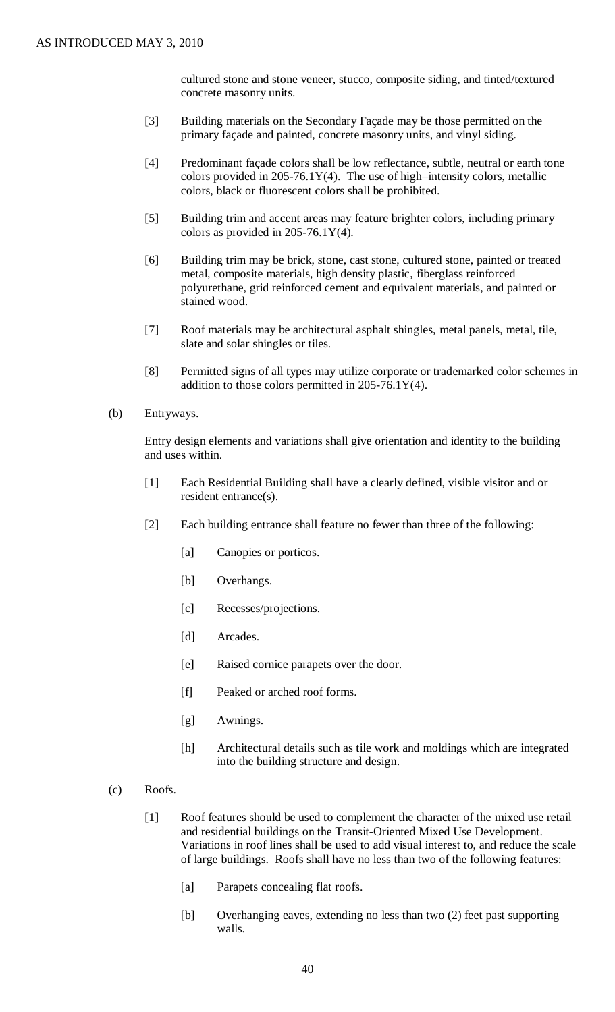cultured stone and stone veneer, stucco, composite siding, and tinted/textured concrete masonry units.

- [3] Building materials on the Secondary Façade may be those permitted on the primary façade and painted, concrete masonry units, and vinyl siding.
- [4] Predominant façade colors shall be low reflectance, subtle, neutral or earth tone colors provided in 205-76.1Y(4). The use of high–intensity colors, metallic colors, black or fluorescent colors shall be prohibited.
- [5] Building trim and accent areas may feature brighter colors, including primary colors as provided in  $205-76.1Y(4)$ .
- [6] Building trim may be brick, stone, cast stone, cultured stone, painted or treated metal, composite materials, high density plastic, fiberglass reinforced polyurethane, grid reinforced cement and equivalent materials, and painted or stained wood.
- [7] Roof materials may be architectural asphalt shingles, metal panels, metal, tile, slate and solar shingles or tiles.
- [8] Permitted signs of all types may utilize corporate or trademarked color schemes in addition to those colors permitted in  $205-76.1Y(4)$ .
- (b) Entryways.

Entry design elements and variations shall give orientation and identity to the building and uses within.

- [1] Each Residential Building shall have a clearly defined, visible visitor and or resident entrance(s).
- [2] Each building entrance shall feature no fewer than three of the following:
	- [a] Canopies or porticos.
	- [b] Overhangs.
	- [c] Recesses/projections.
	- [d] Arcades.
	- [e] Raised cornice parapets over the door.
	- [f] Peaked or arched roof forms.
	- [g] Awnings.
	- [h] Architectural details such as tile work and moldings which are integrated into the building structure and design.
- (c) Roofs.
	- [1] Roof features should be used to complement the character of the mixed use retail and residential buildings on the Transit-Oriented Mixed Use Development. Variations in roof lines shall be used to add visual interest to, and reduce the scale of large buildings. Roofs shall have no less than two of the following features:
		- [a] Parapets concealing flat roofs.
		- [b] Overhanging eaves, extending no less than two (2) feet past supporting walls.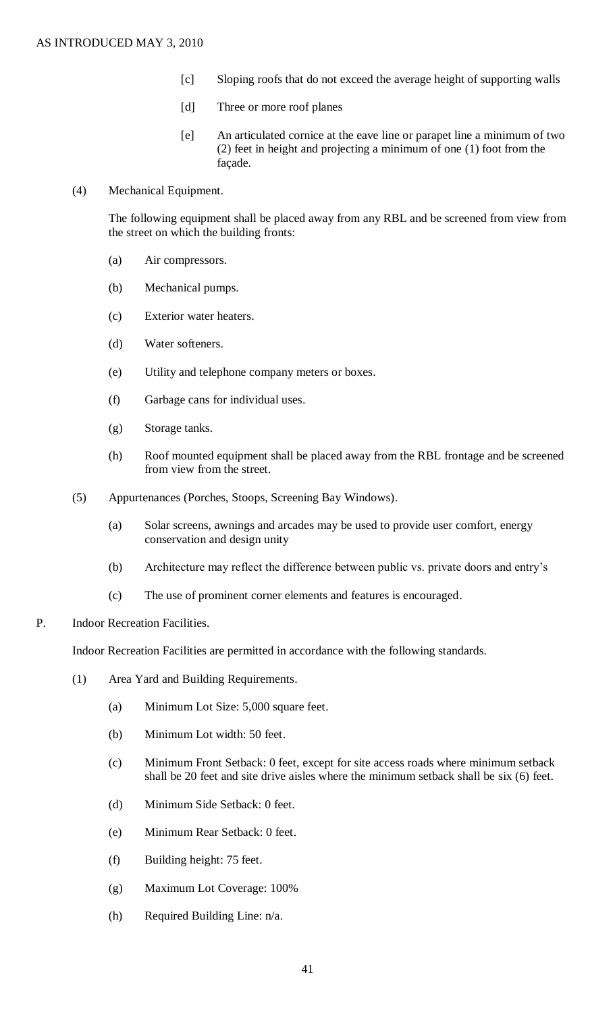- [c] Sloping roofs that do not exceed the average height of supporting walls
- [d] Three or more roof planes
- [e] An articulated cornice at the eave line or parapet line a minimum of two (2) feet in height and projecting a minimum of one (1) foot from the façade.
- (4) Mechanical Equipment.

The following equipment shall be placed away from any RBL and be screened from view from the street on which the building fronts:

- (a) Air compressors.
- (b) Mechanical pumps.
- (c) Exterior water heaters.
- (d) Water softeners.
- (e) Utility and telephone company meters or boxes.
- (f) Garbage cans for individual uses.
- (g) Storage tanks.
- (h) Roof mounted equipment shall be placed away from the RBL frontage and be screened from view from the street.
- (5) Appurtenances (Porches, Stoops, Screening Bay Windows).
	- (a) Solar screens, awnings and arcades may be used to provide user comfort, energy conservation and design unity
	- (b) Architecture may reflect the difference between public vs. private doors and entry's
	- (c) The use of prominent corner elements and features is encouraged.
- P. Indoor Recreation Facilities.

Indoor Recreation Facilities are permitted in accordance with the following standards.

- (1) Area Yard and Building Requirements.
	- (a) Minimum Lot Size: 5,000 square feet.
	- (b) Minimum Lot width: 50 feet.
	- (c) Minimum Front Setback: 0 feet, except for site access roads where minimum setback shall be 20 feet and site drive aisles where the minimum setback shall be six (6) feet.
	- (d) Minimum Side Setback: 0 feet.
	- (e) Minimum Rear Setback: 0 feet.
	- (f) Building height: 75 feet.
	- (g) Maximum Lot Coverage: 100%
	- (h) Required Building Line: n/a.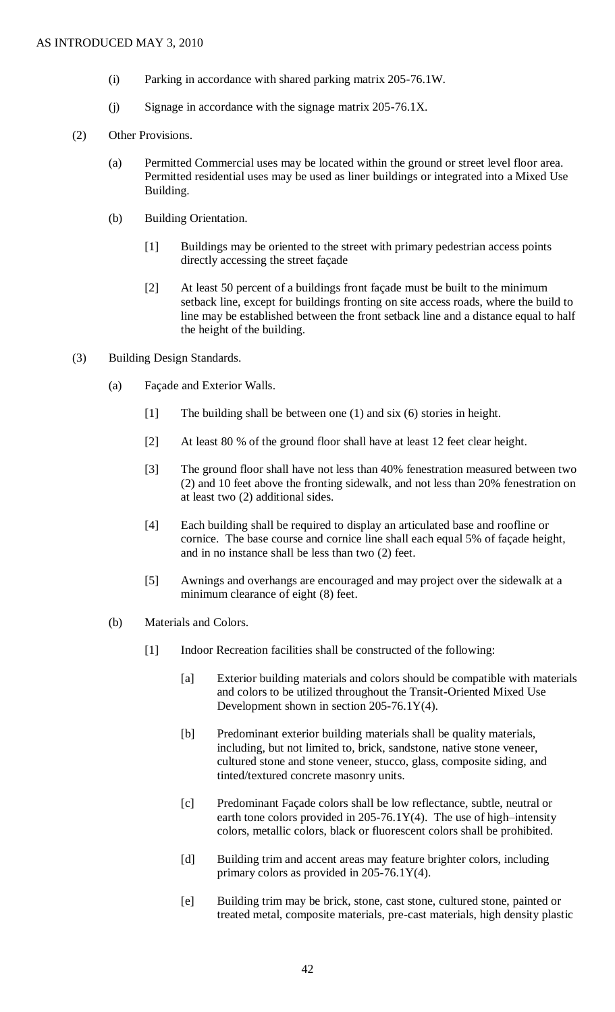- (i) Parking in accordance with shared parking matrix 205-76.1W.
- (j) Signage in accordance with the signage matrix 205-76.1X.
- (2) Other Provisions.
	- (a) Permitted Commercial uses may be located within the ground or street level floor area. Permitted residential uses may be used as liner buildings or integrated into a Mixed Use Building.
	- (b) Building Orientation.
		- [1] Buildings may be oriented to the street with primary pedestrian access points directly accessing the street façade
		- [2] At least 50 percent of a buildings front façade must be built to the minimum setback line, except for buildings fronting on site access roads, where the build to line may be established between the front setback line and a distance equal to half the height of the building.
- (3) Building Design Standards.
	- (a) Façade and Exterior Walls.
		- [1] The building shall be between one (1) and six (6) stories in height.
		- [2] At least 80 % of the ground floor shall have at least 12 feet clear height.
		- [3] The ground floor shall have not less than 40% fenestration measured between two (2) and 10 feet above the fronting sidewalk, and not less than 20% fenestration on at least two (2) additional sides.
		- [4] Each building shall be required to display an articulated base and roofline or cornice. The base course and cornice line shall each equal 5% of façade height, and in no instance shall be less than two (2) feet.
		- [5] Awnings and overhangs are encouraged and may project over the sidewalk at a minimum clearance of eight (8) feet.
	- (b) Materials and Colors.
		- [1] Indoor Recreation facilities shall be constructed of the following:
			- [a] Exterior building materials and colors should be compatible with materials and colors to be utilized throughout the Transit-Oriented Mixed Use Development shown in section 205-76.1Y(4).
			- [b] Predominant exterior building materials shall be quality materials, including, but not limited to, brick, sandstone, native stone veneer, cultured stone and stone veneer, stucco, glass, composite siding, and tinted/textured concrete masonry units.
			- [c] Predominant Façade colors shall be low reflectance, subtle, neutral or earth tone colors provided in  $205-76.1Y(4)$ . The use of high-intensity colors, metallic colors, black or fluorescent colors shall be prohibited.
			- [d] Building trim and accent areas may feature brighter colors, including primary colors as provided in 205-76.1Y(4).
			- [e] Building trim may be brick, stone, cast stone, cultured stone, painted or treated metal, composite materials, pre-cast materials, high density plastic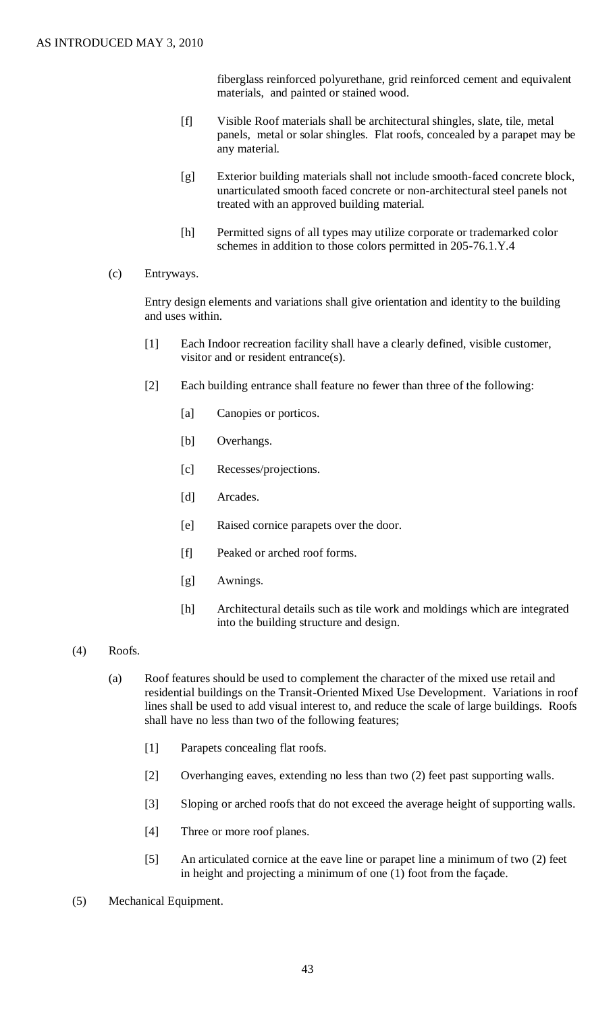fiberglass reinforced polyurethane, grid reinforced cement and equivalent materials, and painted or stained wood.

- [f] Visible Roof materials shall be architectural shingles, slate, tile, metal panels, metal or solar shingles. Flat roofs, concealed by a parapet may be any material.
- [g] Exterior building materials shall not include smooth-faced concrete block, unarticulated smooth faced concrete or non-architectural steel panels not treated with an approved building material.
- [h] Permitted signs of all types may utilize corporate or trademarked color schemes in addition to those colors permitted in 205-76.1.Y.4
- (c) Entryways.

Entry design elements and variations shall give orientation and identity to the building and uses within.

- [1] Each Indoor recreation facility shall have a clearly defined, visible customer, visitor and or resident entrance(s).
- [2] Each building entrance shall feature no fewer than three of the following:
	- [a] Canopies or porticos.
	- [b] Overhangs.
	- [c] Recesses/projections.
	- [d] Arcades.
	- [e] Raised cornice parapets over the door.
	- [f] Peaked or arched roof forms.
	- [g] Awnings.
	- [h] Architectural details such as tile work and moldings which are integrated into the building structure and design.
- (4) Roofs.
	- (a) Roof features should be used to complement the character of the mixed use retail and residential buildings on the Transit-Oriented Mixed Use Development. Variations in roof lines shall be used to add visual interest to, and reduce the scale of large buildings. Roofs shall have no less than two of the following features;
		- [1] Parapets concealing flat roofs.
		- [2] Overhanging eaves, extending no less than two (2) feet past supporting walls.
		- [3] Sloping or arched roofs that do not exceed the average height of supporting walls.
		- [4] Three or more roof planes.
		- [5] An articulated cornice at the eave line or parapet line a minimum of two (2) feet in height and projecting a minimum of one (1) foot from the façade.
- (5) Mechanical Equipment.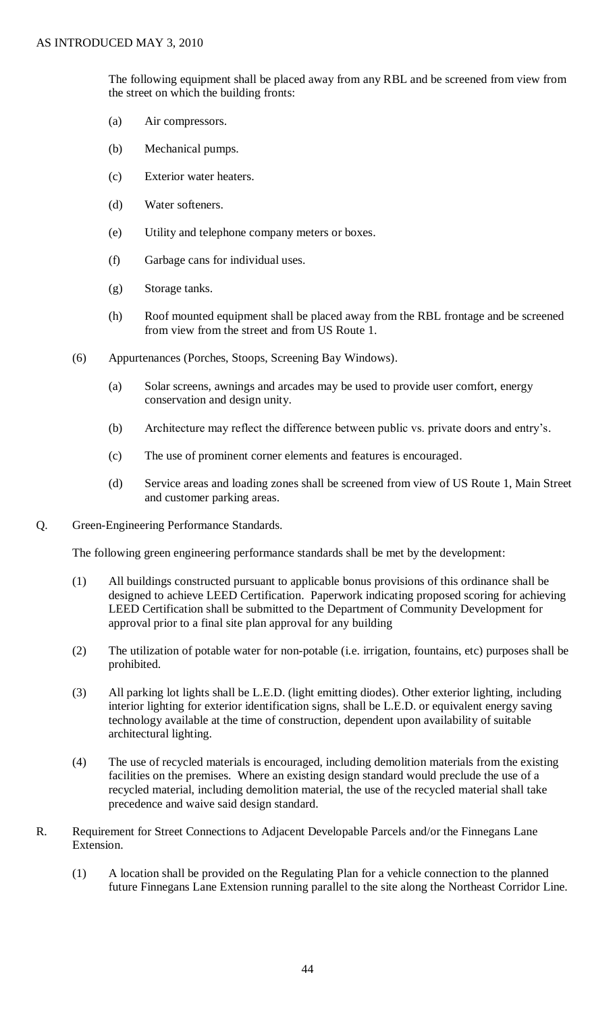The following equipment shall be placed away from any RBL and be screened from view from the street on which the building fronts:

- (a) Air compressors.
- (b) Mechanical pumps.
- (c) Exterior water heaters.
- (d) Water softeners.
- (e) Utility and telephone company meters or boxes.
- (f) Garbage cans for individual uses.
- (g) Storage tanks.
- (h) Roof mounted equipment shall be placed away from the RBL frontage and be screened from view from the street and from US Route 1.
- (6) Appurtenances (Porches, Stoops, Screening Bay Windows).
	- (a) Solar screens, awnings and arcades may be used to provide user comfort, energy conservation and design unity.
	- (b) Architecture may reflect the difference between public vs. private doors and entry's.
	- (c) The use of prominent corner elements and features is encouraged.
	- (d) Service areas and loading zones shall be screened from view of US Route 1, Main Street and customer parking areas.
- Q. Green-Engineering Performance Standards.

The following green engineering performance standards shall be met by the development:

- (1) All buildings constructed pursuant to applicable bonus provisions of this ordinance shall be designed to achieve LEED Certification. Paperwork indicating proposed scoring for achieving LEED Certification shall be submitted to the Department of Community Development for approval prior to a final site plan approval for any building
- (2) The utilization of potable water for non-potable (i.e. irrigation, fountains, etc) purposes shall be prohibited.
- (3) All parking lot lights shall be L.E.D. (light emitting diodes). Other exterior lighting, including interior lighting for exterior identification signs, shall be L.E.D. or equivalent energy saving technology available at the time of construction, dependent upon availability of suitable architectural lighting.
- (4) The use of recycled materials is encouraged, including demolition materials from the existing facilities on the premises. Where an existing design standard would preclude the use of a recycled material, including demolition material, the use of the recycled material shall take precedence and waive said design standard.
- R. Requirement for Street Connections to Adjacent Developable Parcels and/or the Finnegans Lane Extension.
	- (1) A location shall be provided on the Regulating Plan for a vehicle connection to the planned future Finnegans Lane Extension running parallel to the site along the Northeast Corridor Line.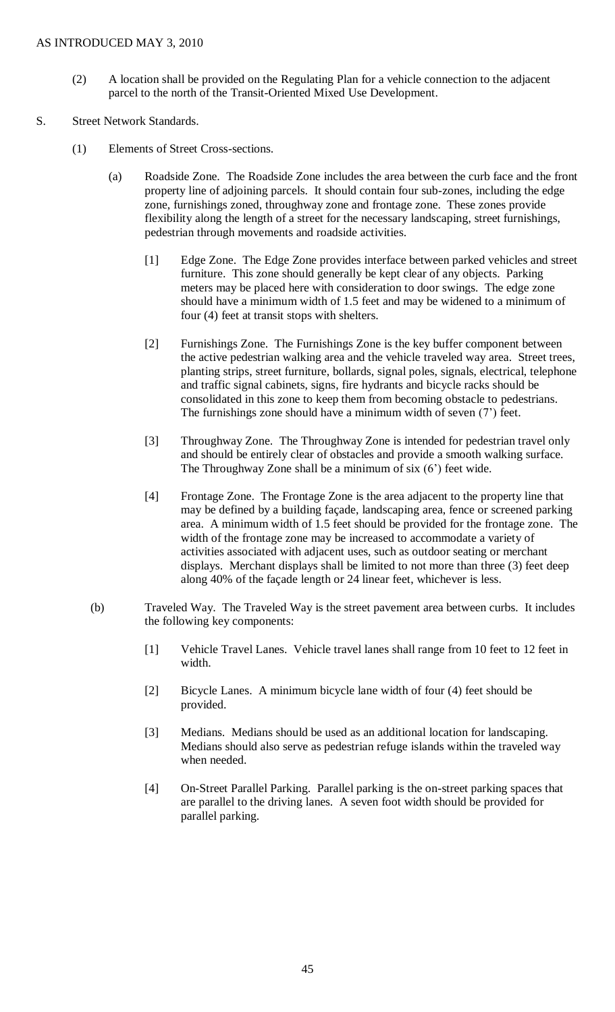- (2) A location shall be provided on the Regulating Plan for a vehicle connection to the adjacent parcel to the north of the Transit-Oriented Mixed Use Development.
- S. Street Network Standards.
	- (1) Elements of Street Cross-sections.
		- (a) Roadside Zone. The Roadside Zone includes the area between the curb face and the front property line of adjoining parcels. It should contain four sub-zones, including the edge zone, furnishings zoned, throughway zone and frontage zone. These zones provide flexibility along the length of a street for the necessary landscaping, street furnishings, pedestrian through movements and roadside activities.
			- [1] Edge Zone. The Edge Zone provides interface between parked vehicles and street furniture. This zone should generally be kept clear of any objects. Parking meters may be placed here with consideration to door swings. The edge zone should have a minimum width of 1.5 feet and may be widened to a minimum of four (4) feet at transit stops with shelters.
			- [2] Furnishings Zone. The Furnishings Zone is the key buffer component between the active pedestrian walking area and the vehicle traveled way area. Street trees, planting strips, street furniture, bollards, signal poles, signals, electrical, telephone and traffic signal cabinets, signs, fire hydrants and bicycle racks should be consolidated in this zone to keep them from becoming obstacle to pedestrians. The furnishings zone should have a minimum width of seven (7') feet.
			- [3] Throughway Zone. The Throughway Zone is intended for pedestrian travel only and should be entirely clear of obstacles and provide a smooth walking surface. The Throughway Zone shall be a minimum of six (6') feet wide.
			- [4] Frontage Zone. The Frontage Zone is the area adjacent to the property line that may be defined by a building façade, landscaping area, fence or screened parking area. A minimum width of 1.5 feet should be provided for the frontage zone. The width of the frontage zone may be increased to accommodate a variety of activities associated with adjacent uses, such as outdoor seating or merchant displays. Merchant displays shall be limited to not more than three (3) feet deep along 40% of the façade length or 24 linear feet, whichever is less.
		- (b) Traveled Way. The Traveled Way is the street pavement area between curbs. It includes the following key components:
			- [1] Vehicle Travel Lanes. Vehicle travel lanes shall range from 10 feet to 12 feet in width.
			- [2] Bicycle Lanes. A minimum bicycle lane width of four (4) feet should be provided.
			- [3] Medians. Medians should be used as an additional location for landscaping. Medians should also serve as pedestrian refuge islands within the traveled way when needed.
			- [4] On-Street Parallel Parking. Parallel parking is the on-street parking spaces that are parallel to the driving lanes. A seven foot width should be provided for parallel parking.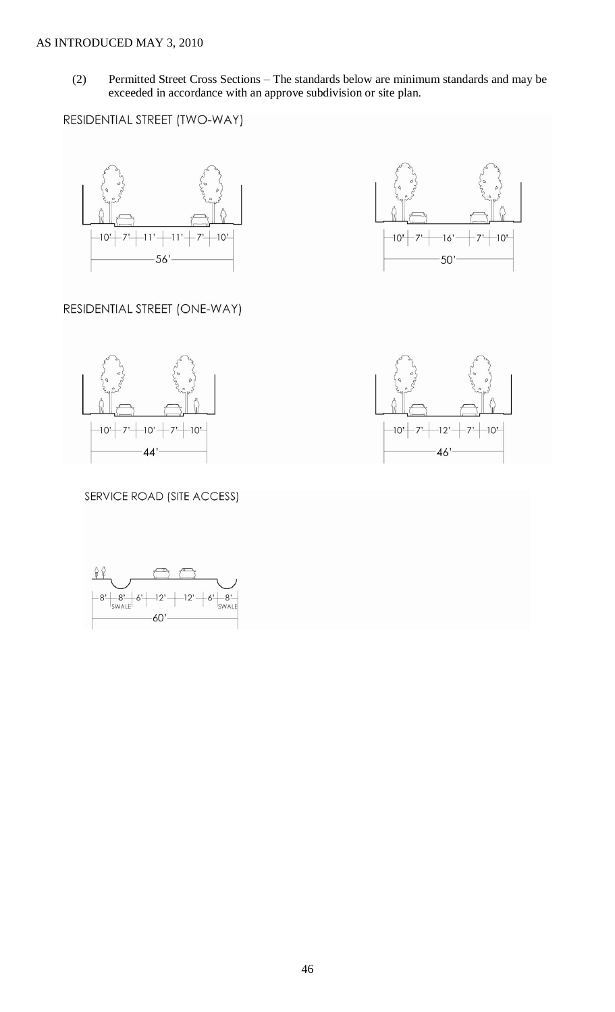(2) Permitted Street Cross Sections – The standards below are minimum standards and may be exceeded in accordance with an approve subdivision or site plan.

RESIDENTIAL STREET (TWO-WAY)





# RESIDENTIAL STREET (ONE-WAY)





# SERVICE ROAD (SITE ACCESS)

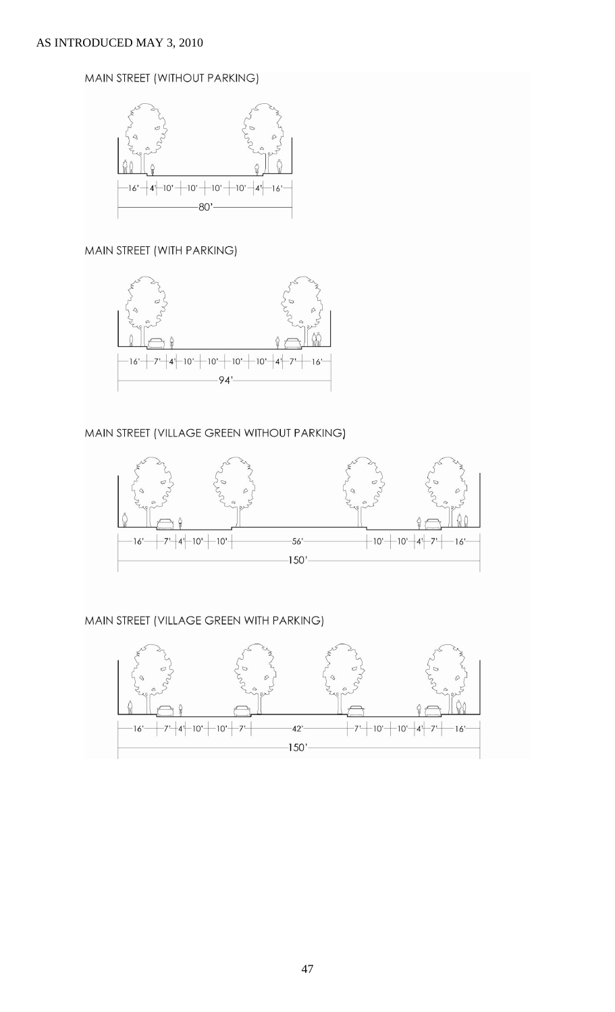# MAIN STREET (WITHOUT PARKING)



# MAIN STREET (WITH PARKING)



# MAIN STREET (VILLAGE GREEN WITHOUT PARKING)



# MAIN STREET (VILLAGE GREEN WITH PARKING)

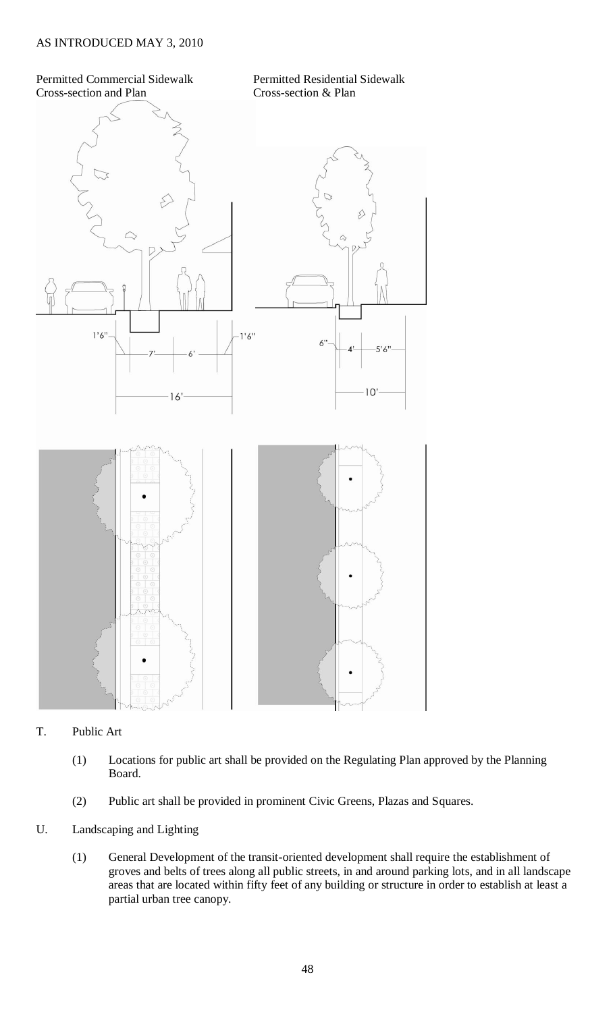## Permitted Commercial Sidewalk Permitted Residential Sidewalk Cross-section and Plan Cross-section & Plan



## T. Public Art

- (1) Locations for public art shall be provided on the Regulating Plan approved by the Planning Board.
- (2) Public art shall be provided in prominent Civic Greens, Plazas and Squares.
- U. Landscaping and Lighting
	- (1) General Development of the transit-oriented development shall require the establishment of groves and belts of trees along all public streets, in and around parking lots, and in all landscape areas that are located within fifty feet of any building or structure in order to establish at least a partial urban tree canopy.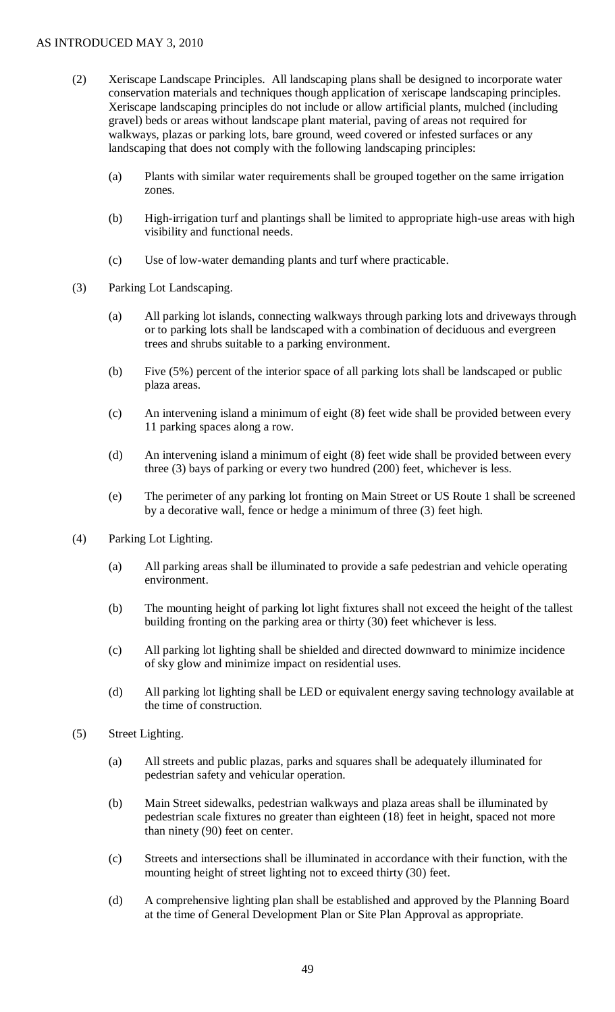- (2) Xeriscape Landscape Principles. All landscaping plans shall be designed to incorporate water conservation materials and techniques though application of xeriscape landscaping principles. Xeriscape landscaping principles do not include or allow artificial plants, mulched (including gravel) beds or areas without landscape plant material, paving of areas not required for walkways, plazas or parking lots, bare ground, weed covered or infested surfaces or any landscaping that does not comply with the following landscaping principles:
	- (a) Plants with similar water requirements shall be grouped together on the same irrigation zones.
	- (b) High-irrigation turf and plantings shall be limited to appropriate high-use areas with high visibility and functional needs.
	- (c) Use of low-water demanding plants and turf where practicable.
- (3) Parking Lot Landscaping.
	- (a) All parking lot islands, connecting walkways through parking lots and driveways through or to parking lots shall be landscaped with a combination of deciduous and evergreen trees and shrubs suitable to a parking environment.
	- (b) Five (5%) percent of the interior space of all parking lots shall be landscaped or public plaza areas.
	- (c) An intervening island a minimum of eight (8) feet wide shall be provided between every 11 parking spaces along a row.
	- (d) An intervening island a minimum of eight (8) feet wide shall be provided between every three (3) bays of parking or every two hundred (200) feet, whichever is less.
	- (e) The perimeter of any parking lot fronting on Main Street or US Route 1 shall be screened by a decorative wall, fence or hedge a minimum of three (3) feet high.
- (4) Parking Lot Lighting.
	- (a) All parking areas shall be illuminated to provide a safe pedestrian and vehicle operating environment.
	- (b) The mounting height of parking lot light fixtures shall not exceed the height of the tallest building fronting on the parking area or thirty (30) feet whichever is less.
	- (c) All parking lot lighting shall be shielded and directed downward to minimize incidence of sky glow and minimize impact on residential uses.
	- (d) All parking lot lighting shall be LED or equivalent energy saving technology available at the time of construction.
- (5) Street Lighting.
	- (a) All streets and public plazas, parks and squares shall be adequately illuminated for pedestrian safety and vehicular operation.
	- (b) Main Street sidewalks, pedestrian walkways and plaza areas shall be illuminated by pedestrian scale fixtures no greater than eighteen (18) feet in height, spaced not more than ninety (90) feet on center.
	- (c) Streets and intersections shall be illuminated in accordance with their function, with the mounting height of street lighting not to exceed thirty (30) feet.
	- (d) A comprehensive lighting plan shall be established and approved by the Planning Board at the time of General Development Plan or Site Plan Approval as appropriate.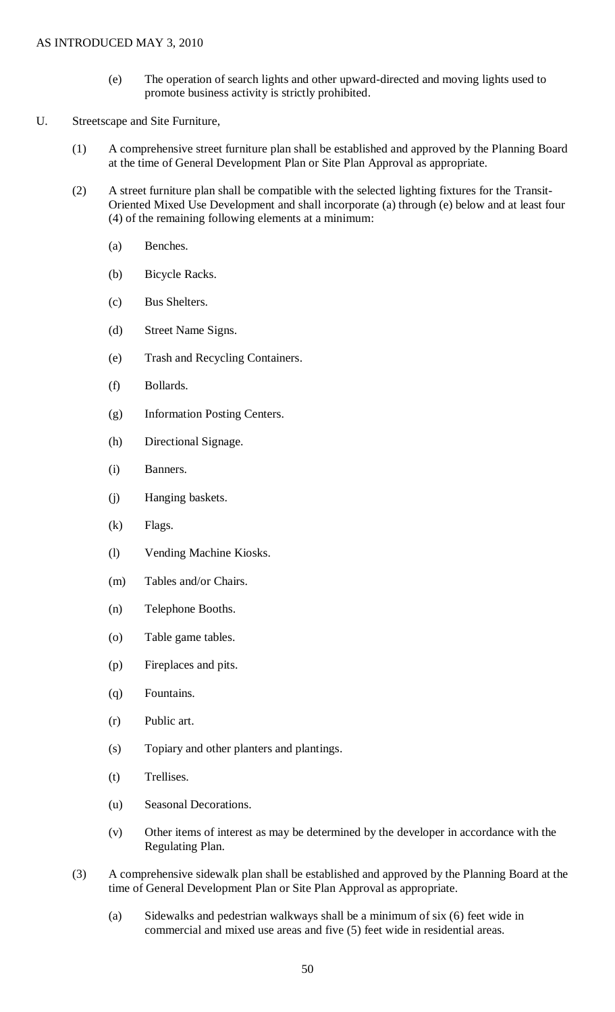- (e) The operation of search lights and other upward-directed and moving lights used to promote business activity is strictly prohibited.
- U. Streetscape and Site Furniture,
	- (1) A comprehensive street furniture plan shall be established and approved by the Planning Board at the time of General Development Plan or Site Plan Approval as appropriate.
	- (2) A street furniture plan shall be compatible with the selected lighting fixtures for the Transit-Oriented Mixed Use Development and shall incorporate (a) through (e) below and at least four (4) of the remaining following elements at a minimum:
		- (a) Benches.
		- (b) Bicycle Racks.
		- (c) Bus Shelters.
		- (d) Street Name Signs.
		- (e) Trash and Recycling Containers.
		- (f) Bollards.
		- (g) Information Posting Centers.
		- (h) Directional Signage.
		- (i) Banners.
		- (j) Hanging baskets.
		- (k) Flags.
		- (l) Vending Machine Kiosks.
		- (m) Tables and/or Chairs.
		- (n) Telephone Booths.
		- (o) Table game tables.
		- (p) Fireplaces and pits.
		- (q) Fountains.
		- (r) Public art.
		- (s) Topiary and other planters and plantings.
		- (t) Trellises.
		- (u) Seasonal Decorations.
		- (v) Other items of interest as may be determined by the developer in accordance with the Regulating Plan.
	- (3) A comprehensive sidewalk plan shall be established and approved by the Planning Board at the time of General Development Plan or Site Plan Approval as appropriate.
		- (a) Sidewalks and pedestrian walkways shall be a minimum of six (6) feet wide in commercial and mixed use areas and five (5) feet wide in residential areas.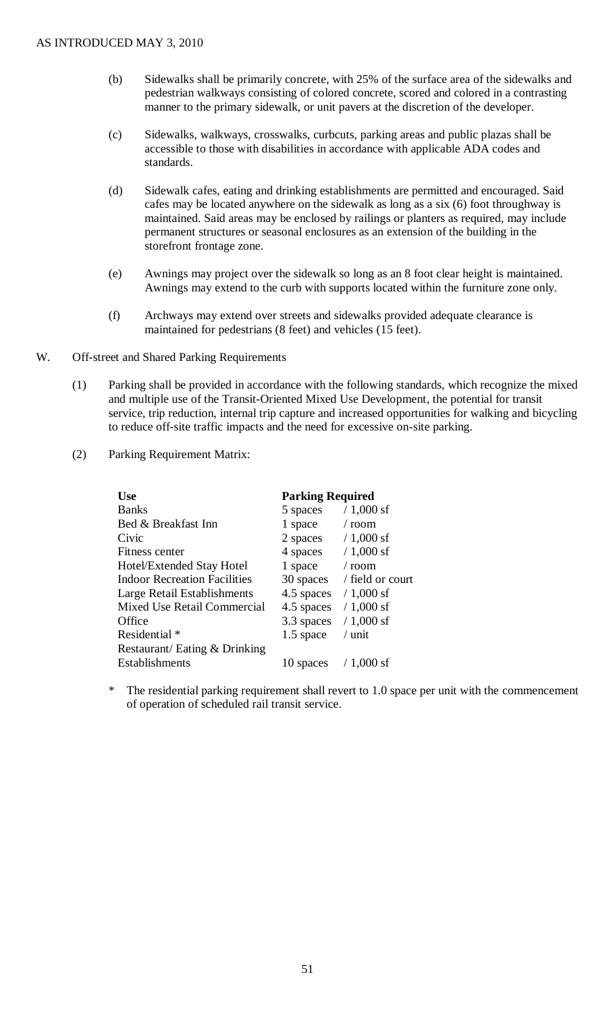- (b) Sidewalks shall be primarily concrete, with 25% of the surface area of the sidewalks and pedestrian walkways consisting of colored concrete, scored and colored in a contrasting manner to the primary sidewalk, or unit pavers at the discretion of the developer.
- (c) Sidewalks, walkways, crosswalks, curbcuts, parking areas and public plazas shall be accessible to those with disabilities in accordance with applicable ADA codes and standards.
- (d) Sidewalk cafes, eating and drinking establishments are permitted and encouraged. Said cafes may be located anywhere on the sidewalk as long as a six (6) foot throughway is maintained. Said areas may be enclosed by railings or planters as required, may include permanent structures or seasonal enclosures as an extension of the building in the storefront frontage zone.
- (e) Awnings may project over the sidewalk so long as an 8 foot clear height is maintained. Awnings may extend to the curb with supports located within the furniture zone only.
- (f) Archways may extend over streets and sidewalks provided adequate clearance is maintained for pedestrians (8 feet) and vehicles (15 feet).
- W. Off-street and Shared Parking Requirements
	- (1) Parking shall be provided in accordance with the following standards, which recognize the mixed and multiple use of the Transit-Oriented Mixed Use Development, the potential for transit service, trip reduction, internal trip capture and increased opportunities for walking and bicycling to reduce off-site traffic impacts and the need for excessive on-site parking.
	- (2) Parking Requirement Matrix:

| <b>Use</b>                          | <b>Parking Required</b> |                  |
|-------------------------------------|-------------------------|------------------|
| <b>Banks</b>                        | 5 spaces                | $/ 1,000$ sf     |
| Bed & Breakfast Inn                 | 1 space                 | $/$ room         |
| Civic                               | 2 spaces                | $/ 1,000$ sf     |
| Fitness center                      | 4 spaces                | $/ 1,000$ sf     |
| Hotel/Extended Stay Hotel           | 1 space                 | $/$ room         |
| <b>Indoor Recreation Facilities</b> | 30 spaces               | / field or court |
| Large Retail Establishments         | 4.5 spaces              | $/ 1,000$ sf     |
| Mixed Use Retail Commercial         | 4.5 spaces              | $/ 1,000$ sf     |
| Office                              | 3.3 spaces              | $/ 1,000$ sf     |
| Residential <sup>*</sup>            | 1.5 space               | $/$ unit         |
| Restaurant/ Eating & Drinking       |                         |                  |
| <b>Establishments</b>               | 10 spaces               | $/ 1,000$ sf     |

\* The residential parking requirement shall revert to 1.0 space per unit with the commencement of operation of scheduled rail transit service.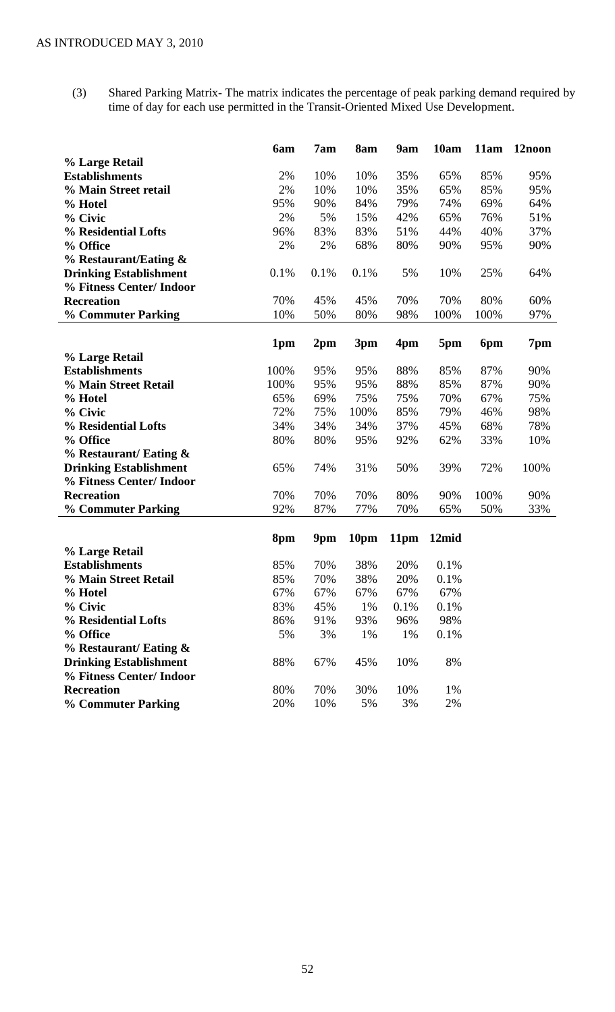(3) Shared Parking Matrix- The matrix indicates the percentage of peak parking demand required by time of day for each use permitted in the Transit-Oriented Mixed Use Development.

|                               | 6am  | 7am             | 8am  | 9am  | 10am  | 11am | 12noon |
|-------------------------------|------|-----------------|------|------|-------|------|--------|
| % Large Retail                |      |                 |      |      |       |      |        |
| <b>Establishments</b>         | 2%   | 10%             | 10%  | 35%  | 65%   | 85%  | 95%    |
| % Main Street retail          | 2%   | 10%             | 10%  | 35%  | 65%   | 85%  | 95%    |
| % Hotel                       | 95%  | 90%             | 84%  | 79%  | 74%   | 69%  | 64%    |
| % Civic                       | 2%   | 5%              | 15%  | 42%  | 65%   | 76%  | 51%    |
| % Residential Lofts           | 96%  | 83%             | 83%  | 51%  | 44%   | 40%  | 37%    |
| % Office                      | 2%   | 2%              | 68%  | 80%  | 90%   | 95%  | 90%    |
| $%$ Restaurant/Eating $\&$    |      |                 |      |      |       |      |        |
| <b>Drinking Establishment</b> | 0.1% | 0.1%            | 0.1% | 5%   | 10%   | 25%  | 64%    |
| % Fitness Center/ Indoor      |      |                 |      |      |       |      |        |
| <b>Recreation</b>             | 70%  | 45%             | 45%  | 70%  | 70%   | 80%  | 60%    |
| <b>% Commuter Parking</b>     | 10%  | 50%             | 80%  | 98%  | 100%  | 100% | 97%    |
|                               |      |                 |      |      |       |      |        |
|                               | 1pm  | 2 <sub>pm</sub> | 3pm  | 4pm  | 5pm   | 6pm  | 7pm    |
| % Large Retail                |      |                 |      |      |       |      |        |
| <b>Establishments</b>         | 100% | 95%             | 95%  | 88%  | 85%   | 87%  | 90%    |
| % Main Street Retail          | 100% | 95%             | 95%  | 88%  | 85%   | 87%  | 90%    |
| % Hotel                       | 65%  | 69%             | 75%  | 75%  | 70%   | 67%  | 75%    |
| % Civic                       | 72%  | 75%             | 100% | 85%  | 79%   | 46%  | 98%    |
| % Residential Lofts           | 34%  | 34%             | 34%  | 37%  | 45%   | 68%  | 78%    |
| % Office                      | 80%  | 80%             | 95%  | 92%  | 62%   | 33%  | 10%    |
| % Restaurant/ Eating &        |      |                 |      |      |       |      |        |
| <b>Drinking Establishment</b> | 65%  | 74%             | 31%  | 50%  | 39%   | 72%  | 100%   |
| % Fitness Center/ Indoor      |      |                 |      |      |       |      |        |
| <b>Recreation</b>             | 70%  | 70%             | 70%  | 80%  | 90%   | 100% | 90%    |
| % Commuter Parking            | 92%  | 87%             | 77%  | 70%  | 65%   | 50%  | 33%    |
|                               | 8pm  | 9pm             | 10pm | 11pm | 12mid |      |        |
| % Large Retail                |      |                 |      |      |       |      |        |
| <b>Establishments</b>         | 85%  | 70%             | 38%  | 20%  | 0.1%  |      |        |
| % Main Street Retail          | 85%  | 70%             | 38%  | 20%  | 0.1%  |      |        |
| % Hotel                       | 67%  | 67%             | 67%  | 67%  | 67%   |      |        |
| % Civic                       | 83%  | 45%             | 1%   | 0.1% | 0.1%  |      |        |
| % Residential Lofts           | 86%  | 91%             | 93%  | 96%  | 98%   |      |        |
| % Office                      | 5%   | 3%              | 1%   | 1%   | 0.1%  |      |        |
| % Restaurant/ Eating &        |      |                 |      |      |       |      |        |
| <b>Drinking Establishment</b> | 88%  | 67%             | 45%  | 10%  | 8%    |      |        |
| % Fitness Center/ Indoor      |      |                 |      |      |       |      |        |
| <b>Recreation</b>             | 80%  | 70%             | 30%  | 10%  | 1%    |      |        |
| <b>% Commuter Parking</b>     | 20%  | 10%             | 5%   | 3%   | 2%    |      |        |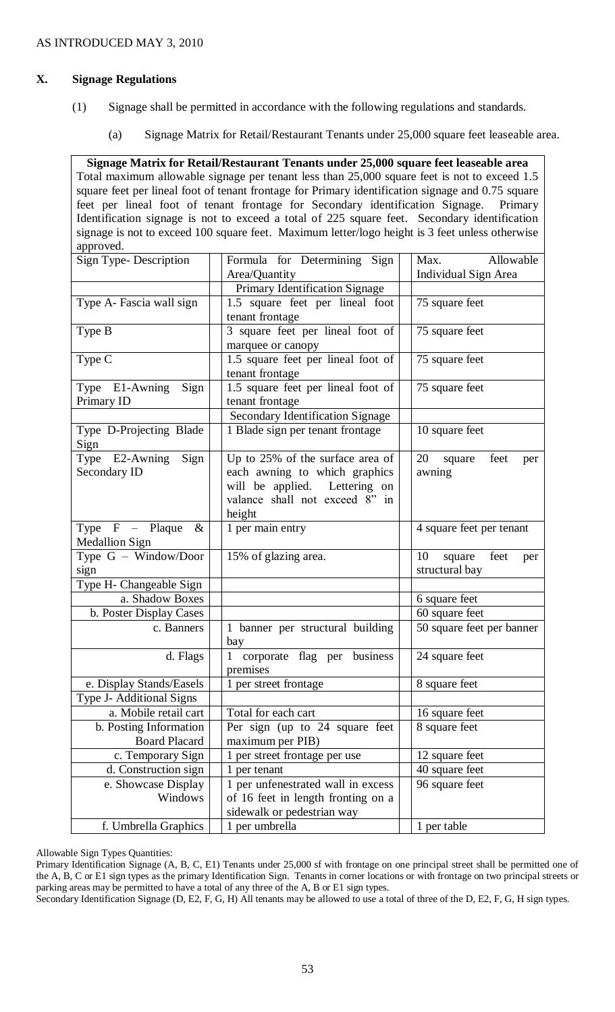# **X. Signage Regulations**

- (1) Signage shall be permitted in accordance with the following regulations and standards.
	- (a) Signage Matrix for Retail/Restaurant Tenants under 25,000 square feet leaseable area.

**Signage Matrix for Retail/Restaurant Tenants under 25,000 square feet leaseable area** Total maximum allowable signage per tenant less than 25,000 square feet is not to exceed 1.5 square feet per lineal foot of tenant frontage for Primary identification signage and 0.75 square feet per lineal foot of tenant frontage for Secondary identification Signage. Primary Identification signage is not to exceed a total of 225 square feet. Secondary identification signage is not to exceed 100 square feet. Maximum letter/logo height is 3 feet unless otherwise approved.

| Sign Type-Description           | Formula for Determining Sign                      | Allowable<br>Max.           |  |  |  |
|---------------------------------|---------------------------------------------------|-----------------------------|--|--|--|
|                                 | Area/Quantity                                     | Individual Sign Area        |  |  |  |
|                                 | Primary Identification Signage                    |                             |  |  |  |
| Type A- Fascia wall sign        | 1.5 square feet per lineal foot<br>75 square feet |                             |  |  |  |
|                                 | tenant frontage                                   |                             |  |  |  |
| Type B                          | 3 square feet per lineal foot of                  | 75 square feet              |  |  |  |
|                                 | marquee or canopy                                 |                             |  |  |  |
| Type C                          | 1.5 square feet per lineal foot of                | 75 square feet              |  |  |  |
|                                 | tenant frontage                                   |                             |  |  |  |
| Type E1-Awning<br>Sign          | 1.5 square feet per lineal foot of                | 75 square feet              |  |  |  |
| Primary ID                      | tenant frontage                                   |                             |  |  |  |
|                                 | Secondary Identification Signage                  |                             |  |  |  |
| Type D-Projecting Blade<br>Sign | 1 Blade sign per tenant frontage                  | 10 square feet              |  |  |  |
| Type E2-Awning<br>Sign          | Up to 25% of the surface area of                  | 20<br>square<br>feet<br>per |  |  |  |
| Secondary ID                    | each awning to which graphics                     | awning                      |  |  |  |
|                                 | will be applied. Lettering on                     |                             |  |  |  |
|                                 | valance shall not exceed 8" in                    |                             |  |  |  |
|                                 | height                                            |                             |  |  |  |
| Type $F -$ Plaque<br>$\&$       | 1 per main entry                                  | 4 square feet per tenant    |  |  |  |
| <b>Medallion Sign</b>           |                                                   |                             |  |  |  |
| Type G - Window/Door            | 15% of glazing area.                              | 10<br>square<br>feet<br>per |  |  |  |
| sign                            |                                                   | structural bay              |  |  |  |
| Type H- Changeable Sign         |                                                   |                             |  |  |  |
| a. Shadow Boxes                 |                                                   | 6 square feet               |  |  |  |
| b. Poster Display Cases         |                                                   | 60 square feet              |  |  |  |
| c. Banners                      | 1 banner per structural building<br>bay           | 50 square feet per banner   |  |  |  |
| d. Flags                        | 1 corporate flag per business                     | 24 square feet              |  |  |  |
|                                 | premises                                          |                             |  |  |  |
| e. Display Stands/Easels        | 1 per street frontage                             | 8 square feet               |  |  |  |
| Type J- Additional Signs        |                                                   |                             |  |  |  |
| a. Mobile retail cart           | Total for each cart                               | 16 square feet              |  |  |  |
| b. Posting Information          | Per sign (up to 24 square feet                    | 8 square feet               |  |  |  |
| <b>Board Placard</b>            | maximum per PIB)                                  |                             |  |  |  |
| c. Temporary Sign               | per street frontage per use                       | 12 square feet              |  |  |  |
| d. Construction sign            | 1 per tenant                                      | 40 square feet              |  |  |  |
| e. Showcase Display             | 1 per unfenestrated wall in excess                | 96 square feet              |  |  |  |
| Windows                         | of 16 feet in length fronting on a                |                             |  |  |  |
|                                 | sidewalk or pedestrian way                        |                             |  |  |  |
| f. Umbrella Graphics            | 1 per umbrella                                    | 1 per table                 |  |  |  |

Allowable Sign Types Quantities:

Primary Identification Signage (A, B, C, E1) Tenants under 25,000 sf with frontage on one principal street shall be permitted one of the A, B, C or E1 sign types as the primary Identification Sign. Tenants in corner locations or with frontage on two principal streets or parking areas may be permitted to have a total of any three of the A, B or E1 sign types.

Secondary Identification Signage (D, E2, F, G, H) All tenants may be allowed to use a total of three of the D, E2, F, G, H sign types.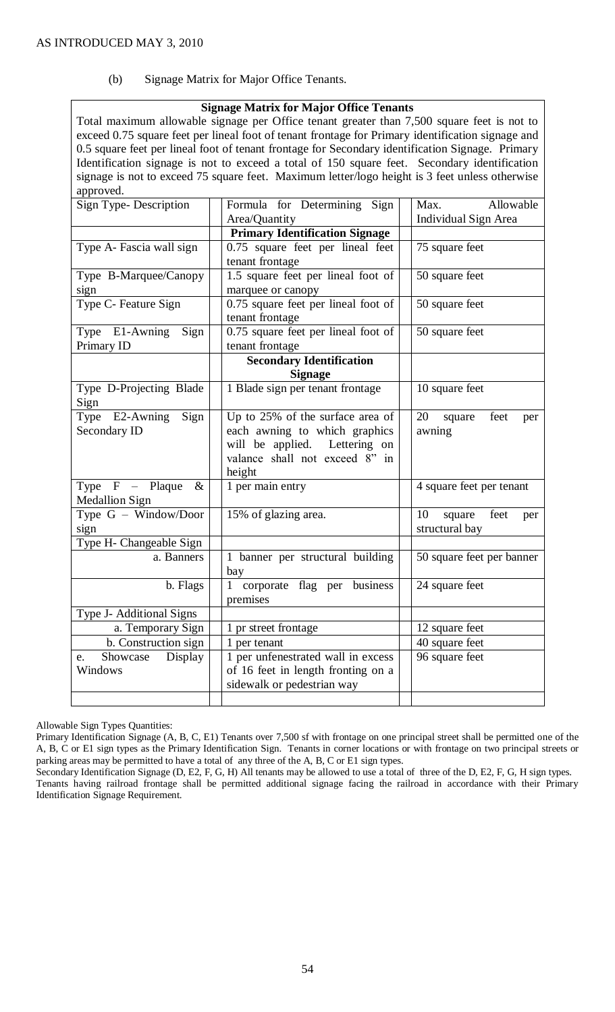(b) Signage Matrix for Major Office Tenants.

### **Signage Matrix for Major Office Tenants**

Total maximum allowable signage per Office tenant greater than 7,500 square feet is not to exceed 0.75 square feet per lineal foot of tenant frontage for Primary identification signage and 0.5 square feet per lineal foot of tenant frontage for Secondary identification Signage. Primary Identification signage is not to exceed a total of 150 square feet. Secondary identification signage is not to exceed 75 square feet. Maximum letter/logo height is 3 feet unless otherwise approved.

| Sign Type-Description     | Formula for Determining Sign          | Allowable<br>Max.           |  |  |  |  |
|---------------------------|---------------------------------------|-----------------------------|--|--|--|--|
|                           | Area/Quantity                         | Individual Sign Area        |  |  |  |  |
|                           | <b>Primary Identification Signage</b> |                             |  |  |  |  |
| Type A- Fascia wall sign  | 0.75 square feet per lineal feet      | 75 square feet              |  |  |  |  |
|                           | tenant frontage                       |                             |  |  |  |  |
| Type B-Marquee/Canopy     | 1.5 square feet per lineal foot of    | 50 square feet              |  |  |  |  |
| sign                      | marquee or canopy                     |                             |  |  |  |  |
| Type C- Feature Sign      | 0.75 square feet per lineal foot of   | 50 square feet              |  |  |  |  |
|                           | tenant frontage                       |                             |  |  |  |  |
| Type E1-Awning Sign       | 0.75 square feet per lineal foot of   | 50 square feet              |  |  |  |  |
| Primary ID                | tenant frontage                       |                             |  |  |  |  |
|                           | <b>Secondary Identification</b>       |                             |  |  |  |  |
|                           | <b>Signage</b>                        |                             |  |  |  |  |
| Type D-Projecting Blade   | 1 Blade sign per tenant frontage      | 10 square feet              |  |  |  |  |
| Sign                      |                                       |                             |  |  |  |  |
| Type E2-Awning<br>Sign    | Up to 25% of the surface area of      | 20 square<br>feet<br>per    |  |  |  |  |
| Secondary ID              | each awning to which graphics         | awning                      |  |  |  |  |
|                           | will be applied. Lettering on         |                             |  |  |  |  |
|                           | valance shall not exceed 8" in        |                             |  |  |  |  |
|                           | height                                |                             |  |  |  |  |
| Type $F -$ Plaque<br>$\&$ | 1 per main entry                      | 4 square feet per tenant    |  |  |  |  |
| <b>Medallion Sign</b>     |                                       |                             |  |  |  |  |
| Type G - Window/Door      | 15% of glazing area.                  | 10<br>square<br>feet<br>per |  |  |  |  |
| sign                      |                                       | structural bay              |  |  |  |  |
| Type H- Changeable Sign   |                                       |                             |  |  |  |  |
| a. Banners                | 1 banner per structural building      | 50 square feet per banner   |  |  |  |  |
|                           | bay                                   |                             |  |  |  |  |
| b. Flags                  | 1 corporate flag per business         | 24 square feet              |  |  |  |  |
|                           | premises                              |                             |  |  |  |  |
| Type J- Additional Signs  |                                       |                             |  |  |  |  |
| a. Temporary Sign         | 1 pr street frontage                  | 12 square feet              |  |  |  |  |
| b. Construction sign      | 1 per tenant                          | 40 square feet              |  |  |  |  |
| Showcase Display<br>e.    | 1 per unfenestrated wall in excess    | $\overline{96}$ square feet |  |  |  |  |
| Windows                   | of 16 feet in length fronting on a    |                             |  |  |  |  |
|                           | sidewalk or pedestrian way            |                             |  |  |  |  |
|                           |                                       |                             |  |  |  |  |

Allowable Sign Types Quantities:

Primary Identification Signage (A, B, C, E1) Tenants over 7,500 sf with frontage on one principal street shall be permitted one of the A, B, C or E1 sign types as the Primary Identification Sign. Tenants in corner locations or with frontage on two principal streets or parking areas may be permitted to have a total of any three of the A, B, C or E1 sign types.

Secondary Identification Signage (D, E2, F, G, H) All tenants may be allowed to use a total of three of the D, E2, F, G, H sign types. Tenants having railroad frontage shall be permitted additional signage facing the railroad in accordance with their Primary Identification Signage Requirement.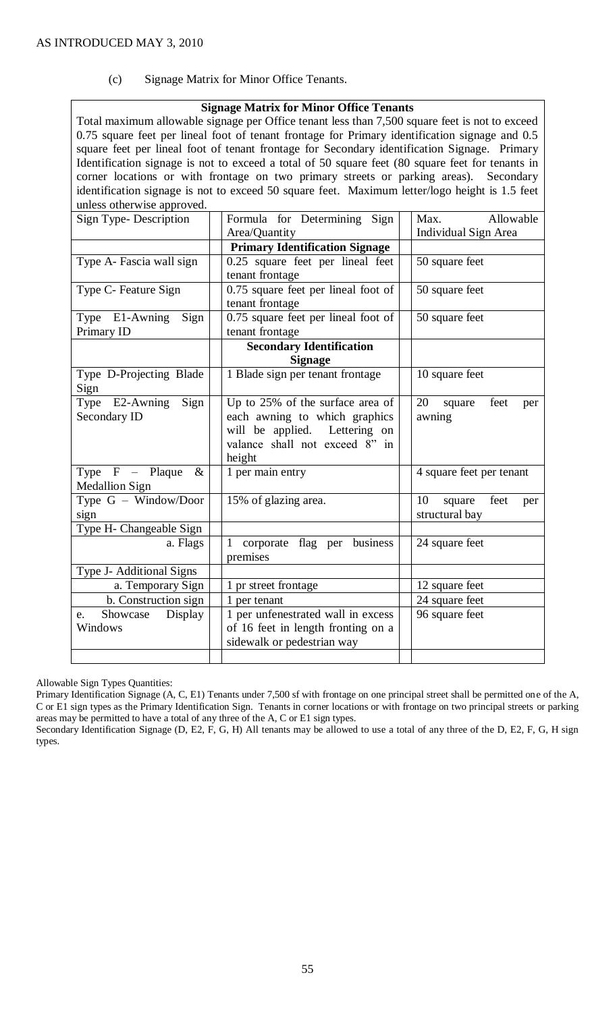(c) Signage Matrix for Minor Office Tenants.

# **Signage Matrix for Minor Office Tenants**

| Total maximum allowable signage per Office tenant less than 7,500 square feet is not to exceed                                          |                                                                                                                                                                                                                                                                                                                                                                                                                                                                                                                                                                                                                                                                             |  |  |  |  |
|-----------------------------------------------------------------------------------------------------------------------------------------|-----------------------------------------------------------------------------------------------------------------------------------------------------------------------------------------------------------------------------------------------------------------------------------------------------------------------------------------------------------------------------------------------------------------------------------------------------------------------------------------------------------------------------------------------------------------------------------------------------------------------------------------------------------------------------|--|--|--|--|
| Max.<br>Allowable                                                                                                                       |                                                                                                                                                                                                                                                                                                                                                                                                                                                                                                                                                                                                                                                                             |  |  |  |  |
|                                                                                                                                         | Individual Sign Area                                                                                                                                                                                                                                                                                                                                                                                                                                                                                                                                                                                                                                                        |  |  |  |  |
|                                                                                                                                         |                                                                                                                                                                                                                                                                                                                                                                                                                                                                                                                                                                                                                                                                             |  |  |  |  |
| 0.25 square feet per lineal feet<br>tenant frontage                                                                                     | 50 square feet                                                                                                                                                                                                                                                                                                                                                                                                                                                                                                                                                                                                                                                              |  |  |  |  |
| 0.75 square feet per lineal foot of<br>tenant frontage                                                                                  | 50 square feet                                                                                                                                                                                                                                                                                                                                                                                                                                                                                                                                                                                                                                                              |  |  |  |  |
| 0.75 square feet per lineal foot of<br>tenant frontage                                                                                  | 50 square feet                                                                                                                                                                                                                                                                                                                                                                                                                                                                                                                                                                                                                                                              |  |  |  |  |
| <b>Secondary Identification</b><br><b>Signage</b>                                                                                       |                                                                                                                                                                                                                                                                                                                                                                                                                                                                                                                                                                                                                                                                             |  |  |  |  |
|                                                                                                                                         | 10 square feet                                                                                                                                                                                                                                                                                                                                                                                                                                                                                                                                                                                                                                                              |  |  |  |  |
| Up to 25% of the surface area of<br>each awning to which graphics<br>will be applied.<br>Lettering on<br>valance shall not exceed 8" in | 20<br>feet<br>square<br>per<br>awning                                                                                                                                                                                                                                                                                                                                                                                                                                                                                                                                                                                                                                       |  |  |  |  |
| 1 per main entry                                                                                                                        | 4 square feet per tenant                                                                                                                                                                                                                                                                                                                                                                                                                                                                                                                                                                                                                                                    |  |  |  |  |
| 15% of glazing area.                                                                                                                    | 10<br>feet<br>square<br>per<br>structural bay                                                                                                                                                                                                                                                                                                                                                                                                                                                                                                                                                                                                                               |  |  |  |  |
|                                                                                                                                         |                                                                                                                                                                                                                                                                                                                                                                                                                                                                                                                                                                                                                                                                             |  |  |  |  |
| corporate flag per<br>business<br>1<br>premises                                                                                         | 24 square feet                                                                                                                                                                                                                                                                                                                                                                                                                                                                                                                                                                                                                                                              |  |  |  |  |
|                                                                                                                                         |                                                                                                                                                                                                                                                                                                                                                                                                                                                                                                                                                                                                                                                                             |  |  |  |  |
| 1 pr street frontage                                                                                                                    | 12 square feet                                                                                                                                                                                                                                                                                                                                                                                                                                                                                                                                                                                                                                                              |  |  |  |  |
| 1 per tenant                                                                                                                            | 24 square feet                                                                                                                                                                                                                                                                                                                                                                                                                                                                                                                                                                                                                                                              |  |  |  |  |
| of 16 feet in length fronting on a<br>sidewalk or pedestrian way                                                                        | 96 square feet                                                                                                                                                                                                                                                                                                                                                                                                                                                                                                                                                                                                                                                              |  |  |  |  |
|                                                                                                                                         | 0.75 square feet per lineal foot of tenant frontage for Primary identification signage and 0.5<br>square feet per lineal foot of tenant frontage for Secondary identification Signage. Primary<br>Identification signage is not to exceed a total of 50 square feet (80 square feet for tenants in<br>corner locations or with frontage on two primary streets or parking areas). Secondary<br>identification signage is not to exceed 50 square feet. Maximum letter/logo height is 1.5 feet<br>Formula for Determining Sign<br>Area/Quantity<br><b>Primary Identification Signage</b><br>1 Blade sign per tenant frontage<br>height<br>1 per unfenestrated wall in excess |  |  |  |  |

Allowable Sign Types Quantities:

Primary Identification Signage (A, C, E1) Tenants under 7,500 sf with frontage on one principal street shall be permitted one of the A, C or E1 sign types as the Primary Identification Sign. Tenants in corner locations or with frontage on two principal streets or parking areas may be permitted to have a total of any three of the A, C or E1 sign types.

Secondary Identification Signage (D, E2, F, G, H) All tenants may be allowed to use a total of any three of the D, E2, F, G, H sign types.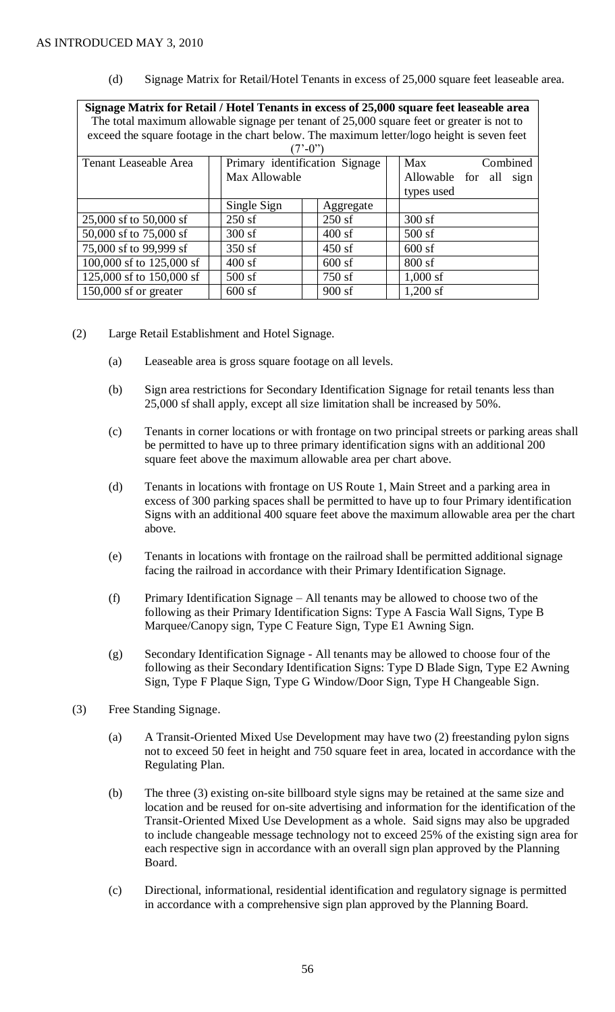(d) Signage Matrix for Retail/Hotel Tenants in excess of 25,000 square feet leaseable area.

| Signage Matrix for Retail / Hotel Tenants in excess of 25,000 square feet leaseable area   |                                                   |                           |  |                   |  |  |      |  |  |
|--------------------------------------------------------------------------------------------|---------------------------------------------------|---------------------------|--|-------------------|--|--|------|--|--|
| The total maximum allowable signage per tenant of 25,000 square feet or greater is not to  |                                                   |                           |  |                   |  |  |      |  |  |
| exceed the square footage in the chart below. The maximum letter/logo height is seven feet |                                                   |                           |  |                   |  |  |      |  |  |
|                                                                                            |                                                   | $(7^{\circ} - 0^{\circ})$ |  |                   |  |  |      |  |  |
| <b>Tenant Leaseable Area</b>                                                               | Primary identification Signage<br>Combined<br>Max |                           |  |                   |  |  |      |  |  |
|                                                                                            | Max Allowable                                     |                           |  | Allowable for all |  |  | sign |  |  |
|                                                                                            |                                                   |                           |  | types used        |  |  |      |  |  |
|                                                                                            | Single Sign                                       | Aggregate                 |  |                   |  |  |      |  |  |
| 25,000 sf to 50,000 sf                                                                     | $250$ sf                                          | 250sf                     |  | 300sf             |  |  |      |  |  |
| 50,000 sf to 75,000 sf                                                                     | 300sf                                             | 400sf                     |  |                   |  |  |      |  |  |
| 75,000 sf to 99,999 sf                                                                     | $350$ sf                                          | $450$ sf                  |  |                   |  |  |      |  |  |
| 100,000 sf to 125,000 sf                                                                   | 400sf                                             | $600$ sf                  |  | 800sf             |  |  |      |  |  |
| 125,000 sf to 150,000 sf                                                                   | $500$ sf                                          | 750 sf                    |  | $1,000$ sf        |  |  |      |  |  |
| $150,000$ sf or greater                                                                    | $600$ sf                                          | 900sf                     |  | $1,200$ sf        |  |  |      |  |  |

- (2) Large Retail Establishment and Hotel Signage.
	- (a) Leaseable area is gross square footage on all levels.
	- (b) Sign area restrictions for Secondary Identification Signage for retail tenants less than 25,000 sf shall apply, except all size limitation shall be increased by 50%.
	- (c) Tenants in corner locations or with frontage on two principal streets or parking areas shall be permitted to have up to three primary identification signs with an additional 200 square feet above the maximum allowable area per chart above.
	- (d) Tenants in locations with frontage on US Route 1, Main Street and a parking area in excess of 300 parking spaces shall be permitted to have up to four Primary identification Signs with an additional 400 square feet above the maximum allowable area per the chart above.
	- (e) Tenants in locations with frontage on the railroad shall be permitted additional signage facing the railroad in accordance with their Primary Identification Signage.
	- (f) Primary Identification Signage All tenants may be allowed to choose two of the following as their Primary Identification Signs: Type A Fascia Wall Signs, Type B Marquee/Canopy sign, Type C Feature Sign, Type E1 Awning Sign.
	- (g) Secondary Identification Signage All tenants may be allowed to choose four of the following as their Secondary Identification Signs: Type D Blade Sign, Type E2 Awning Sign, Type F Plaque Sign, Type G Window/Door Sign, Type H Changeable Sign.
- (3) Free Standing Signage.
	- (a) A Transit-Oriented Mixed Use Development may have two (2) freestanding pylon signs not to exceed 50 feet in height and 750 square feet in area, located in accordance with the Regulating Plan.
	- (b) The three (3) existing on-site billboard style signs may be retained at the same size and location and be reused for on-site advertising and information for the identification of the Transit-Oriented Mixed Use Development as a whole. Said signs may also be upgraded to include changeable message technology not to exceed 25% of the existing sign area for each respective sign in accordance with an overall sign plan approved by the Planning Board.
	- (c) Directional, informational, residential identification and regulatory signage is permitted in accordance with a comprehensive sign plan approved by the Planning Board.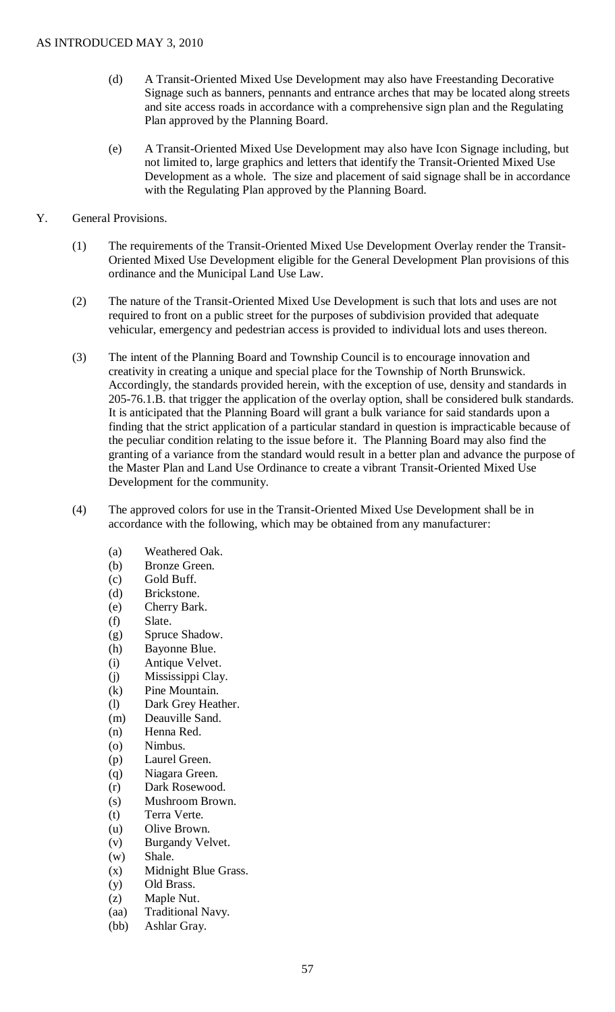- (d) A Transit-Oriented Mixed Use Development may also have Freestanding Decorative Signage such as banners, pennants and entrance arches that may be located along streets and site access roads in accordance with a comprehensive sign plan and the Regulating Plan approved by the Planning Board.
- (e) A Transit-Oriented Mixed Use Development may also have Icon Signage including, but not limited to, large graphics and letters that identify the Transit-Oriented Mixed Use Development as a whole. The size and placement of said signage shall be in accordance with the Regulating Plan approved by the Planning Board.
- Y. General Provisions.
	- (1) The requirements of the Transit-Oriented Mixed Use Development Overlay render the Transit-Oriented Mixed Use Development eligible for the General Development Plan provisions of this ordinance and the Municipal Land Use Law.
	- (2) The nature of the Transit-Oriented Mixed Use Development is such that lots and uses are not required to front on a public street for the purposes of subdivision provided that adequate vehicular, emergency and pedestrian access is provided to individual lots and uses thereon.
	- (3) The intent of the Planning Board and Township Council is to encourage innovation and creativity in creating a unique and special place for the Township of North Brunswick. Accordingly, the standards provided herein, with the exception of use, density and standards in 205-76.1.B. that trigger the application of the overlay option, shall be considered bulk standards. It is anticipated that the Planning Board will grant a bulk variance for said standards upon a finding that the strict application of a particular standard in question is impracticable because of the peculiar condition relating to the issue before it. The Planning Board may also find the granting of a variance from the standard would result in a better plan and advance the purpose of the Master Plan and Land Use Ordinance to create a vibrant Transit-Oriented Mixed Use Development for the community.
	- (4) The approved colors for use in the Transit-Oriented Mixed Use Development shall be in accordance with the following, which may be obtained from any manufacturer:
		- (a) Weathered Oak.
		- (b) Bronze Green.
		- (c) Gold Buff.
		- (d) Brickstone.
		- (e) Cherry Bark.
		- (f) Slate.
		- (g) Spruce Shadow.
		- (h) Bayonne Blue.
		- (i) Antique Velvet.
		- (j) Mississippi Clay.
		- (k) Pine Mountain.
		- (l) Dark Grey Heather.
		- (m) Deauville Sand.
		- (n) Henna Red.
		- (o) Nimbus.
		- (p) Laurel Green.
		- (q) Niagara Green.
		- (r) Dark Rosewood.
		- (s) Mushroom Brown.
		- (t) Terra Verte.
		- (u) Olive Brown.
		- (v) Burgandy Velvet.
		- (w) Shale.
		- (x) Midnight Blue Grass.
		- (y) Old Brass.
		- (z) Maple Nut.
		- (aa) Traditional Navy.
		- (bb) Ashlar Gray.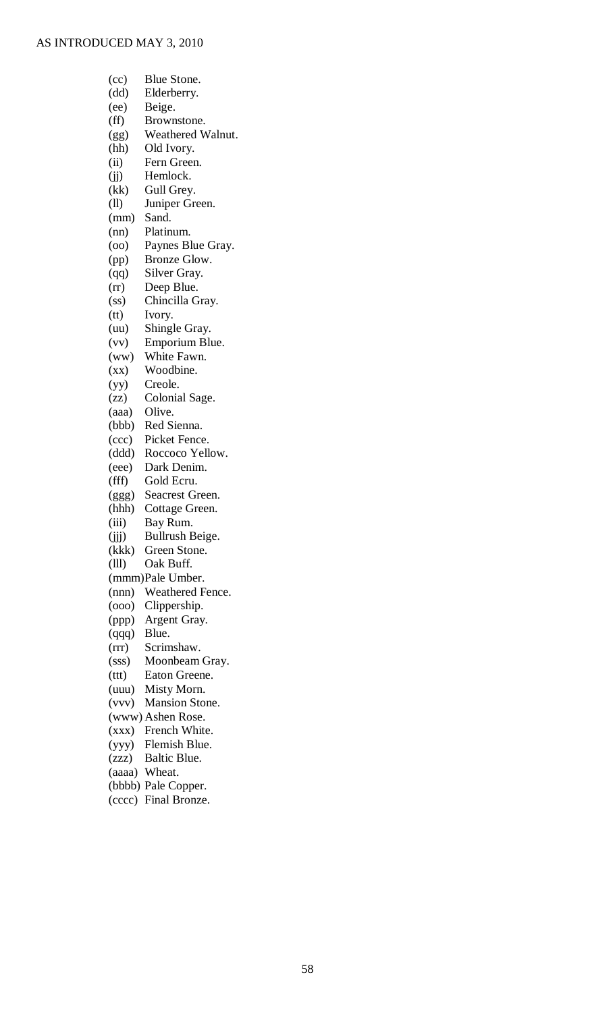| (cc)                     | Blue Stone.            |
|--------------------------|------------------------|
| (dd)                     | Elderberry.            |
| (ee)                     | Beige.                 |
|                          |                        |
| (ff)                     | Brownstone.            |
| (gg)                     | Weathered Walnut.      |
| (hh)                     | Old Ivory.             |
| (ii)                     | Fern Green.            |
| (i)                      | Hemlock.               |
| (kk)                     | Gull Grey.             |
| (11)                     | Juniper Green.         |
| (mm)                     | Sand.                  |
| (nn)                     | Platinum.              |
|                          |                        |
| (00)                     | Paynes Blue Gray.      |
| (pp)                     | Bronze Glow.           |
| (qq)                     | Silver Gray.           |
| (r)                      | Deep Blue.             |
| (ss)                     | Chincilla Gray.        |
| (tt)                     | Ivory.                 |
| (uu)                     | Shingle Gray.          |
| (vv)                     | Emporium Blue.         |
| (ww)                     | White Fawn.            |
|                          |                        |
| $(\mathbf{X}\mathbf{X})$ | Woodbine.              |
| (yy)                     | Creole.                |
| (zz)                     | Colonial Sage.         |
| (aaa)                    | Olive.                 |
| (bbb)                    | Red Sienna.            |
| (ccc)                    | Picket Fence.          |
| (ddd)                    | Roccoco Yellow.        |
| (eee)                    | Dark Denim.            |
| (fff)                    | Gold Ecru.             |
| (ggg)                    | <b>Seacrest Green.</b> |
|                          |                        |
| (hhh)                    | Cottage Green.         |
| (iii)                    | Bay Rum.               |
| (ijj)                    | Bullrush Beige.        |
| (kkk)                    | Green Stone.           |
| (III)                    | Oak Buff.              |
|                          | (mmm)Pale Umber.       |
| (nnn)                    | Weathered Fence.       |
| (000)                    | Clippership.           |
| (ppp)                    | Argent Gray.           |
| (qqq)                    | Blue.                  |
|                          | Scrimshaw.             |
| (rrr)                    |                        |
| (sss)                    | Moonbeam Gray.         |
| (ttt)                    | Eaton Greene.          |
| (uuu)                    | Misty Morn.            |
| (vvv)                    | <b>Mansion Stone.</b>  |
|                          | (www) Ashen Rose.      |
| (xxx)                    | French White.          |
| (yyy)                    | Flemish Blue.          |
| (zzz)                    | Baltic Blue.           |
| (aaaa)                   | Wheat.                 |
|                          |                        |
|                          | (bbbb) Pale Copper.    |

(cccc) Final Bronze.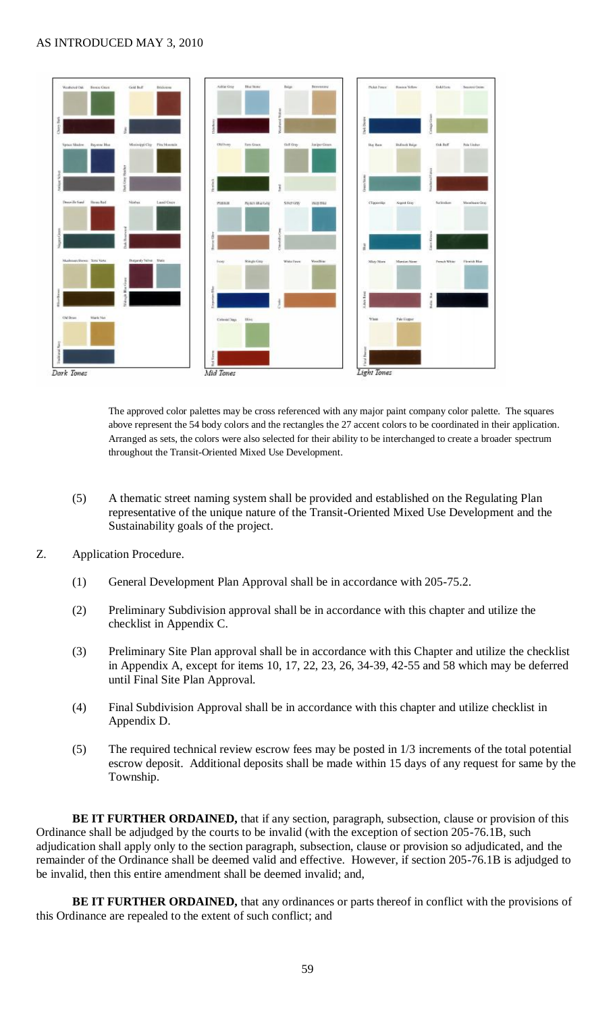

The approved color palettes may be cross referenced with any major paint company color palette. The squares above represent the 54 body colors and the rectangles the 27 accent colors to be coordinated in their application. Arranged as sets, the colors were also selected for their ability to be interchanged to create a broader spectrum throughout the Transit-Oriented Mixed Use Development.

- (5) A thematic street naming system shall be provided and established on the Regulating Plan representative of the unique nature of the Transit-Oriented Mixed Use Development and the Sustainability goals of the project.
- Z. Application Procedure.
	- (1) General Development Plan Approval shall be in accordance with 205-75.2.
	- (2) Preliminary Subdivision approval shall be in accordance with this chapter and utilize the checklist in Appendix C.
	- (3) Preliminary Site Plan approval shall be in accordance with this Chapter and utilize the checklist in Appendix A, except for items 10, 17, 22, 23, 26, 34-39, 42-55 and 58 which may be deferred until Final Site Plan Approval.
	- (4) Final Subdivision Approval shall be in accordance with this chapter and utilize checklist in Appendix D.
	- (5) The required technical review escrow fees may be posted in 1/3 increments of the total potential escrow deposit. Additional deposits shall be made within 15 days of any request for same by the Township.

**BE IT FURTHER ORDAINED,** that if any section, paragraph, subsection, clause or provision of this Ordinance shall be adjudged by the courts to be invalid (with the exception of section 205-76.1B, such adjudication shall apply only to the section paragraph, subsection, clause or provision so adjudicated, and the remainder of the Ordinance shall be deemed valid and effective. However, if section 205-76.1B is adjudged to be invalid, then this entire amendment shall be deemed invalid; and,

**BE IT FURTHER ORDAINED,** that any ordinances or parts thereof in conflict with the provisions of this Ordinance are repealed to the extent of such conflict; and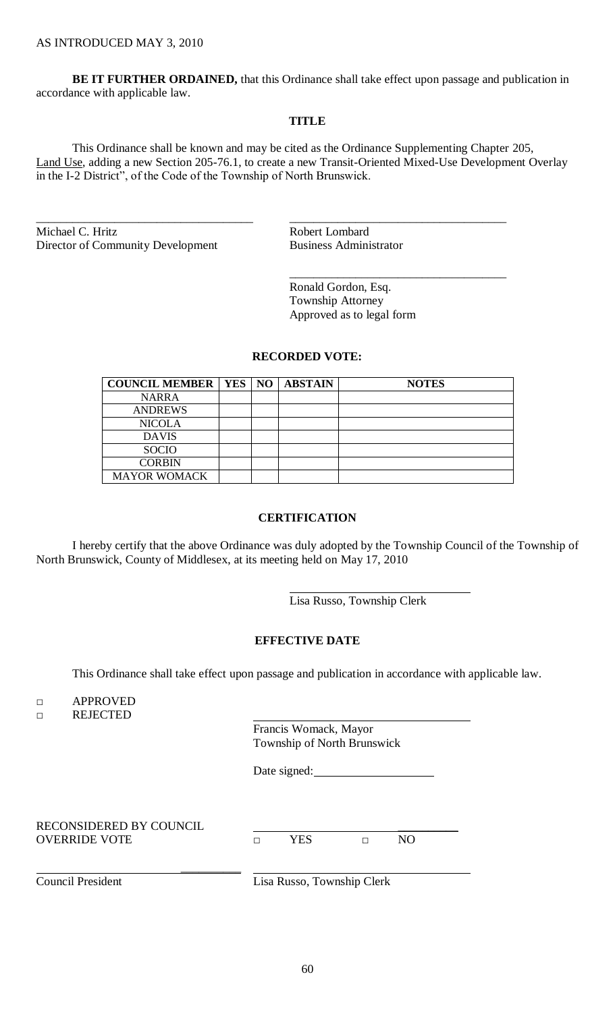**BE IT FURTHER ORDAINED,** that this Ordinance shall take effect upon passage and publication in accordance with applicable law.

### **TITLE**

This Ordinance shall be known and may be cited as the Ordinance Supplementing Chapter 205, Land Use, adding a new Section 205-76.1, to create a new Transit-Oriented Mixed-Use Development Overlay in the I-2 District", of the Code of the Township of North Brunswick.

\_\_\_\_\_\_\_\_\_\_\_\_\_\_\_\_\_\_\_\_\_\_\_\_\_\_\_\_\_\_\_\_\_\_\_\_ \_\_\_\_\_\_\_\_\_\_\_\_\_\_\_\_\_\_\_\_\_\_\_\_\_\_\_\_\_\_\_\_\_\_\_\_

Michael C. Hritz Robert Lombard Director of Community Development Business Administrator

Ronald Gordon, Esq. Township Attorney Approved as to legal form

\_\_\_\_\_\_\_\_\_\_\_\_\_\_\_\_\_\_\_\_\_\_\_\_\_\_\_\_\_\_\_\_\_\_\_\_

### **RECORDED VOTE:**

| <b>COUNCIL MEMBER   YES   NO  </b> |  | <b>ABSTAIN</b> | <b>NOTES</b> |
|------------------------------------|--|----------------|--------------|
| <b>NARRA</b>                       |  |                |              |
| <b>ANDREWS</b>                     |  |                |              |
| <b>NICOLA</b>                      |  |                |              |
| <b>DAVIS</b>                       |  |                |              |
| <b>SOCIO</b>                       |  |                |              |
| <b>CORBIN</b>                      |  |                |              |
| <b>MAYOR WOMACK</b>                |  |                |              |

## **CERTIFICATION**

I hereby certify that the above Ordinance was duly adopted by the Township Council of the Township of North Brunswick, County of Middlesex, at its meeting held on May 17, 2010

Lisa Russo, Township Clerk

### **EFFECTIVE DATE**

This Ordinance shall take effect upon passage and publication in accordance with applicable law.

□ APPROVED

□ REJECTED

Francis Womack, Mayor Township of North Brunswick

Date signed:

RECONSIDERED BY COUNCIL \_\_\_\_\_\_\_\_\_\_ OVERRIDE VOTE □ YES □ NO

 $\frac{1}{2}$ 

Council President Lisa Russo, Township Clerk